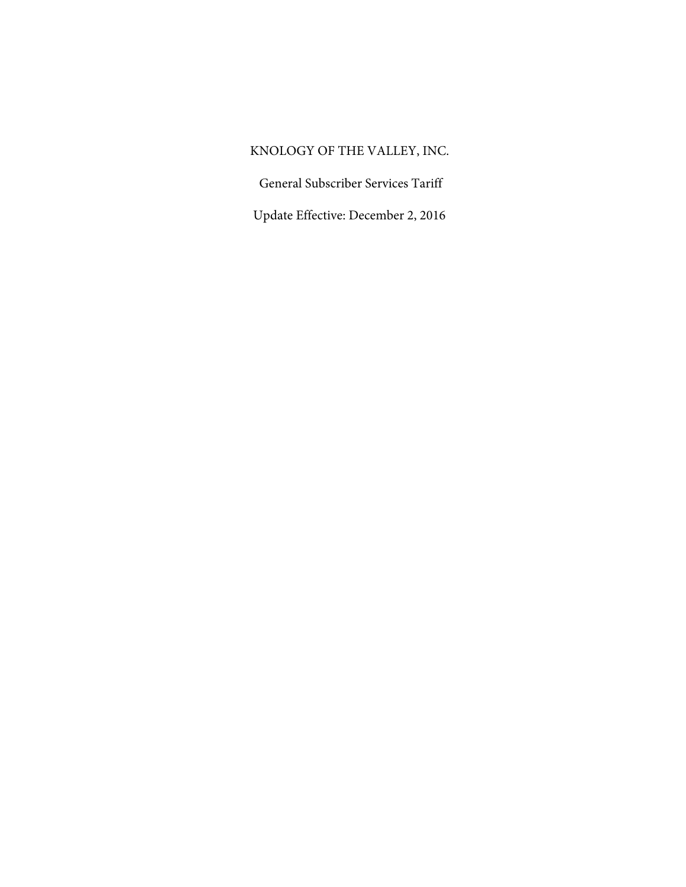# KNOLOGY OF THE VALLEY, INC.

General Subscriber Services Tariff

Update Effective: December 2, 2016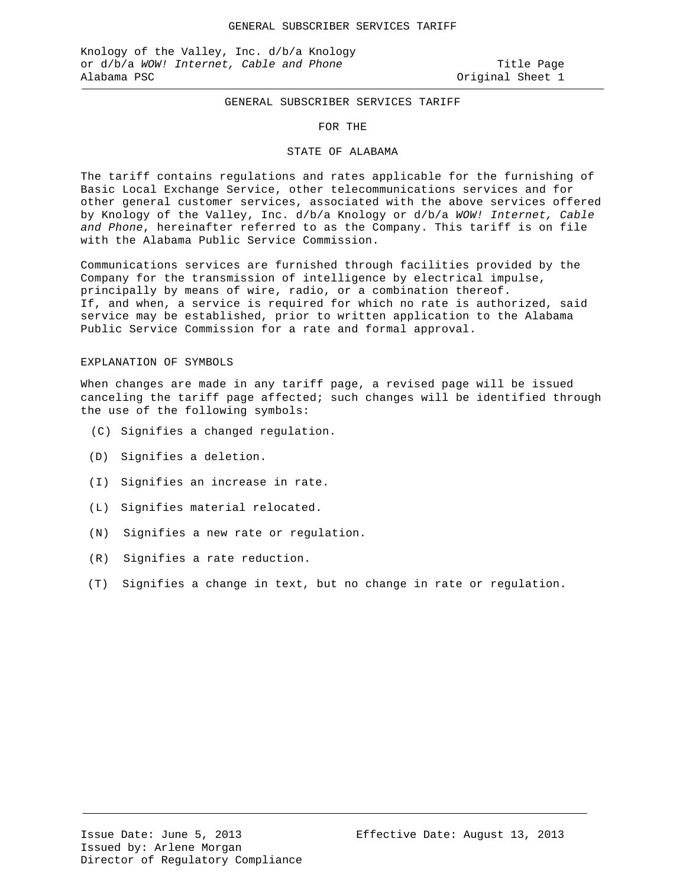#### GENERAL SUBSCRIBER SERVICES TARIFF

#### FOR THE

#### STATE OF ALABAMA

The tariff contains regulations and rates applicable for the furnishing of Basic Local Exchange Service, other telecommunications services and for other general customer services, associated with the above services offered by Knology of the Valley, Inc. d/b/a Knology or d/b/a *WOW! Internet, Cable and Phone*, hereinafter referred to as the Company. This tariff is on file with the Alabama Public Service Commission.

Communications services are furnished through facilities provided by the Company for the transmission of intelligence by electrical impulse, principally by means of wire, radio, or a combination thereof. If, and when, a service is required for which no rate is authorized, said service may be established, prior to written application to the Alabama Public Service Commission for a rate and formal approval.

#### EXPLANATION OF SYMBOLS

When changes are made in any tariff page, a revised page will be issued canceling the tariff page affected; such changes will be identified through the use of the following symbols:

- (C) Signifies a changed regulation.
- (D) Signifies a deletion.
- (I) Signifies an increase in rate.
- (L) Signifies material relocated.
- (N) Signifies a new rate or regulation.
- (R) Signifies a rate reduction.
- (T) Signifies a change in text, but no change in rate or regulation.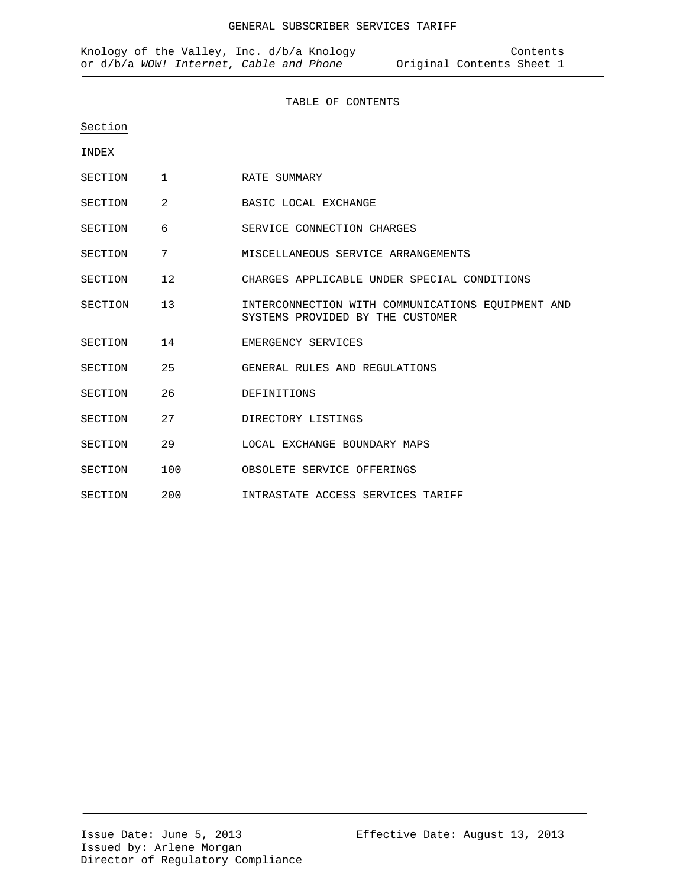#### TABLE OF CONTENTS

Section

INDEX

- SECTION 1 RATE SUMMARY
- SECTION 2 BASIC LOCAL EXCHANGE
- SECTION 6 SERVICE CONNECTION CHARGES
- SECTION 7 MISCELLANEOUS SERVICE ARRANGEMENTS
- SECTION 12 CHARGES APPLICABLE UNDER SPECIAL CONDITIONS
- SECTION 13 INTERCONNECTION WITH COMMUNICATIONS EQUIPMENT AND SYSTEMS PROVIDED BY THE CUSTOMER
- SECTION 14 EMERGENCY SERVICES
- SECTION 25 GENERAL RULES AND REGULATIONS
- SECTION 26 DEFINITIONS
- SECTION 27 DIRECTORY LISTINGS
- SECTION 29 LOCAL EXCHANGE BOUNDARY MAPS
- SECTION 100 OBSOLETE SERVICE OFFERINGS
- SECTION 200 INTRASTATE ACCESS SERVICES TARIFF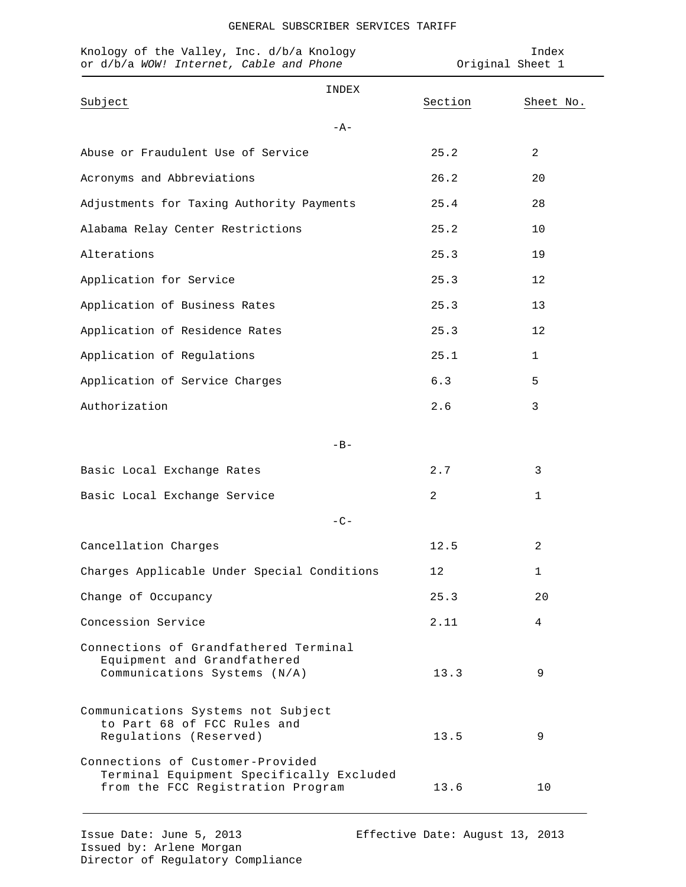|  | GENERAL SUBSCRIBER SERVICES TARIFF |  |
|--|------------------------------------|--|
|--|------------------------------------|--|

| Knology of the Valley, Inc. d/b/a Knology<br>or d/b/a WOW! Internet, Cable and Phone                              |         | Index<br>Original Sheet 1 |
|-------------------------------------------------------------------------------------------------------------------|---------|---------------------------|
| INDEX<br>Subject<br>$-A-$                                                                                         | Section | Sheet No.                 |
| Abuse or Fraudulent Use of Service                                                                                | 25.2    | 2                         |
| Acronyms and Abbreviations                                                                                        | 26.2    | 20                        |
| Adjustments for Taxing Authority Payments                                                                         | 25.4    | 28                        |
| Alabama Relay Center Restrictions                                                                                 | 25.2    | 10                        |
| Alterations                                                                                                       | 25.3    | 19                        |
| Application for Service                                                                                           | 25.3    | 12                        |
| Application of Business Rates                                                                                     | 25.3    | 13                        |
| Application of Residence Rates                                                                                    | 25.3    | 12                        |
| Application of Regulations                                                                                        | 25.1    | $\mathbf{1}$              |
| Application of Service Charges                                                                                    | 6.3     | 5                         |
| Authorization                                                                                                     | 2.6     | 3                         |
| $-B-$                                                                                                             |         |                           |
| Basic Local Exchange Rates                                                                                        | 2.7     | 3                         |
| Basic Local Exchange Service                                                                                      | 2       | 1                         |
| $-C-$                                                                                                             |         |                           |
| Cancellation Charges                                                                                              | 12.5    | 2                         |
| Charges Applicable Under Special Conditions                                                                       | 12      | 1                         |
| Change of Occupancy                                                                                               | 25.3    | 20                        |
| Concession Service                                                                                                | 2.11    | 4                         |
| Connections of Grandfathered Terminal<br>Equipment and Grandfathered<br>Communications Systems (N/A)              | 13.3    | 9                         |
| Communications Systems not Subject<br>to Part 68 of FCC Rules and<br>Regulations (Reserved)                       | 13.5    | 9                         |
| Connections of Customer-Provided<br>Terminal Equipment Specifically Excluded<br>from the FCC Registration Program | 13.6    | 10                        |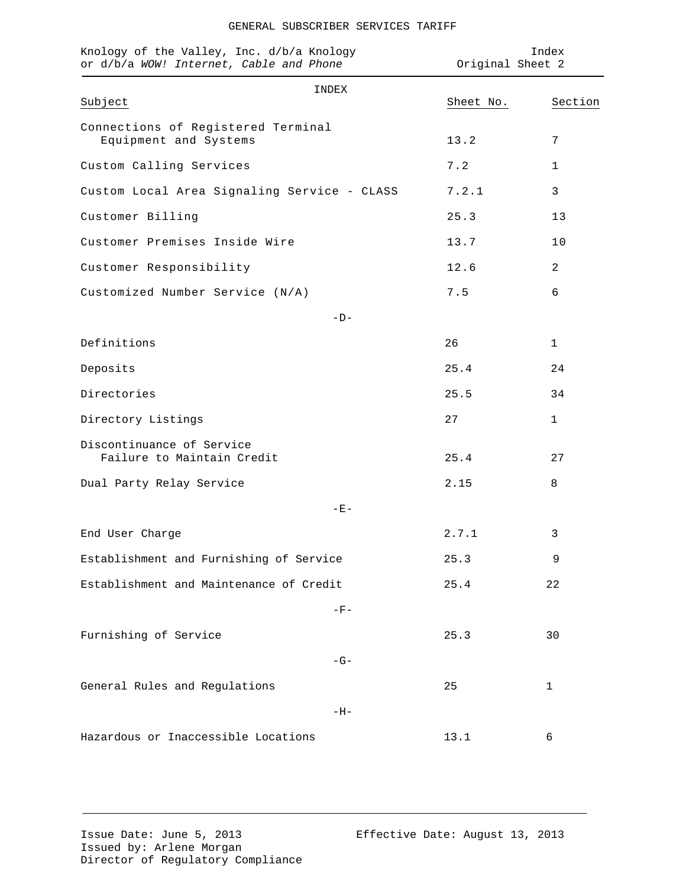| GENERAL SUBSCRIBER SERVICES TARIFF |  |
|------------------------------------|--|
|                                    |  |

| Knology of the Valley, Inc. d/b/a Knology<br>or d/b/a WOW! Internet, Cable and Phone |           | Index<br>Original Sheet 2 |
|--------------------------------------------------------------------------------------|-----------|---------------------------|
| INDEX<br>Subject                                                                     | Sheet No. | Section                   |
| Connections of Registered Terminal<br>Equipment and Systems                          | 13.2      | 7                         |
| Custom Calling Services                                                              | 7.2       | 1                         |
| Custom Local Area Signaling Service - CLASS                                          | 7.2.1     | 3                         |
| Customer Billing                                                                     | 25.3      | 13                        |
| Customer Premises Inside Wire                                                        | 13.7      | 10                        |
| Customer Responsibility                                                              | 12.6      | 2                         |
| Customized Number Service (N/A)                                                      | 7.5       | 6                         |
| $-D-$                                                                                |           |                           |
| Definitions                                                                          | 26        | 1                         |
| Deposits                                                                             | 25.4      | 24                        |
| Directories                                                                          | 25.5      | 34                        |
| Directory Listings                                                                   | 27        | 1                         |
| Discontinuance of Service<br>Failure to Maintain Credit                              | 25.4      | 27                        |
| Dual Party Relay Service                                                             | 2.15      | 8                         |
| $-$ E $-$                                                                            |           |                           |
| End User Charge                                                                      | 2.7.1     | 3                         |
| Establishment and Furnishing of Service                                              |           | 9                         |
| Establishment and Maintenance of Credit                                              | 25.4      | 22                        |
| $-F-$                                                                                |           |                           |
| Furnishing of Service                                                                | 25.3      | 30                        |
| $-G-$                                                                                |           |                           |
| General Rules and Regulations                                                        | 25        | 1                         |
| $-H-$                                                                                |           |                           |
| Hazardous or Inaccessible Locations                                                  | 13.1      | 6                         |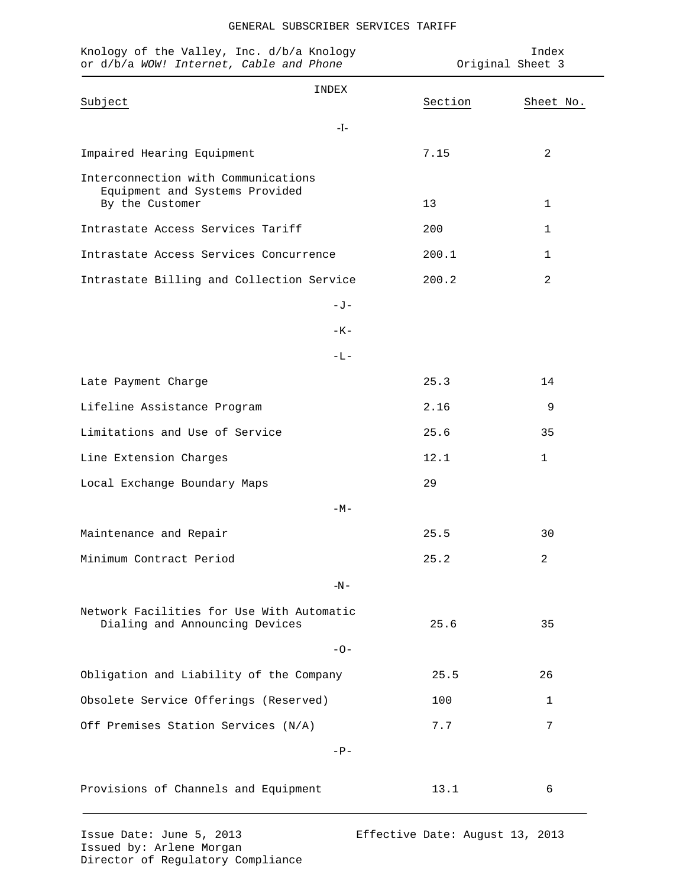|  | GENERAL SUBSCRIBER SERVICES TARIFF |  |
|--|------------------------------------|--|
|--|------------------------------------|--|

| Knology of the Valley, Inc. d/b/a Knology<br>or d/b/a WOW! Internet, Cable and Phone     |        |         | Index<br>Original Sheet 3 |
|------------------------------------------------------------------------------------------|--------|---------|---------------------------|
| Subject                                                                                  | INDEX  | Section | Sheet No.                 |
|                                                                                          | $-I$ - |         |                           |
| Impaired Hearing Equipment                                                               |        | 7.15    | 2                         |
| Interconnection with Communications<br>Equipment and Systems Provided<br>By the Customer |        | 13      | 1                         |
| Intrastate Access Services Tariff                                                        |        | 200     | 1                         |
| Intrastate Access Services Concurrence                                                   |        | 200.1   | 1                         |
| Intrastate Billing and Collection Service                                                |        | 200.2   | $\overline{2}$            |
|                                                                                          | $-J-$  |         |                           |
|                                                                                          | $-K-$  |         |                           |
|                                                                                          | -L-    |         |                           |
| Late Payment Charge                                                                      |        | 25.3    | 14                        |
| Lifeline Assistance Program                                                              |        | 2.16    | 9                         |
| Limitations and Use of Service                                                           |        | 25.6    | 35                        |
| Line Extension Charges                                                                   |        | 12.1    | $\mathbf{1}$              |
| Local Exchange Boundary Maps                                                             |        | 29      |                           |
|                                                                                          | $-M-$  |         |                           |
| Maintenance and Repair                                                                   |        | 25.5    | 30                        |
| Minimum Contract Period                                                                  |        | 25.2    | $\overline{a}$            |
|                                                                                          | $-N-$  |         |                           |
| Network Facilities for Use With Automatic<br>Dialing and Announcing Devices              |        | 25.6    | 35                        |
|                                                                                          | $-0-$  |         |                           |
| Obligation and Liability of the Company                                                  |        | 25.5    | 26                        |
| Obsolete Service Offerings (Reserved)                                                    |        | 100     | 1                         |
| Off Premises Station Services (N/A)                                                      |        | 7.7     | 7                         |
|                                                                                          | $-P-$  |         |                           |
| Provisions of Channels and Equipment                                                     |        | 13.1    | 6                         |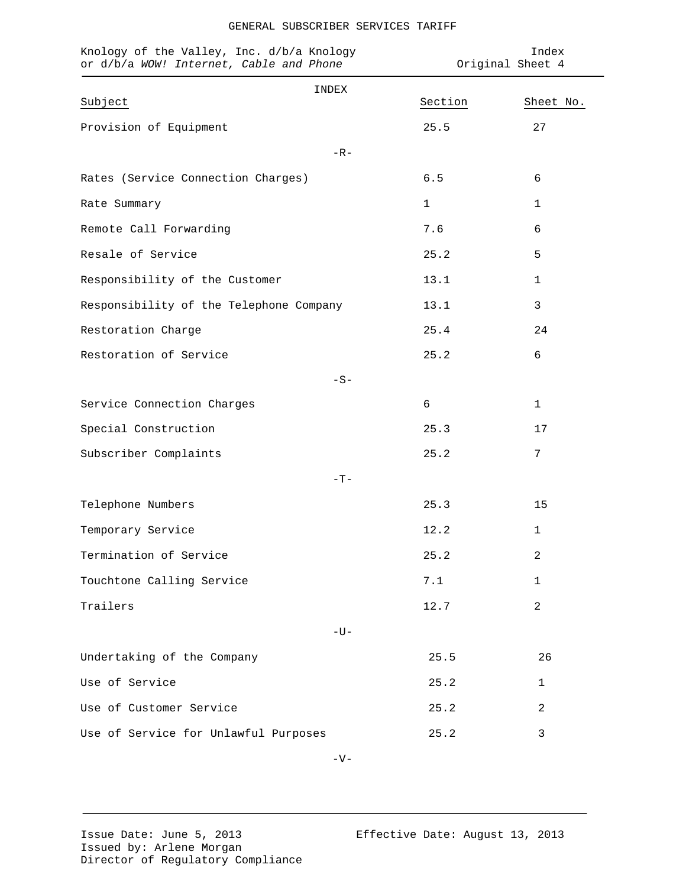| Knology of the Valley, Inc. d/b/a Knology<br>or d/b/a WOW! Internet, Cable and Phone |             | Index<br>Original Sheet 4 |  |
|--------------------------------------------------------------------------------------|-------------|---------------------------|--|
| INDEX                                                                                |             |                           |  |
| Subject                                                                              | Section     | Sheet No.                 |  |
| Provision of Equipment                                                               | 25.5        | 27                        |  |
| $-R-$                                                                                |             |                           |  |
| Rates (Service Connection Charges)                                                   | 6.5         | 6                         |  |
| Rate Summary                                                                         | $\mathbf 1$ | 1                         |  |
| Remote Call Forwarding                                                               | 7.6         | 6                         |  |
| Resale of Service                                                                    | 25.2        | 5                         |  |
| Responsibility of the Customer                                                       | 13.1        | 1                         |  |
| Responsibility of the Telephone Company                                              | 13.1        | 3                         |  |
| Restoration Charge                                                                   | 25.4        | 24                        |  |
| Restoration of Service                                                               | 25.2        | 6                         |  |
| $-S-$                                                                                |             |                           |  |
| Service Connection Charges                                                           | 6           | $\mathbf 1$               |  |
| Special Construction                                                                 | 25.3        | 17                        |  |
| Subscriber Complaints                                                                | 25.2        | 7                         |  |
| $-T-$                                                                                |             |                           |  |
| Telephone Numbers                                                                    | 25.3        | 15                        |  |
| Temporary Service                                                                    | 12.2        | $\mathbf{1}$              |  |
| Termination of Service                                                               | 25.2        | 2                         |  |
| Touchtone Calling Service                                                            | 7.1         | 1                         |  |
| Trailers                                                                             | 12.7        | 2                         |  |
| $-U-$                                                                                |             |                           |  |
| Undertaking of the Company                                                           | 25.5        | 26                        |  |
| Use of Service                                                                       | 25.2        | 1                         |  |
| Use of Customer Service                                                              | 25.2        | 2                         |  |
| Use of Service for Unlawful Purposes                                                 | 25.2        | $\mathfrak{Z}$            |  |

# GENERAL SUBSCRIBER SERVICES TARIFF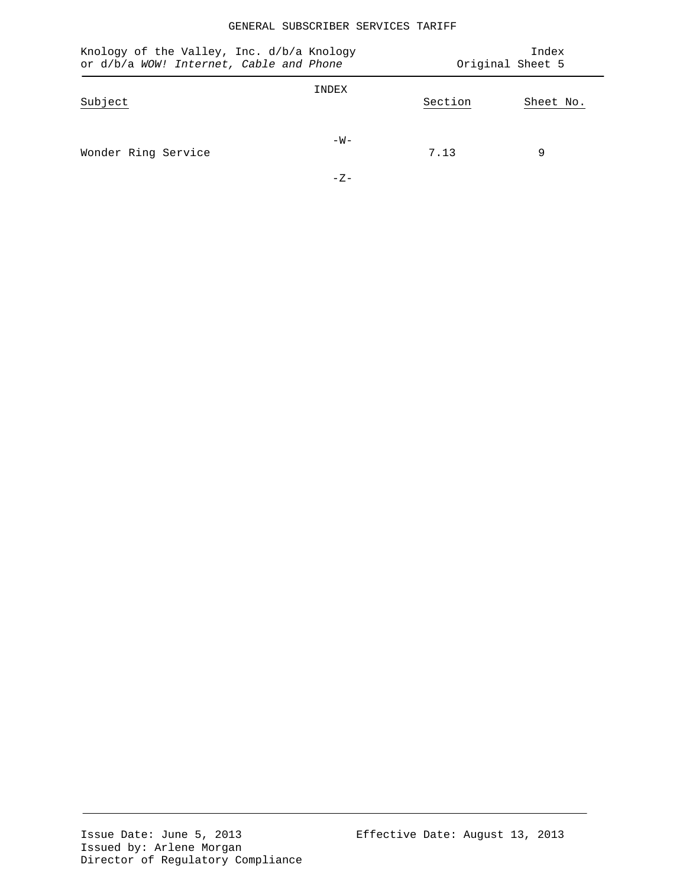# GENERAL SUBSCRIBER SERVICES TARIFF

| Knology of the Valley, Inc. d/b/a Knology<br>or d/b/a WOW! Internet, Cable and Phone |                 |         | Index<br>Original Sheet 5 |
|--------------------------------------------------------------------------------------|-----------------|---------|---------------------------|
| Subject                                                                              | INDEX           | Section | Sheet No.                 |
| Wonder Ring Service                                                                  | $-W -$<br>$-7-$ | 7.13    | 9                         |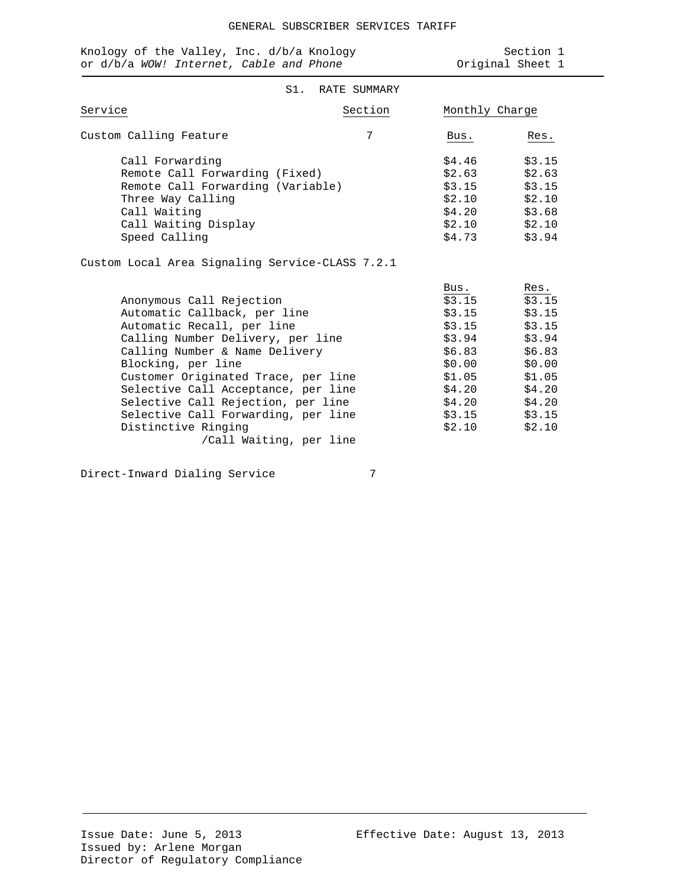| Knology of the Valley, Inc. d/b/a Knology |  | Section 1        |  |
|-------------------------------------------|--|------------------|--|
| or d/b/a WOW! Internet, Cable and Phone   |  | Original Sheet 1 |  |

## S1. RATE SUMMARY

| Service                                                                                                                                                              | Section | Monthly Charge                                                     |                                                                    |
|----------------------------------------------------------------------------------------------------------------------------------------------------------------------|---------|--------------------------------------------------------------------|--------------------------------------------------------------------|
| Custom Calling Feature                                                                                                                                               | 7       | Bus.                                                               | Res.                                                               |
| Call Forwarding<br>Remote Call Forwarding (Fixed)<br>Remote Call Forwarding (Variable)<br>Three Way Calling<br>Call Waiting<br>Call Waiting Display<br>Speed Calling |         | \$4.46<br>\$2.63<br>\$3.15<br>\$2.10<br>\$4.20<br>\$2.10<br>\$4.73 | \$3.15<br>\$2.63<br>\$3.15<br>\$2.10<br>\$3.68<br>\$2.10<br>\$3.94 |

Custom Local Area Signaling Service-CLASS 7.2.1

|                                     | Bus.   | Res.   |
|-------------------------------------|--------|--------|
| Anonymous Call Rejection            | \$3.15 | \$3.15 |
| Automatic Callback, per line        | \$3.15 | \$3.15 |
| Automatic Recall, per line          | \$3.15 | \$3.15 |
| Calling Number Delivery, per line   | \$3.94 | \$3.94 |
| Calling Number & Name Delivery      | \$6.83 | \$6.83 |
| Blocking, per line                  | \$0.00 | \$0.00 |
| Customer Originated Trace, per line | \$1.05 | \$1.05 |
| Selective Call Acceptance, per line | \$4.20 | \$4.20 |
| Selective Call Rejection, per line  | \$4.20 | \$4.20 |
| Selective Call Forwarding, per line | \$3.15 | \$3.15 |
| Distinctive Ringing                 | \$2.10 | \$2.10 |
| /Call Waiting, per line             |        |        |
|                                     |        |        |

Direct-Inward Dialing Service 7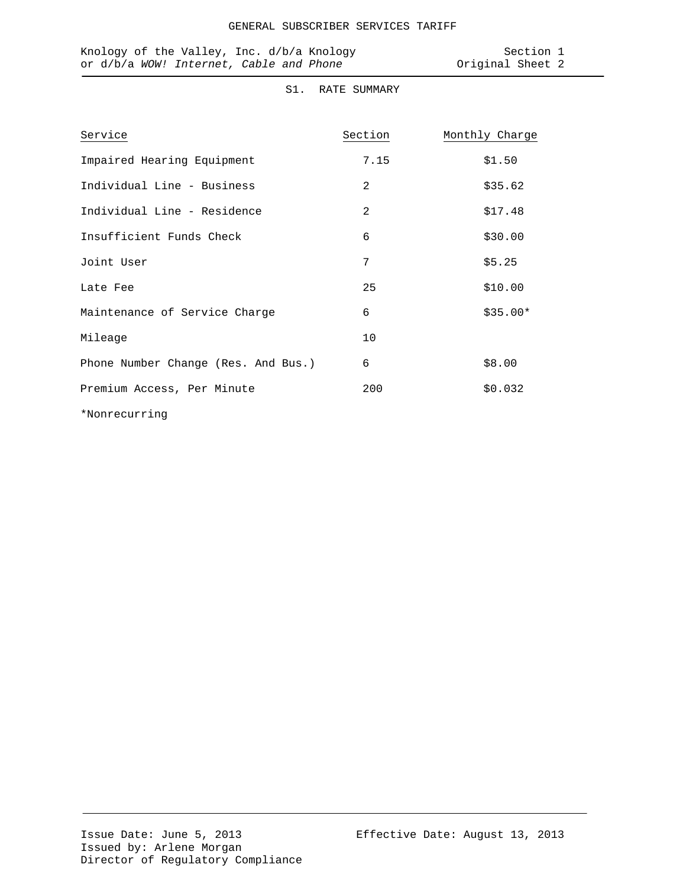| Knology of the Valley, Inc. d/b/a Knology |  | Section 1        |  |
|-------------------------------------------|--|------------------|--|
| or d/b/a WOW! Internet, Cable and Phone   |  | Original Sheet 2 |  |

# S1. RATE SUMMARY

| Service                             | Section | Monthly Charge |
|-------------------------------------|---------|----------------|
| Impaired Hearing Equipment          | 7.15    | \$1.50         |
| Individual Line - Business          | 2       | \$35.62        |
| Individual Line - Residence         | 2       | \$17.48        |
| Insufficient Funds Check            | 6       | \$30.00        |
| Joint User                          | 7       | \$5.25         |
| Late Fee                            | 25      | \$10.00        |
| Maintenance of Service Charge       | 6       | $$35.00*$      |
| Mileage                             | 10      |                |
| Phone Number Change (Res. And Bus.) | 6       | \$8.00         |
| Premium Access, Per Minute          | 200     | \$0.032        |
| *Nonrecurring                       |         |                |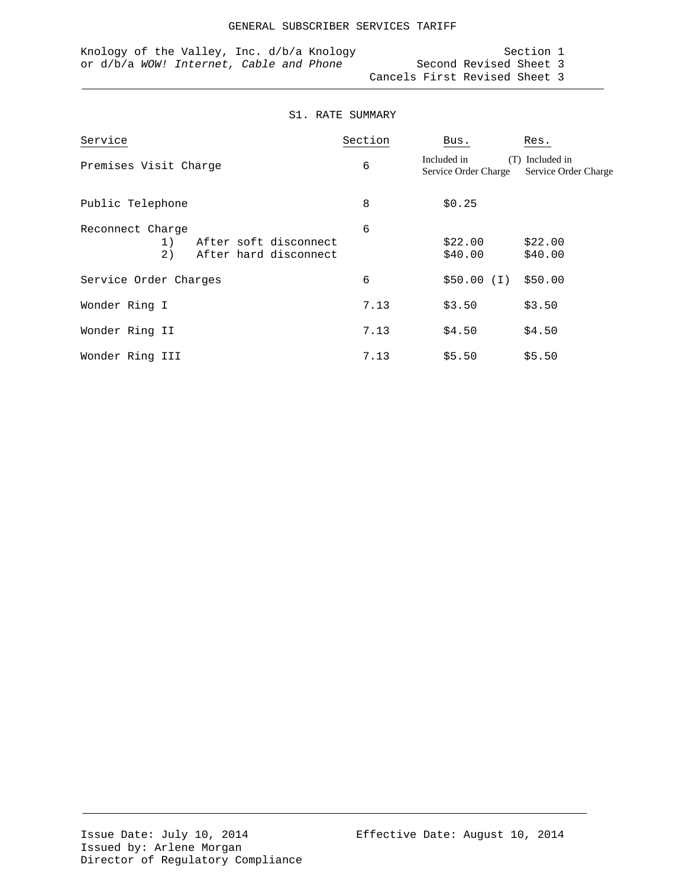|  |  | Knology of the Valley, Inc. $d/b/a$ Knology |  |  |  |                               | Section 1 |  |
|--|--|---------------------------------------------|--|--|--|-------------------------------|-----------|--|
|  |  | or d/b/a WOW! Internet, Cable and Phone     |  |  |  | Second Revised Sheet 3        |           |  |
|  |  |                                             |  |  |  | Cancels First Revised Sheet 3 |           |  |

#### S1. RATE SUMMARY

| Service                                                                        | Section | Bus.                                       | Res.                                |
|--------------------------------------------------------------------------------|---------|--------------------------------------------|-------------------------------------|
| Premises Visit Charge                                                          | 6       | Included in<br>(T)<br>Service Order Charge | Included in<br>Service Order Charge |
| Public Telephone                                                               | 8       | \$0.25                                     |                                     |
| Reconnect Charge<br>After soft disconnect<br>1)<br>2)<br>After hard disconnect | 6       | \$22.00<br>\$40.00                         | \$22.00<br>\$40.00                  |
| Service Order Charges                                                          | 6       | \$50.00 (I)                                | \$50.00                             |
| Wonder Ring I                                                                  | 7.13    | \$3.50                                     | \$3.50                              |
| Wonder Ring II                                                                 | 7.13    | \$4.50                                     | \$4.50                              |
| Wonder Ring III                                                                | 7.13    | \$5.50                                     | \$5.50                              |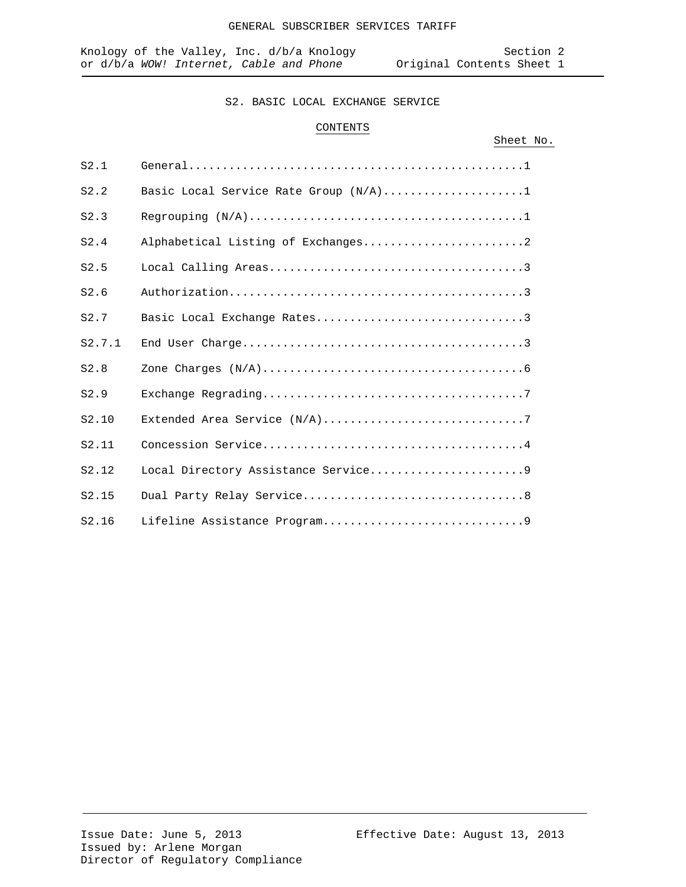# CONTENTS

# Sheet No.

| S2.1   |                                       |
|--------|---------------------------------------|
| S2.2   | Basic Local Service Rate Group (N/A)1 |
| S2.3   |                                       |
| S2.4   | Alphabetical Listing of Exchanges2    |
| S2.5   |                                       |
| S2.6   |                                       |
| S2.7   | Basic Local Exchange Rates3           |
| S2.7.1 |                                       |
| S2.8   |                                       |
| S2.9   |                                       |
| S2.10  |                                       |
| S2.11  |                                       |
| S2.12  | Local Directory Assistance Service9   |
| S2.15  |                                       |
| S2.16  |                                       |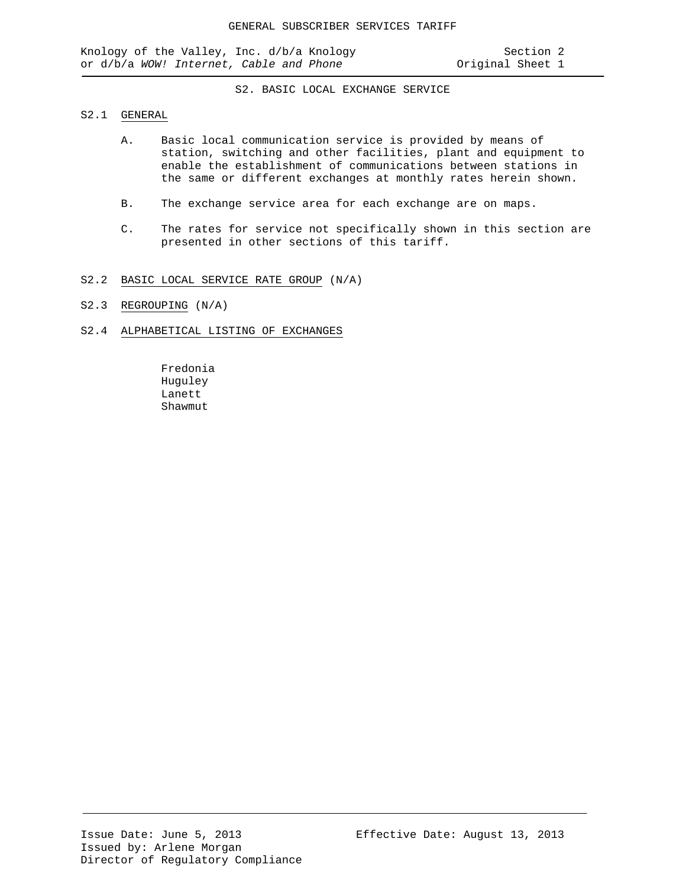#### S2.1 GENERAL

- A. Basic local communication service is provided by means of station, switching and other facilities, plant and equipment to enable the establishment of communications between stations in the same or different exchanges at monthly rates herein shown.
- B. The exchange service area for each exchange are on maps.
- C. The rates for service not specifically shown in this section are presented in other sections of this tariff.

#### S2.2 BASIC LOCAL SERVICE RATE GROUP (N/A)

S2.3 REGROUPING (N/A)

#### S2.4 ALPHABETICAL LISTING OF EXCHANGES

Fredonia Huguley Lanett Shawmut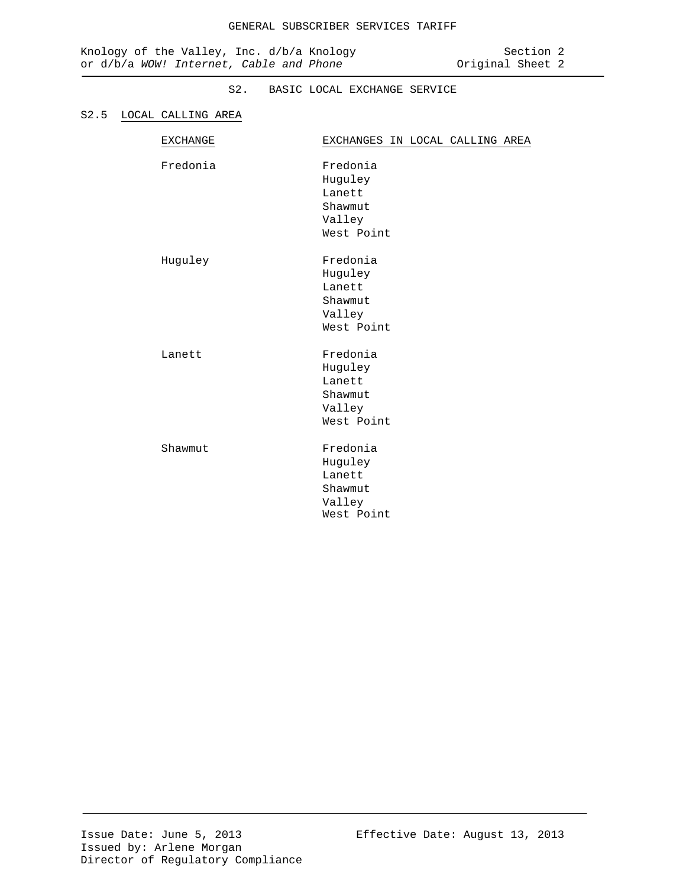#### S2.5 LOCAL CALLING AREA

| <b>EXCHANGE</b> | EXCHANGES IN LOCAL CALLING AREA                                  |
|-----------------|------------------------------------------------------------------|
| Fredonia        | Fredonia<br>Huguley<br>Lanett<br>Shawmut<br>Valley<br>West Point |
| Huguley         | Fredonia<br>Huguley<br>Lanett<br>Shawmut<br>Valley<br>West Point |
| Lanett          | Fredonia<br>Huguley<br>Lanett<br>Shawmut<br>Valley<br>West Point |
| Shawmut         | Fredonia<br>Huguley<br>Lanett<br>Shawmut<br>Valley<br>West Point |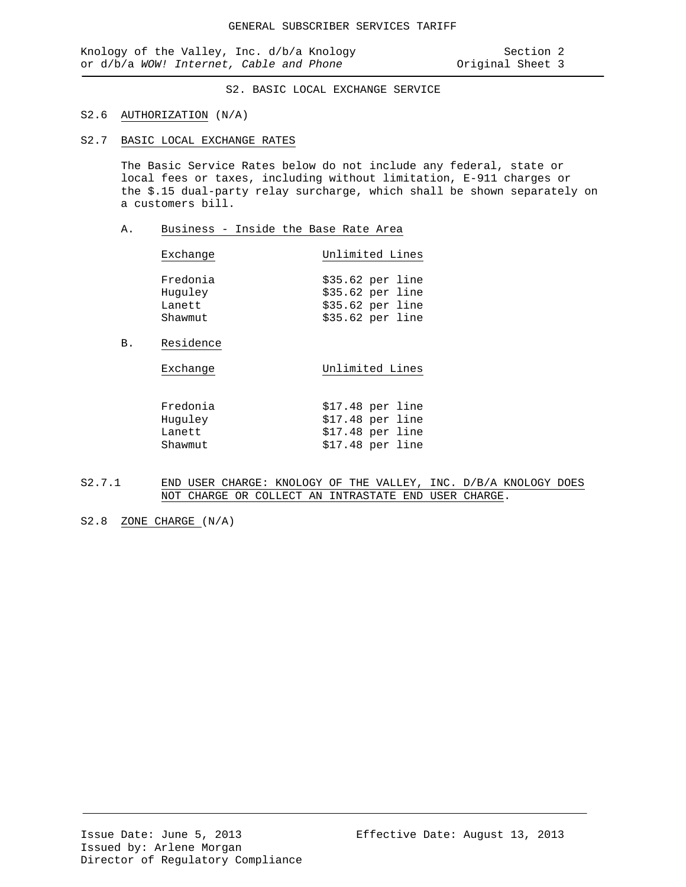- S2.6 AUTHORIZATION (N/A)
- S2.7 BASIC LOCAL EXCHANGE RATES

The Basic Service Rates below do not include any federal, state or local fees or taxes, including without limitation, E-911 charges or the \$.15 dual-party relay surcharge, which shall be shown separately on a customers bill.

A. Business - Inside the Base Rate Area

| Exchange                      | Unlimited Lines                                             |
|-------------------------------|-------------------------------------------------------------|
| Fredonia<br>Huguley<br>Lanett | $$35.62$ per line<br>$$35.62$ per line<br>$$35.62$ per line |
| Shawmut                       | $$35.62$ per line                                           |

B. Residence

| Exchange | Unlimited Lines   |
|----------|-------------------|
| Fredonia | $$17.48$ per line |
| Huguley  | $$17.48$ per line |
| Lanett   | $$17.48$ per line |

Shawmut  $$17.48$  per line

- S2.7.1 END USER CHARGE: KNOLOGY OF THE VALLEY, INC. D/B/A KNOLOGY DOES NOT CHARGE OR COLLECT AN INTRASTATE END USER CHARGE.
- S2.8 ZONE CHARGE (N/A)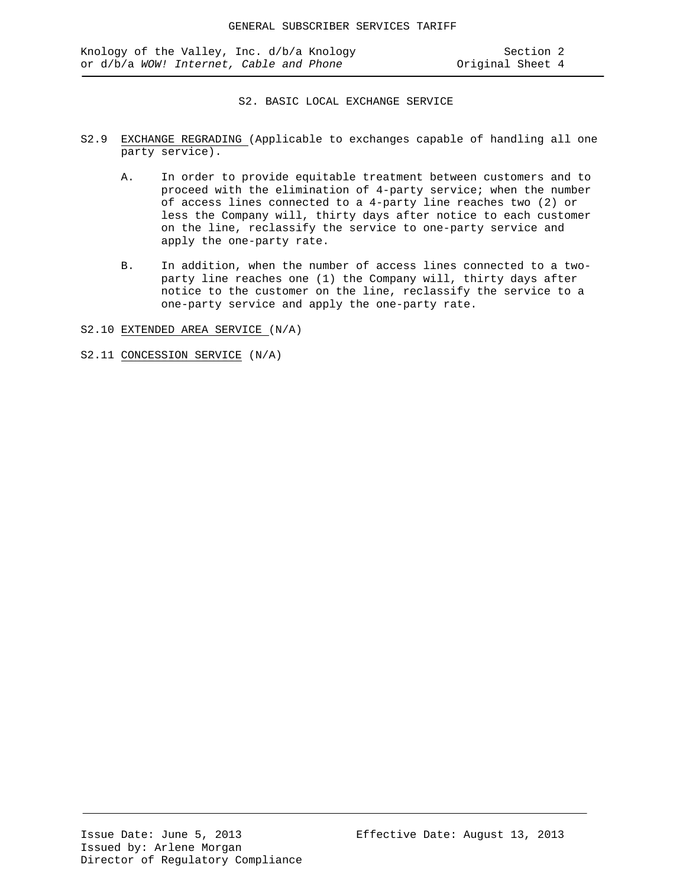- S2.9 EXCHANGE REGRADING (Applicable to exchanges capable of handling all one party service).
	- A. In order to provide equitable treatment between customers and to proceed with the elimination of 4-party service; when the number of access lines connected to a 4-party line reaches two (2) or less the Company will, thirty days after notice to each customer on the line, reclassify the service to one-party service and apply the one-party rate.
	- B. In addition, when the number of access lines connected to a twoparty line reaches one (1) the Company will, thirty days after notice to the customer on the line, reclassify the service to a one-party service and apply the one-party rate.

S2.10 EXTENDED AREA SERVICE (N/A)

S2.11 CONCESSION SERVICE (N/A)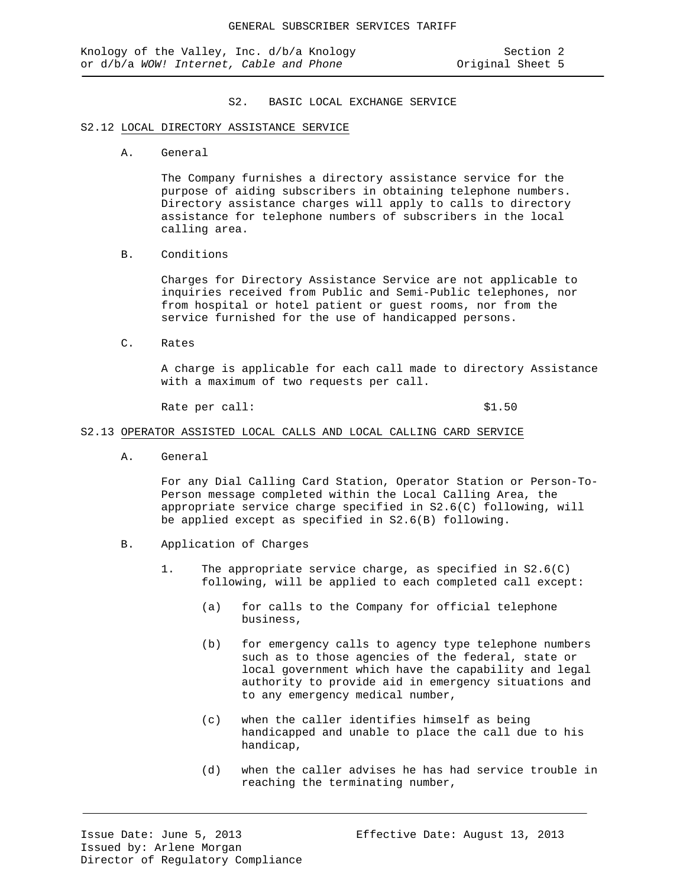#### S2.12 LOCAL DIRECTORY ASSISTANCE SERVICE

A. General

The Company furnishes a directory assistance service for the purpose of aiding subscribers in obtaining telephone numbers. Directory assistance charges will apply to calls to directory assistance for telephone numbers of subscribers in the local calling area.

B. Conditions

Charges for Directory Assistance Service are not applicable to inquiries received from Public and Semi-Public telephones, nor from hospital or hotel patient or guest rooms, nor from the service furnished for the use of handicapped persons.

C. Rates

A charge is applicable for each call made to directory Assistance with a maximum of two requests per call.

Rate per call:  $$1.50$ 

#### S2.13 OPERATOR ASSISTED LOCAL CALLS AND LOCAL CALLING CARD SERVICE

A. General

For any Dial Calling Card Station, Operator Station or Person-To-Person message completed within the Local Calling Area, the appropriate service charge specified in S2.6(C) following, will be applied except as specified in S2.6(B) following.

- B. Application of Charges
	- 1. The appropriate service charge, as specified in S2.6(C) following, will be applied to each completed call except:
		- (a) for calls to the Company for official telephone business,
		- (b) for emergency calls to agency type telephone numbers such as to those agencies of the federal, state or local government which have the capability and legal authority to provide aid in emergency situations and to any emergency medical number,
		- (c) when the caller identifies himself as being handicapped and unable to place the call due to his handicap,
		- (d) when the caller advises he has had service trouble in reaching the terminating number,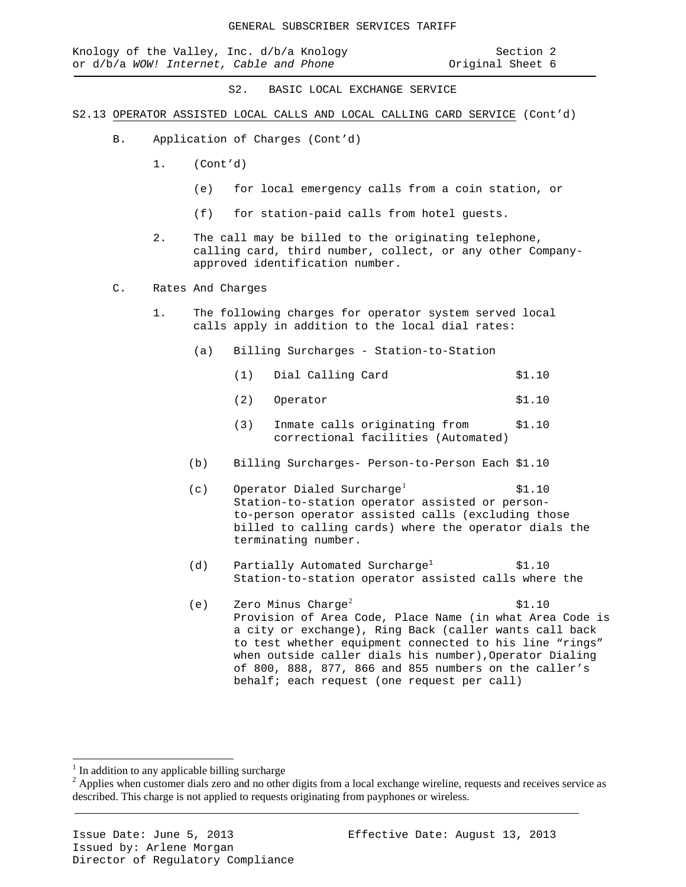|  |  | Knology of the Valley, Inc. d/b/a Knology |  |  | Section 2        |  |
|--|--|-------------------------------------------|--|--|------------------|--|
|  |  | or d/b/a WOW! Internet, Cable and Phone   |  |  | Original Sheet 6 |  |

# Original Sheet 6

S2. BASIC LOCAL EXCHANGE SERVICE

- S2.13 OPERATOR ASSISTED LOCAL CALLS AND LOCAL CALLING CARD SERVICE (Cont'd)
	- B. Application of Charges (Cont'd)
		- 1. (Cont'd)
			- (e) for local emergency calls from a coin station, or
			- (f) for station-paid calls from hotel guests.
		- 2. The call may be billed to the originating telephone, calling card, third number, collect, or any other Companyapproved identification number.
	- C. Rates And Charges
		- 1. The following charges for operator system served local calls apply in addition to the local dial rates:
			- (a) Billing Surcharges Station-to-Station
				- (1) Dial Calling Card \$1.10
				- (2) Operator \$1.10
				- (3) Inmate calls originating from \$1.10 correctional facilities (Automated)
			- (b) Billing Surcharges- Person-to-Person Each \$1.10
			- (c) Operator Dialed Surcharge<sup>[1](#page-17-0)</sup>  $$1.10$ Station-to-station operator assisted or personto-person operator assisted calls (excluding those billed to calling cards) where the operator dials the terminating number.
			- (d) Partially Automated Surcharge<sup>1</sup>  $$1.10$ Station-to-station operator assisted calls where the
			- (e) Zero Minus Charge<sup>[2](#page-17-1)</sup>  $\frac{1}{2}$  \$1.10 Provision of Area Code, Place Name (in what Area Code is a city or exchange), Ring Back (caller wants call back to test whether equipment connected to his line "rings" when outside caller dials his number), Operator Dialing of 800, 888, 877, 866 and 855 numbers on the caller's behalf; each request (one request per call)

<span id="page-17-0"></span> $1$  In addition to any applicable billing surcharge

<span id="page-17-1"></span> $2$  Applies when customer dials zero and no other digits from a local exchange wireline, requests and receives service as described. This charge is not applied to requests originating from payphones or wireless.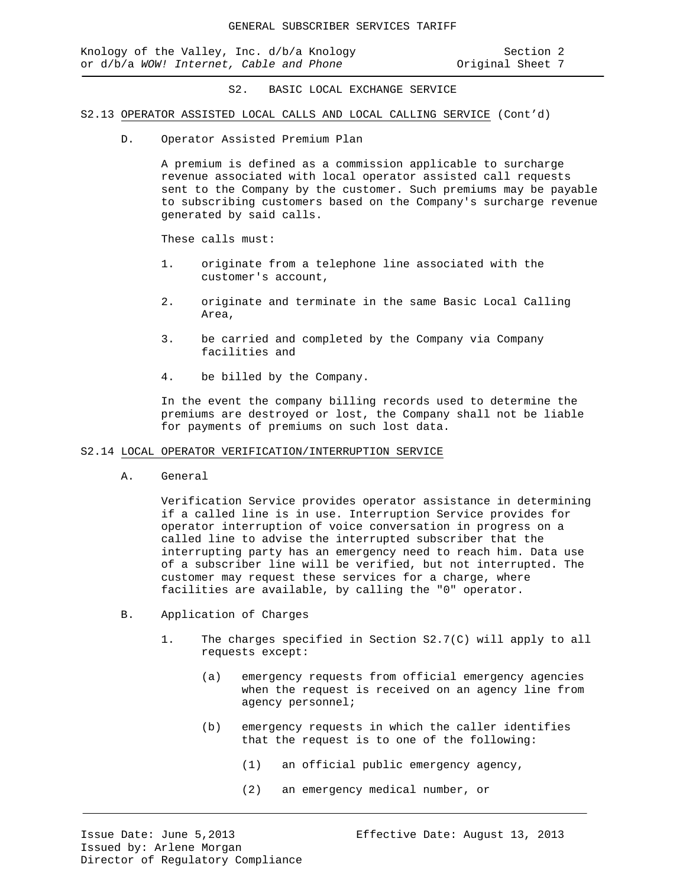Knology of the Valley, Inc. d/b/a Knology Section 2 or d/b/a *WOW!* Internet, Cable and Phone **Original Sheet 7** 

S2. BASIC LOCAL EXCHANGE SERVICE

#### S2.13 OPERATOR ASSISTED LOCAL CALLS AND LOCAL CALLING SERVICE (Cont'd)

D. Operator Assisted Premium Plan

A premium is defined as a commission applicable to surcharge revenue associated with local operator assisted call requests sent to the Company by the customer. Such premiums may be payable to subscribing customers based on the Company's surcharge revenue generated by said calls.

These calls must:

- 1. originate from a telephone line associated with the customer's account,
- 2. originate and terminate in the same Basic Local Calling Area,
- 3. be carried and completed by the Company via Company facilities and
- 4. be billed by the Company.

In the event the company billing records used to determine the premiums are destroyed or lost, the Company shall not be liable for payments of premiums on such lost data.

#### S2.14 LOCAL OPERATOR VERIFICATION/INTERRUPTION SERVICE

A. General

Verification Service provides operator assistance in determining if a called line is in use. Interruption Service provides for operator interruption of voice conversation in progress on a called line to advise the interrupted subscriber that the interrupting party has an emergency need to reach him. Data use of a subscriber line will be verified, but not interrupted. The customer may request these services for a charge, where facilities are available, by calling the "0" operator.

- B. Application of Charges
	- 1. The charges specified in Section S2.7(C) will apply to all requests except:
		- (a) emergency requests from official emergency agencies when the request is received on an agency line from agency personnel;
		- (b) emergency requests in which the caller identifies that the request is to one of the following:
			- (1) an official public emergency agency,
			- (2) an emergency medical number, or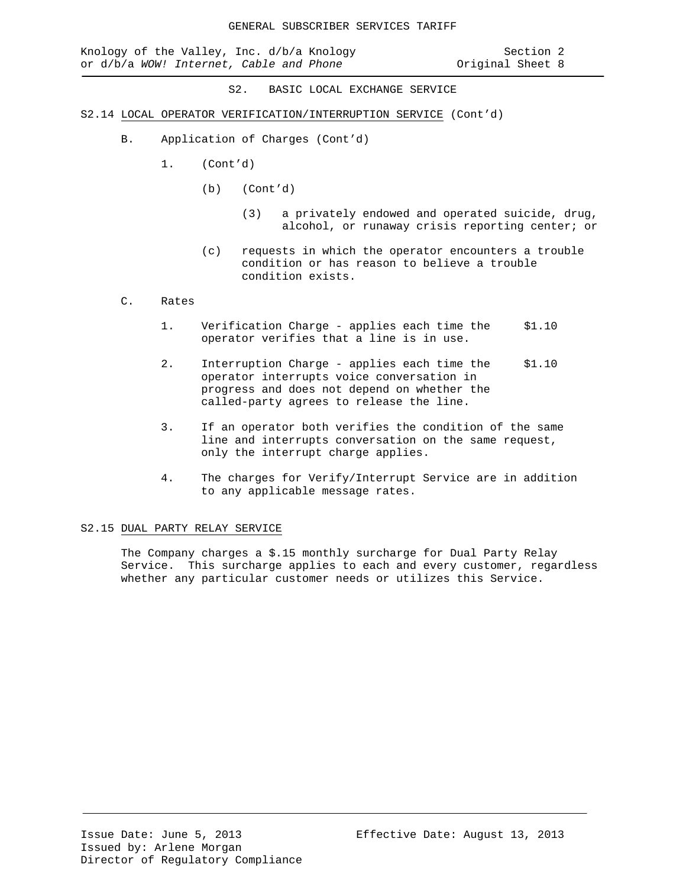- S2.14 LOCAL OPERATOR VERIFICATION/INTERRUPTION SERVICE (Cont'd)
	- B. Application of Charges (Cont'd)
		- 1. (Cont'd)
			- (b) (Cont'd)
				- (3) a privately endowed and operated suicide, drug, alcohol, or runaway crisis reporting center; or
			- (c) requests in which the operator encounters a trouble condition or has reason to believe a trouble condition exists.

#### C. Rates

- 1. Verification Charge applies each time the \$1.10 operator verifies that a line is in use.
- 2. Interruption Charge applies each time the \$1.10 operator interrupts voice conversation in progress and does not depend on whether the called-party agrees to release the line.
- 3. If an operator both verifies the condition of the same line and interrupts conversation on the same request, only the interrupt charge applies.
- 4. The charges for Verify/Interrupt Service are in addition to any applicable message rates.

#### S2.15 DUAL PARTY RELAY SERVICE

The Company charges a \$.15 monthly surcharge for Dual Party Relay Service. This surcharge applies to each and every customer, regardless whether any particular customer needs or utilizes this Service.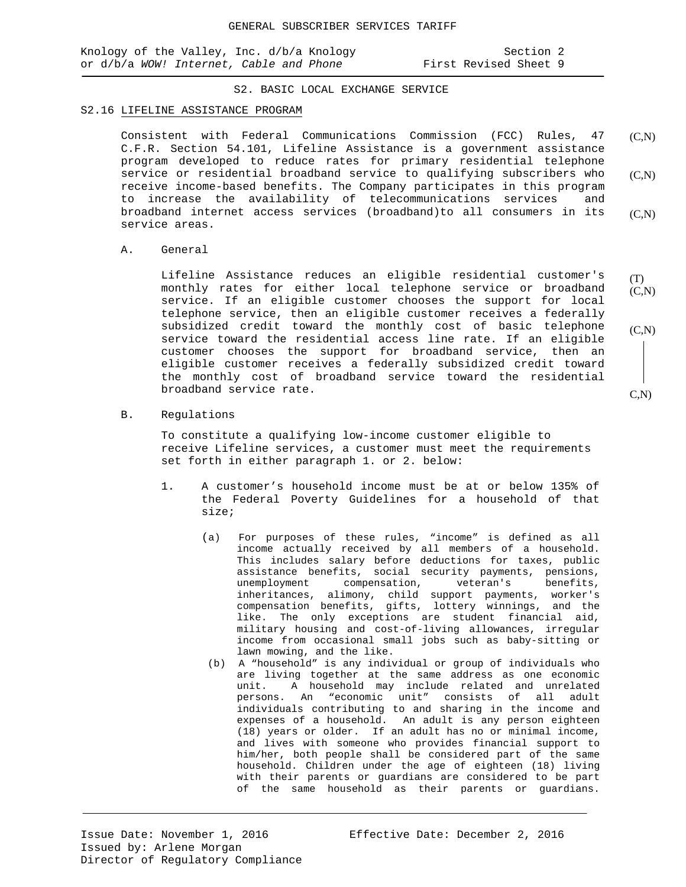|  | Knology of the Valley, Inc. d/b/a Knology |  |  |                       | Section 2 |  |
|--|-------------------------------------------|--|--|-----------------------|-----------|--|
|  | or d/b/a WOW! Internet, Cable and Phone   |  |  | First Revised Sheet 9 |           |  |

#### S2. BASIC LOCAL EXCHANGE SERVICE

#### S2.16 LIFELINE ASSISTANCE PROGRAM

Consistent with Federal Communications Commission (FCC) Rules, 47 C.F.R. Section 54.101, Lifeline Assistance is a government assistance program developed to reduce rates for primary residential telephone service or residential broadband service to qualifying subscribers who receive income-based benefits. The Company participates in this program to increase the availability of telecommunications services and broadband internet access services (broadband)to all consumers in its service areas.  $(C,N)$  $(C,N)$  $(C,N)$ 

A. General

Lifeline Assistance reduces an eligible residential customer's monthly rates for either local telephone service or broadband service. If an eligible customer chooses the support for local telephone service, then an eligible customer receives a federally subsidized credit toward the monthly cost of basic telephone service toward the residential access line rate. If an eligible customer chooses the support for broadband service, then an eligible customer receives a federally subsidized credit toward the monthly cost of broadband service toward the residential broadband service rate. (T)  $(C,N)$  $(C,N)$ 

B. Regulations

To constitute a qualifying low-income customer eligible to receive Lifeline services, a customer must meet the requirements set forth in either paragraph 1. or 2. below:

- 1. A customer's household income must be at or below 135% of the Federal Poverty Guidelines for a household of that size;
	- (a) For purposes of these rules, "income" is defined as all income actually received by all members of a household. This includes salary before deductions for taxes, public assistance benefits, social security payments, pensions, unemployment compensation, veteran's benefits, unemployment compensation, inheritances, alimony, child support payments, worker's compensation benefits, gifts, lottery winnings, and the like. The only exceptions are student financial aid, military housing and cost-of-living allowances, irregular income from occasional small jobs such as baby-sitting or lawn mowing, and the like.
	- (b) A "household" is any individual or group of individuals who are living together at the same address as one economic unit. A household may include related and unrelated persons. An "economic unit" consists of all adult individuals contributing to and sharing in the income and expenses of a household. An adult is any person eighteen (18) years or older. If an adult has no or minimal income, and lives with someone who provides financial support to him/her, both people shall be considered part of the same household. Children under the age of eighteen (18) living with their parents or guardians are considered to be part of the same household as their parents or guardians.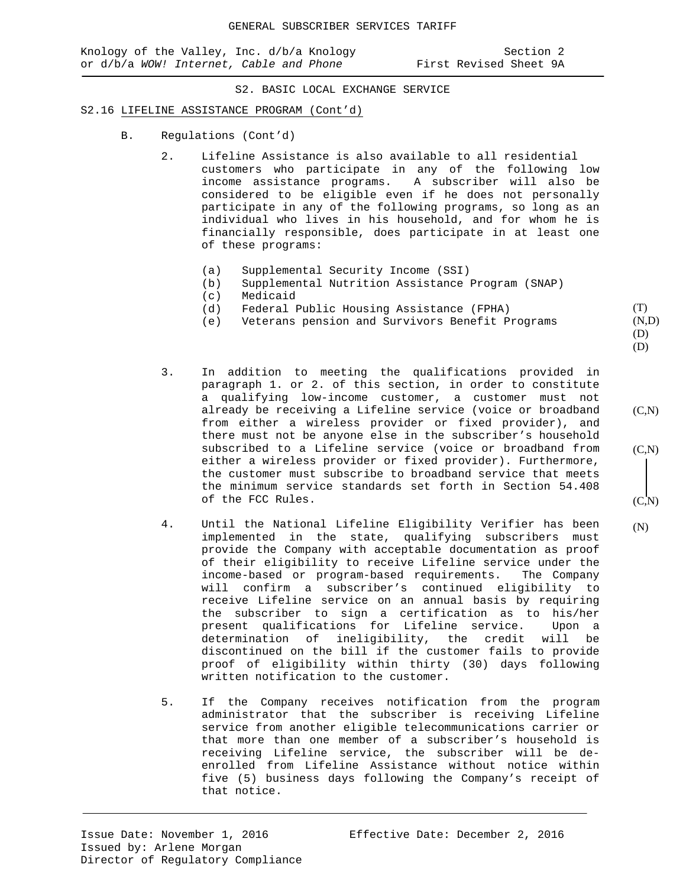#### S2.16 LIFELINE ASSISTANCE PROGRAM (Cont'd)

- B. Regulations (Cont'd)
	- 2. Lifeline Assistance is also available to all residential customers who participate in any of the following low income assistance programs. A subscriber will also be considered to be eligible even if he does not personally participate in any of the following programs, so long as an individual who lives in his household, and for whom he is financially responsible, does participate in at least one of these programs:
		- (a) Supplemental Security Income (SSI)<br>(b) Supplemental Nutrition Assistance
		- (b) Supplemental Nutrition Assistance Program (SNAP)
		- (c) Medicaid<br>(d) Federal I
		- (d) Federal Public Housing Assistance (FPHA)<br>(e) Veterans pension and Survivors Benefit P:
		- Veterans pension and Survivors Benefit Programs
	- 3. In addition to meeting the qualifications provided in paragraph 1. or 2. of this section, in order to constitute a qualifying low-income customer, a customer must not already be receiving a Lifeline service (voice or broadband from either a wireless provider or fixed provider), and there must not be anyone else in the subscriber's household subscribed to a Lifeline service (voice or broadband from either a wireless provider or fixed provider). Furthermore, the customer must subscribe to broadband service that meets the minimum service standards set forth in Section 54.408 of the FCC Rules.
	- 4. Until the National Lifeline Eligibility Verifier has been implemented in the state, qualifying subscribers must provide the Company with acceptable documentation as proof of their eligibility to receive Lifeline service under the income-based or program-based requirements. The Company will confirm a subscriber's continued eligibility to receive Lifeline service on an annual basis by requiring the subscriber to sign a certification as to his/her present qualifications for Lifeline service. determination of ineligibility, the credit will be discontinued on the bill if the customer fails to provide proof of eligibility within thirty (30) days following written notification to the customer.
	- 5. If the Company receives notification from the program administrator that the subscriber is receiving Lifeline service from another eligible telecommunications carrier or that more than one member of a subscriber's household is receiving Lifeline service, the subscriber will be deenrolled from Lifeline Assistance without notice within five (5) business days following the Company's receipt of that notice.

(T) (N,D) (D)

 $(C,N)$ 

 $(C,N)$ 

 $(C, N)$ 

(N)

(D)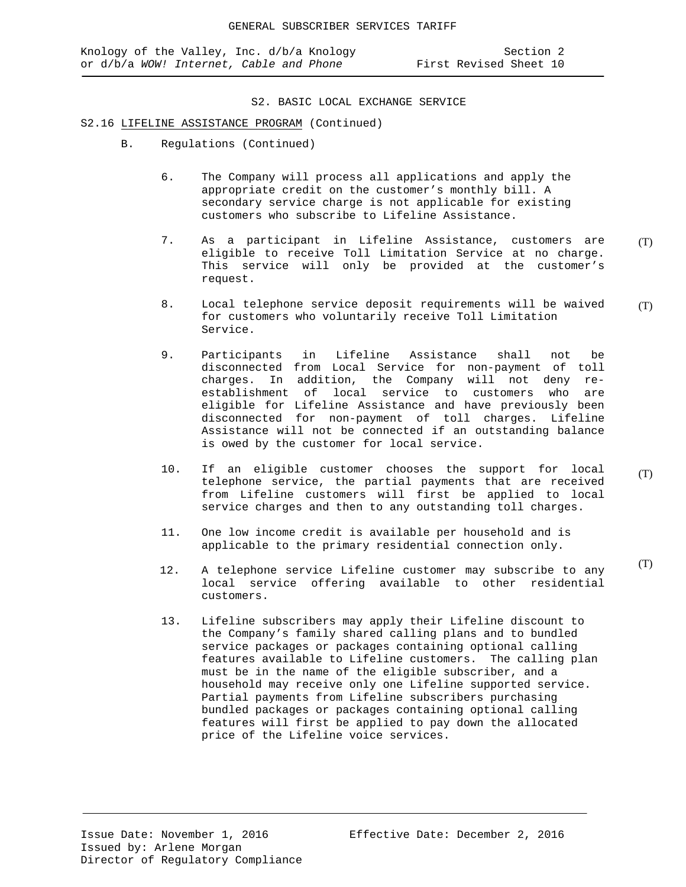#### S2.16 LIFELINE ASSISTANCE PROGRAM (Continued)

- B. Regulations (Continued)
	- 6. The Company will process all applications and apply the appropriate credit on the customer's monthly bill. A secondary service charge is not applicable for existing customers who subscribe to Lifeline Assistance.
	- 7. As a participant in Lifeline Assistance, customers are eligible to receive Toll Limitation Service at no charge. This service will only be provided at the customer's request. (T)
	- 8. Local telephone service deposit requirements will be waived for customers who voluntarily receive Toll Limitation Service. (T)
	- 9. Participants in Lifeline Assistance shall not be disconnected from Local Service for non-payment of toll charges. In addition, the Company will not deny reestablishment of local service to customers who are eligible for Lifeline Assistance and have previously been disconnected for non-payment of toll charges. Lifeline Assistance will not be connected if an outstanding balance is owed by the customer for local service.
	- 10. If an eligible customer chooses the support for local telephone service, the partial payments that are received from Lifeline customers will first be applied to local service charges and then to any outstanding toll charges.
	- 11. One low income credit is available per household and is applicable to the primary residential connection only.
	- 12. A telephone service Lifeline customer may subscribe to any local service offering available to other residential customers.
	- 13. Lifeline subscribers may apply their Lifeline discount to the Company's family shared calling plans and to bundled service packages or packages containing optional calling features available to Lifeline customers. The calling plan must be in the name of the eligible subscriber, and a household may receive only one Lifeline supported service. Partial payments from Lifeline subscribers purchasing bundled packages or packages containing optional calling features will first be applied to pay down the allocated price of the Lifeline voice services.

(T)

(T)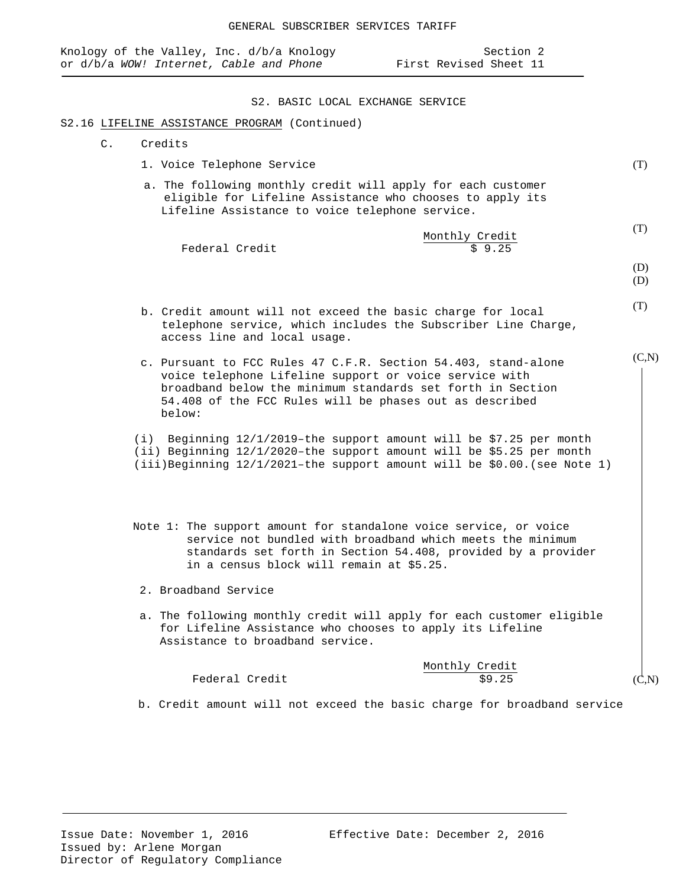# access line and local usage. c. Pursuant to FCC Rules 47 C.F.R. Section 54.403, stand-alone voice telephone Lifeline support or voice service with broadband below the minimum standards set forth in Section 54.408 of the FCC Rules will be phases out as described below: (i) Beginning 12/1/2019–the support amount will be \$7.25 per month (ii) Beginning 12/1/2020–the support amount will be \$5.25 per month (iii)Beginning 12/1/2021–the support amount will be \$0.00.(see Note 1) Note 1: The support amount for standalone voice service, or voice service not bundled with broadband which meets the minimum standards set forth in Section 54.408, provided by a provider in a census block will remain at \$5.25. 2. Broadband Service a. The following monthly credit will apply for each customer eligible for Lifeline Assistance who chooses to apply its Lifeline Assistance to broadband service. Monthly Credit<br>\$9.25 Federal Credit  $(C,N)$  $(C.N)$

b. Credit amount will not exceed the basic charge for broadband service

- b. Credit amount will not exceed the basic charge for local telephone service, which includes the Subscriber Line Charge,
- 

Knology of the Valley, Inc. d/b/a Knology Section 2 or d/b/a *WOW! Internet, Cable and Phone* First Revised Sheet 11

Monthly Credit<br>\$ 9.25

S2. BASIC LOCAL EXCHANGE SERVICE

 a. The following monthly credit will apply for each customer eligible for Lifeline Assistance who chooses to apply its

Lifeline Assistance to voice telephone service.

# S2.16 LIFELINE ASSISTANCE PROGRAM (Continued)

1. Voice Telephone Service

Federal Credit

C. Credits

(T)

(T)

(D) (D)

(T)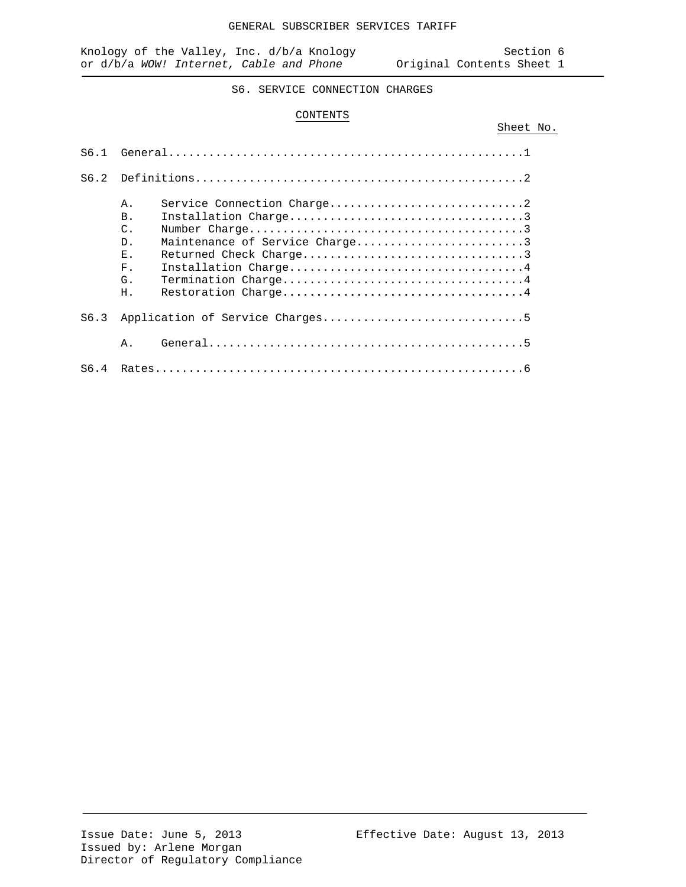Sheet No.

S6. SERVICE CONNECTION CHARGES

#### CONTENTS

| S6.1 |                                                                                                                        |
|------|------------------------------------------------------------------------------------------------------------------------|
|      |                                                                                                                        |
| S6.2 |                                                                                                                        |
|      | Α.<br><b>B</b> .<br>$\mathcal{C}$ .<br>Maintenance of Service Charge3<br>$D$ .<br>F.,<br>$F$ .<br>G.<br>H <sub>1</sub> |
| S6.3 |                                                                                                                        |
|      | Α.                                                                                                                     |
| S6.4 |                                                                                                                        |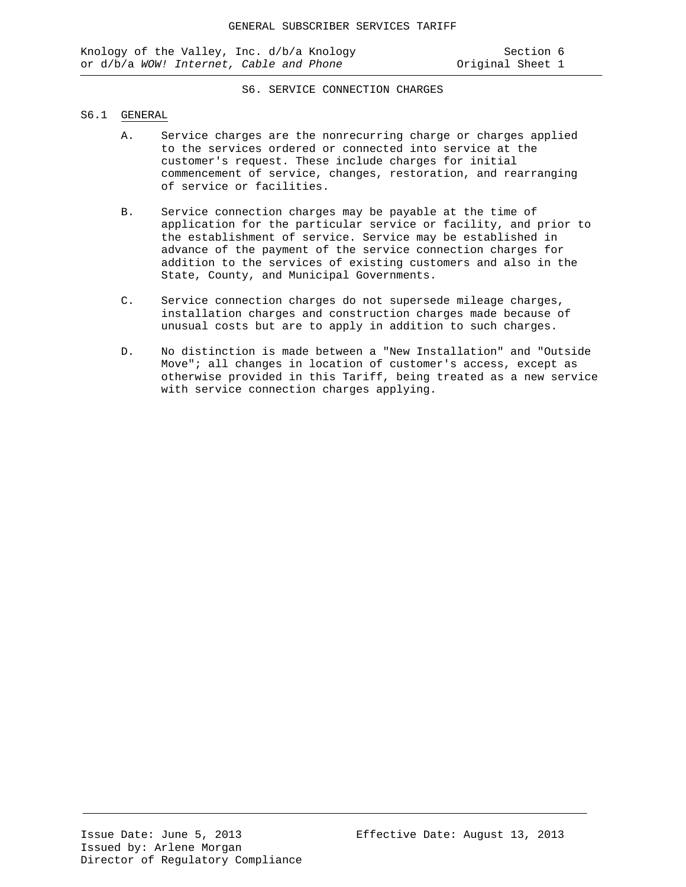#### S6.1 GENERAL

- A. Service charges are the nonrecurring charge or charges applied to the services ordered or connected into service at the customer's request. These include charges for initial commencement of service, changes, restoration, and rearranging of service or facilities.
- B. Service connection charges may be payable at the time of application for the particular service or facility, and prior to the establishment of service. Service may be established in advance of the payment of the service connection charges for addition to the services of existing customers and also in the State, County, and Municipal Governments.
- C. Service connection charges do not supersede mileage charges, installation charges and construction charges made because of unusual costs but are to apply in addition to such charges.
- D. No distinction is made between a "New Installation" and "Outside Move"; all changes in location of customer's access, except as otherwise provided in this Tariff, being treated as a new service with service connection charges applying.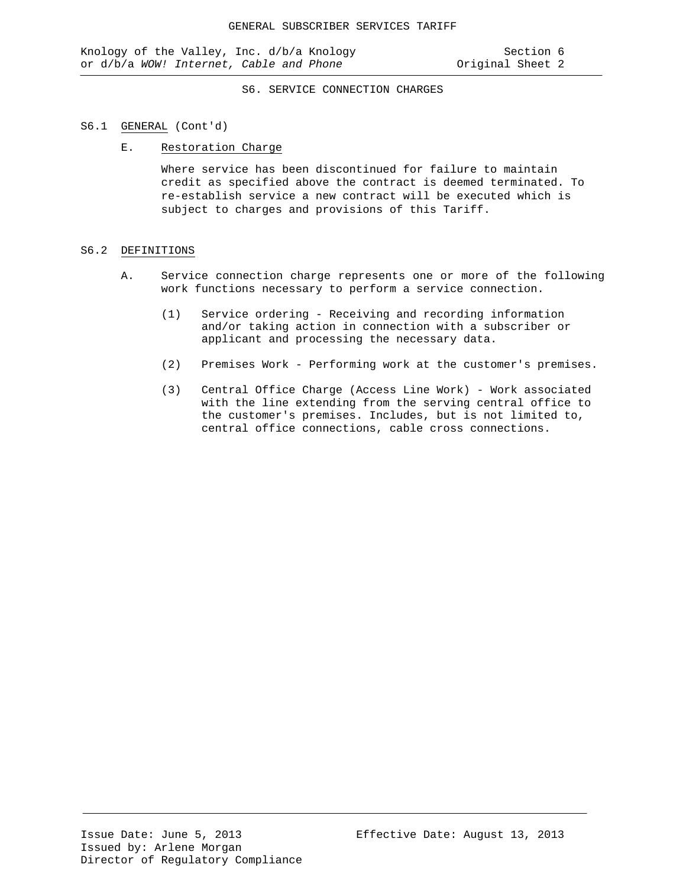#### S6.1 GENERAL (Cont'd)

#### E. Restoration Charge

Where service has been discontinued for failure to maintain credit as specified above the contract is deemed terminated. To re-establish service a new contract will be executed which is subject to charges and provisions of this Tariff.

#### S6.2 DEFINITIONS

- A. Service connection charge represents one or more of the following work functions necessary to perform a service connection.
	- (1) Service ordering Receiving and recording information and/or taking action in connection with a subscriber or applicant and processing the necessary data.
	- (2) Premises Work Performing work at the customer's premises.
	- (3) Central Office Charge (Access Line Work) Work associated with the line extending from the serving central office to the customer's premises. Includes, but is not limited to, central office connections, cable cross connections.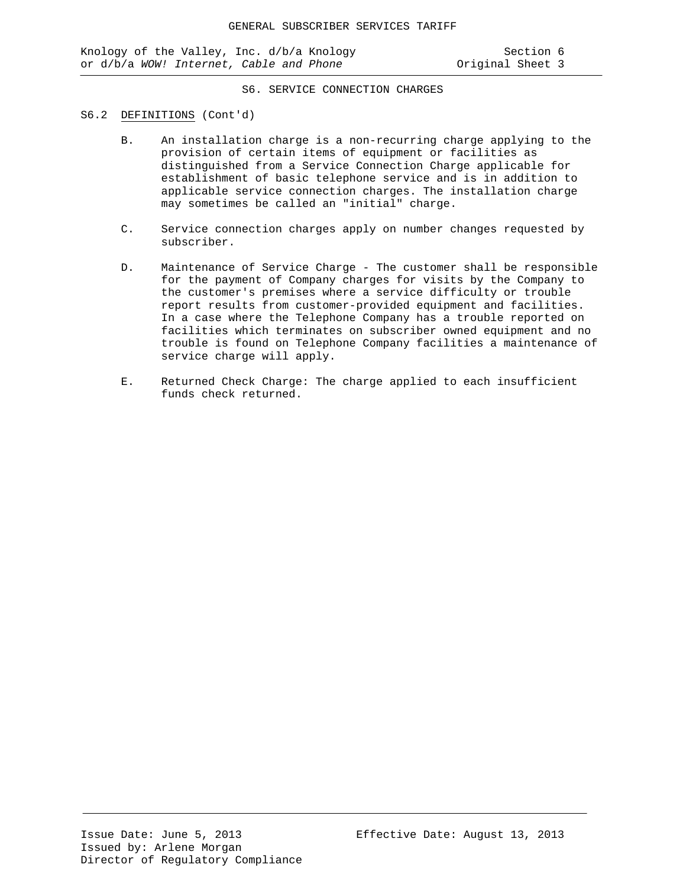#### S6.2 DEFINITIONS (Cont'd)

- B. An installation charge is a non-recurring charge applying to the provision of certain items of equipment or facilities as distinguished from a Service Connection Charge applicable for establishment of basic telephone service and is in addition to applicable service connection charges. The installation charge may sometimes be called an "initial" charge.
- C. Service connection charges apply on number changes requested by subscriber.
- D. Maintenance of Service Charge The customer shall be responsible for the payment of Company charges for visits by the Company to the customer's premises where a service difficulty or trouble report results from customer-provided equipment and facilities. In a case where the Telephone Company has a trouble reported on facilities which terminates on subscriber owned equipment and no trouble is found on Telephone Company facilities a maintenance of service charge will apply.
- E. Returned Check Charge: The charge applied to each insufficient funds check returned.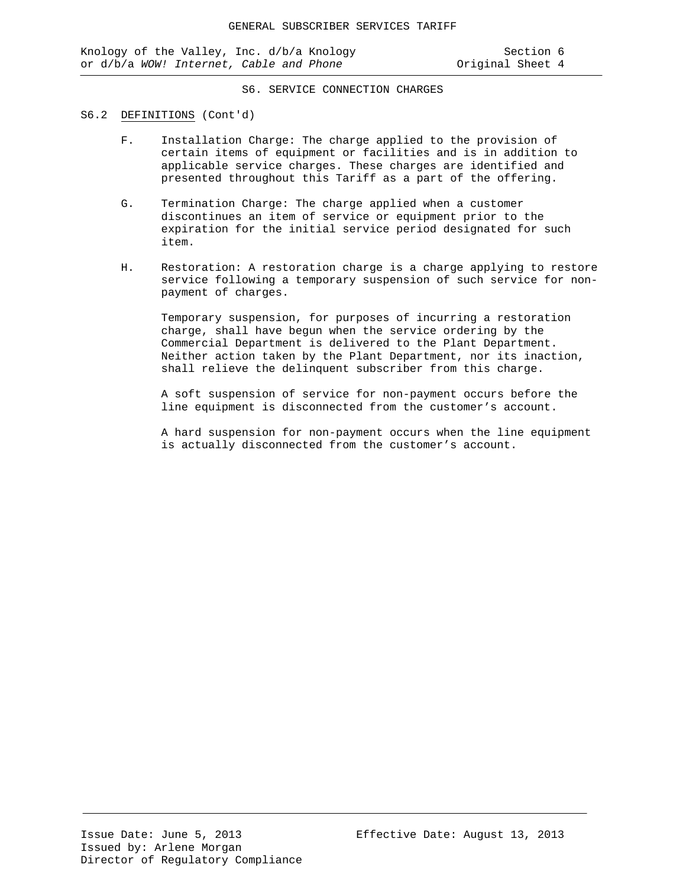#### S6.2 DEFINITIONS (Cont'd)

- F. Installation Charge: The charge applied to the provision of certain items of equipment or facilities and is in addition to applicable service charges. These charges are identified and presented throughout this Tariff as a part of the offering.
- G. Termination Charge: The charge applied when a customer discontinues an item of service or equipment prior to the expiration for the initial service period designated for such item.
- H. Restoration: A restoration charge is a charge applying to restore service following a temporary suspension of such service for nonpayment of charges.

Temporary suspension, for purposes of incurring a restoration charge, shall have begun when the service ordering by the Commercial Department is delivered to the Plant Department. Neither action taken by the Plant Department, nor its inaction, shall relieve the delinquent subscriber from this charge.

A soft suspension of service for non-payment occurs before the line equipment is disconnected from the customer's account.

A hard suspension for non-payment occurs when the line equipment is actually disconnected from the customer's account.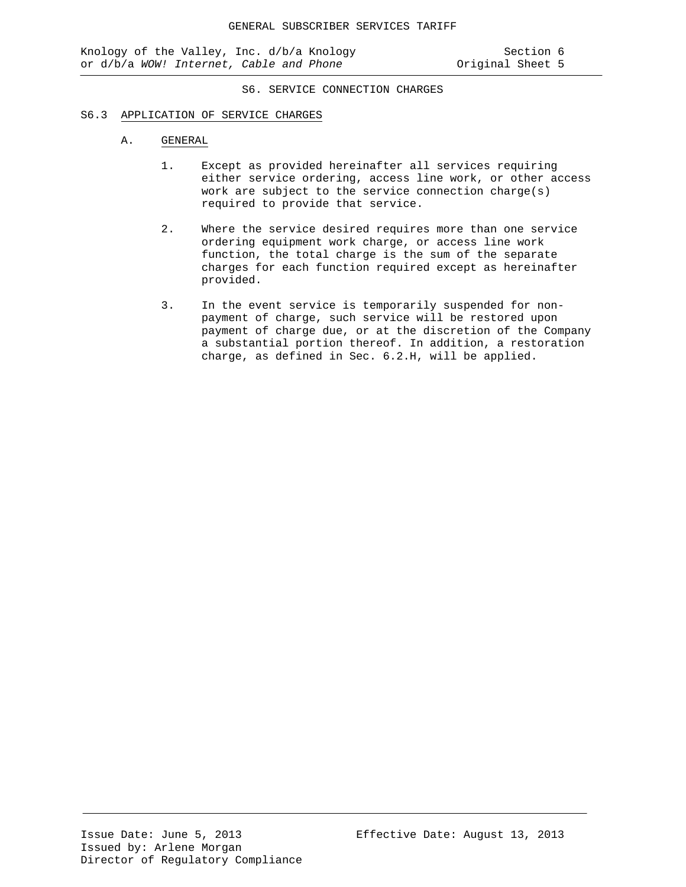#### S6.3 APPLICATION OF SERVICE CHARGES

#### A. GENERAL

- 1. Except as provided hereinafter all services requiring either service ordering, access line work, or other access work are subject to the service connection charge(s) required to provide that service.
- 2. Where the service desired requires more than one service ordering equipment work charge, or access line work function, the total charge is the sum of the separate charges for each function required except as hereinafter provided.
- 3. In the event service is temporarily suspended for nonpayment of charge, such service will be restored upon payment of charge due, or at the discretion of the Company a substantial portion thereof. In addition, a restoration charge, as defined in Sec. 6.2.H, will be applied.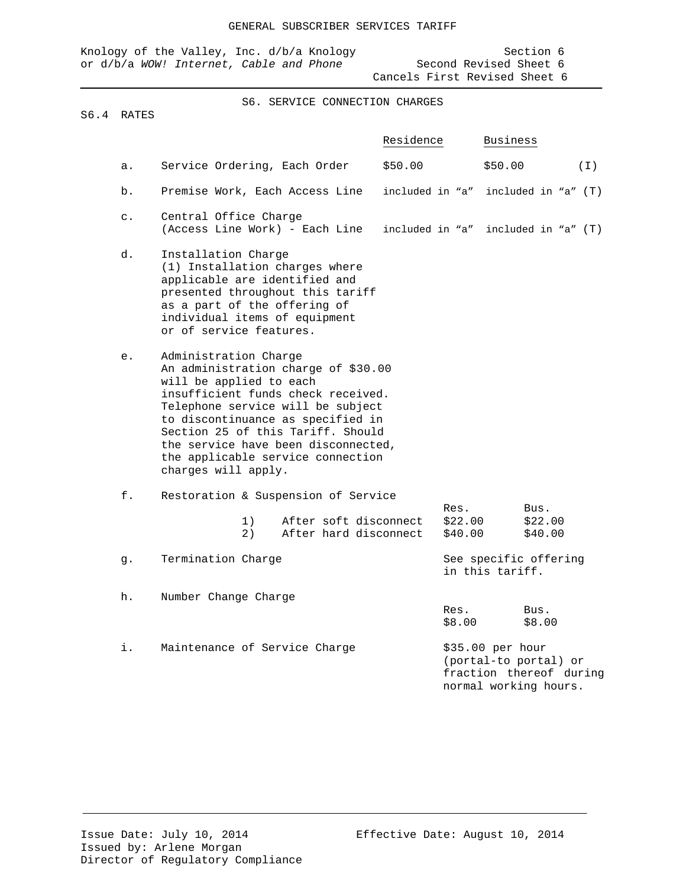|  |  | Knology of the Valley, Inc. d/b/a Knology |  |  |  |                               | Section 6 |  |
|--|--|-------------------------------------------|--|--|--|-------------------------------|-----------|--|
|  |  | or d/b/a WOW! Internet. Cable and Phone   |  |  |  | Second Revised Sheet 6        |           |  |
|  |  |                                           |  |  |  | Cancels First Revised Sheet 6 |           |  |

### S6.4 RATES

|                |                                                                                                                                                                                                                                                                                                                                                 | Residence          | <b>Business</b>                                                                               |
|----------------|-------------------------------------------------------------------------------------------------------------------------------------------------------------------------------------------------------------------------------------------------------------------------------------------------------------------------------------------------|--------------------|-----------------------------------------------------------------------------------------------|
| a.             | Service Ordering, Each Order                                                                                                                                                                                                                                                                                                                    | \$50.00            | \$50.00<br>(T)                                                                                |
| b.             | Premise Work, Each Access Line                                                                                                                                                                                                                                                                                                                  | included in "a"    | included in "a" (T)                                                                           |
| $\mathsf{c}$ . | Central Office Charge<br>(Access Line Work) - Each Line                                                                                                                                                                                                                                                                                         | included in "a"    | included in "a" (T)                                                                           |
| d.             | Installation Charge<br>(1) Installation charges where<br>applicable are identified and<br>presented throughout this tariff<br>as a part of the offering of<br>individual items of equipment<br>or of service features.                                                                                                                          |                    |                                                                                               |
| е.             | Administration Charge<br>An administration charge of \$30.00<br>will be applied to each<br>insufficient funds check received.<br>Telephone service will be subject<br>to discontinuance as specified in<br>Section 25 of this Tariff. Should<br>the service have been disconnected,<br>the applicable service connection<br>charges will apply. |                    |                                                                                               |
| f.             | Restoration & Suspension of Service                                                                                                                                                                                                                                                                                                             | Res.               | Bus.                                                                                          |
|                | After soft disconnect<br>1)<br>After hard disconnect<br>2)                                                                                                                                                                                                                                                                                      | \$22.00<br>\$40.00 | \$22.00<br>\$40.00                                                                            |
| g.             | Termination Charge                                                                                                                                                                                                                                                                                                                              |                    | See specific offering<br>in this tariff.                                                      |
| h.             | Number Change Charge                                                                                                                                                                                                                                                                                                                            |                    |                                                                                               |
|                |                                                                                                                                                                                                                                                                                                                                                 | Res.<br>\$8.00     | Bus.<br>\$8.00                                                                                |
| i.             | Maintenance of Service Charge                                                                                                                                                                                                                                                                                                                   |                    | \$35.00 per hour<br>(portal-to portal) or<br>fraction thereof during<br>normal working hours. |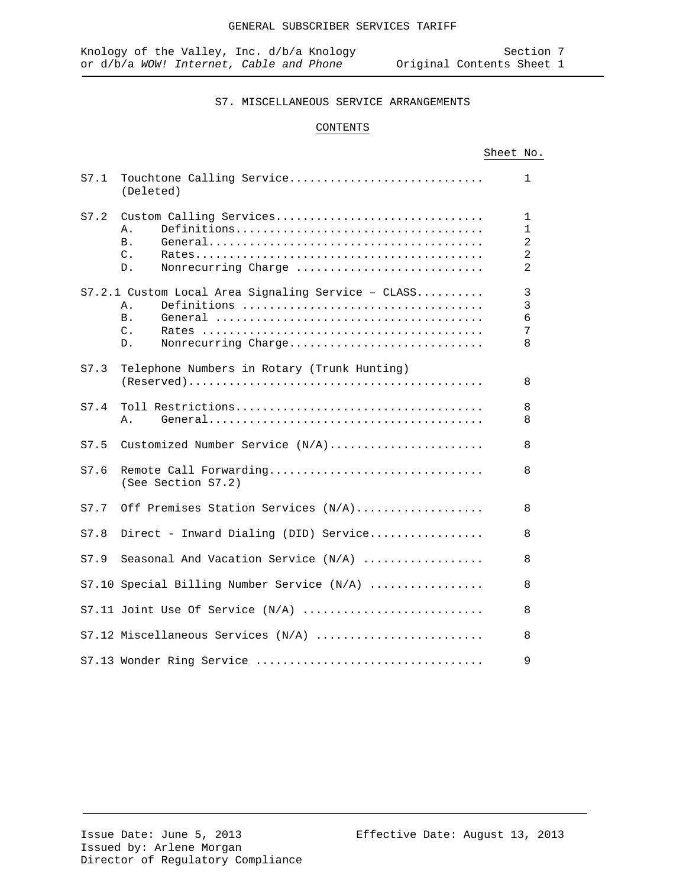# CONTENTS

|--|

| S7.1 | Touchtone Calling Service<br>(Deleted)                                                                                 | $\mathbf{1}$                                                                       |  |  |  |
|------|------------------------------------------------------------------------------------------------------------------------|------------------------------------------------------------------------------------|--|--|--|
| S7.2 | Custom Calling Services<br>Α.<br><b>B</b> .<br>$\mathsf{C}$ .<br>Nonrecurring Charge<br>$D$ .                          | $\mathbf{1}$<br>$\mathbf{1}$<br>$\overline{a}$<br>$\overline{2}$<br>$\overline{2}$ |  |  |  |
|      | S7.2.1 Custom Local Area Signaling Service - CLASS<br>Α.<br><b>B</b> .<br>$\mathcal{C}$ .<br>Nonrecurring Charge<br>D. | $\mathbf{3}$<br>$\overline{3}$<br>$\epsilon$<br>7<br>8                             |  |  |  |
| S7.3 | Telephone Numbers in Rotary (Trunk Hunting)                                                                            | 8                                                                                  |  |  |  |
| S7.4 | Α.                                                                                                                     | 8<br>8                                                                             |  |  |  |
| S7.5 | Customized Number Service (N/A)                                                                                        | 8                                                                                  |  |  |  |
| S7.6 | Remote Call Forwarding<br>8<br>(See Section S7.2)                                                                      |                                                                                    |  |  |  |
| S7.7 | Off Premises Station Services (N/A)                                                                                    | 8                                                                                  |  |  |  |
| S7.8 | Direct - Inward Dialing (DID) Service                                                                                  | 8                                                                                  |  |  |  |
| S7.9 | Seasonal And Vacation Service $(N/A)$                                                                                  | 8                                                                                  |  |  |  |
|      | S7.10 Special Billing Number Service (N/A)                                                                             | 8                                                                                  |  |  |  |
|      | $S7.11$ Joint Use Of Service $(N/A)$                                                                                   | 8                                                                                  |  |  |  |
|      | S7.12 Miscellaneous Services (N/A)                                                                                     | 8                                                                                  |  |  |  |
|      | S7.13 Wonder Ring Service                                                                                              | 9                                                                                  |  |  |  |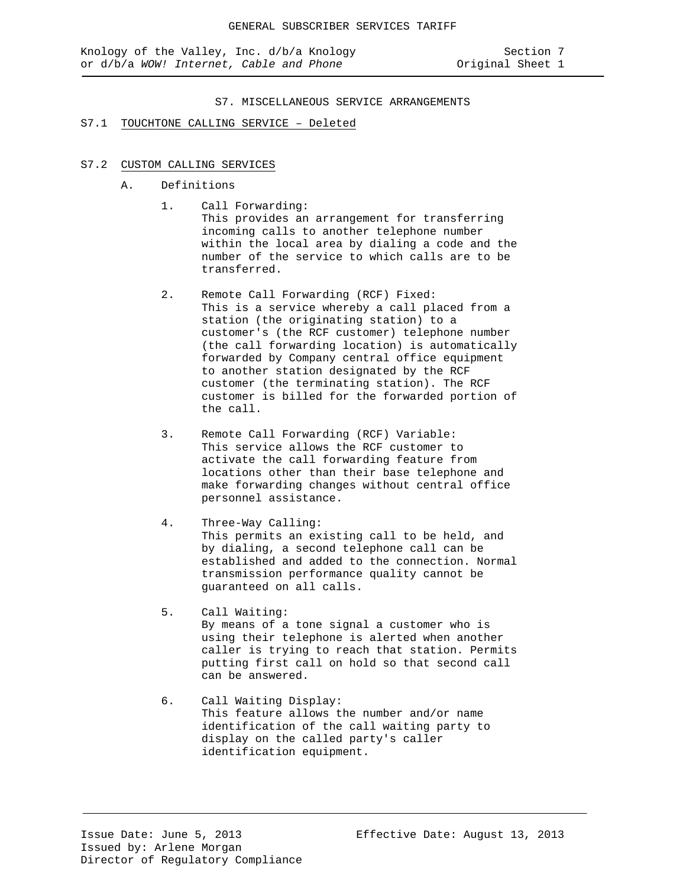#### S7.1 TOUCHTONE CALLING SERVICE – Deleted

### S7.2 CUSTOM CALLING SERVICES

- A. Definitions
	- 1. Call Forwarding: This provides an arrangement for transferring incoming calls to another telephone number within the local area by dialing a code and the number of the service to which calls are to be transferred.
	- 2. Remote Call Forwarding (RCF) Fixed: This is a service whereby a call placed from a station (the originating station) to a customer's (the RCF customer) telephone number (the call forwarding location) is automatically forwarded by Company central office equipment to another station designated by the RCF customer (the terminating station). The RCF customer is billed for the forwarded portion of the call.
	- 3. Remote Call Forwarding (RCF) Variable: This service allows the RCF customer to activate the call forwarding feature from locations other than their base telephone and make forwarding changes without central office personnel assistance.
	- 4. Three-Way Calling: This permits an existing call to be held, and by dialing, a second telephone call can be established and added to the connection. Normal transmission performance quality cannot be guaranteed on all calls.
	- 5. Call Waiting: By means of a tone signal a customer who is using their telephone is alerted when another caller is trying to reach that station. Permits putting first call on hold so that second call can be answered.
	- 6. Call Waiting Display: This feature allows the number and/or name identification of the call waiting party to display on the called party's caller identification equipment.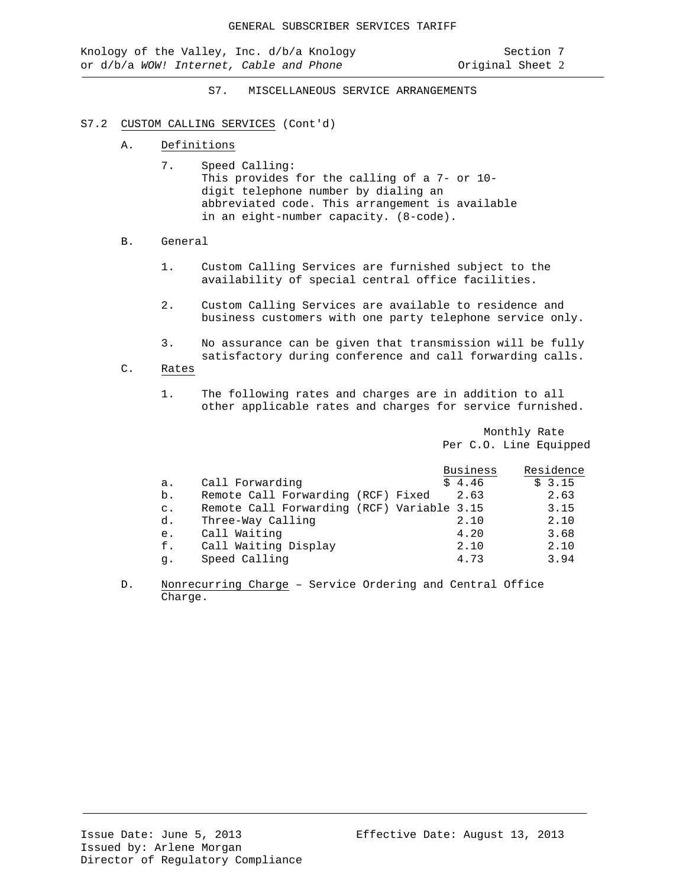#### S7.2 CUSTOM CALLING SERVICES (Cont'd)

- A. Definitions
	- 7. Speed Calling: This provides for the calling of a 7- or 10 digit telephone number by dialing an abbreviated code. This arrangement is available in an eight-number capacity. (8-code).
- B. General
	- 1. Custom Calling Services are furnished subject to the availability of special central office facilities.
	- 2. Custom Calling Services are available to residence and business customers with one party telephone service only.
	- 3. No assurance can be given that transmission will be fully satisfactory during conference and call forwarding calls.
- C. Rates
	- 1. The following rates and charges are in addition to all other applicable rates and charges for service furnished.

Monthly Rate Per C.O. Line Equipped

|                |                                            | <b>Business</b> | Residence |
|----------------|--------------------------------------------|-----------------|-----------|
| а.             | Call Forwarding                            | \$4.46          | \$3.15    |
| b.             | Remote Call Forwarding (RCF) Fixed         | 2.63            | 2.63      |
| $\mathsf{C}$ . | Remote Call Forwarding (RCF) Variable 3.15 |                 | 3.15      |
| d.             | Three-Way Calling                          | 2.10            | 2.10      |
| e.             | Call Waiting                               | 4.20            | 3.68      |
| f.             | Call Waiting Display                       | 2.10            | 2.10      |
| q.             | Speed Calling                              | 4.73            | 3.94      |

D. Nonrecurring Charge – Service Ordering and Central Office Charge.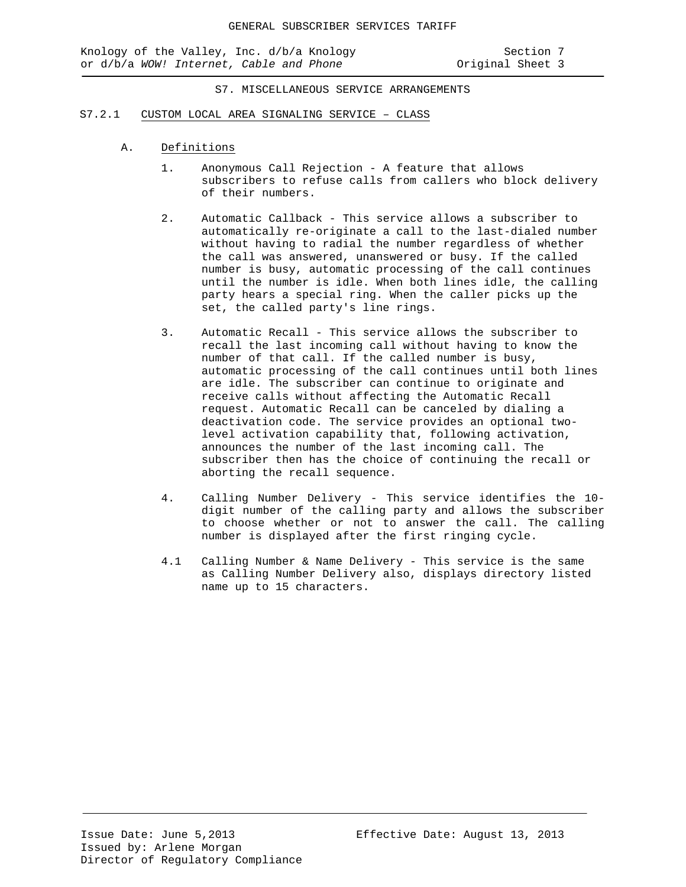Knology of the Valley, Inc. d/b/a Knology Section 7 or d/b/a *WOW!* Internet, Cable and Phone **business** Original Sheet 3

S7. MISCELLANEOUS SERVICE ARRANGEMENTS

#### S7.2.1 CUSTOM LOCAL AREA SIGNALING SERVICE – CLASS

- A. Definitions
	- 1. Anonymous Call Rejection A feature that allows subscribers to refuse calls from callers who block delivery of their numbers.
	- 2. Automatic Callback This service allows a subscriber to automatically re-originate a call to the last-dialed number without having to radial the number regardless of whether the call was answered, unanswered or busy. If the called number is busy, automatic processing of the call continues until the number is idle. When both lines idle, the calling party hears a special ring. When the caller picks up the set, the called party's line rings.
	- 3. Automatic Recall This service allows the subscriber to recall the last incoming call without having to know the number of that call. If the called number is busy, automatic processing of the call continues until both lines are idle. The subscriber can continue to originate and receive calls without affecting the Automatic Recall request. Automatic Recall can be canceled by dialing a deactivation code. The service provides an optional twolevel activation capability that, following activation, announces the number of the last incoming call. The subscriber then has the choice of continuing the recall or aborting the recall sequence.
	- 4. Calling Number Delivery This service identifies the 10 digit number of the calling party and allows the subscriber to choose whether or not to answer the call. The calling number is displayed after the first ringing cycle.
	- 4.1 Calling Number & Name Delivery This service is the same as Calling Number Delivery also, displays directory listed name up to 15 characters.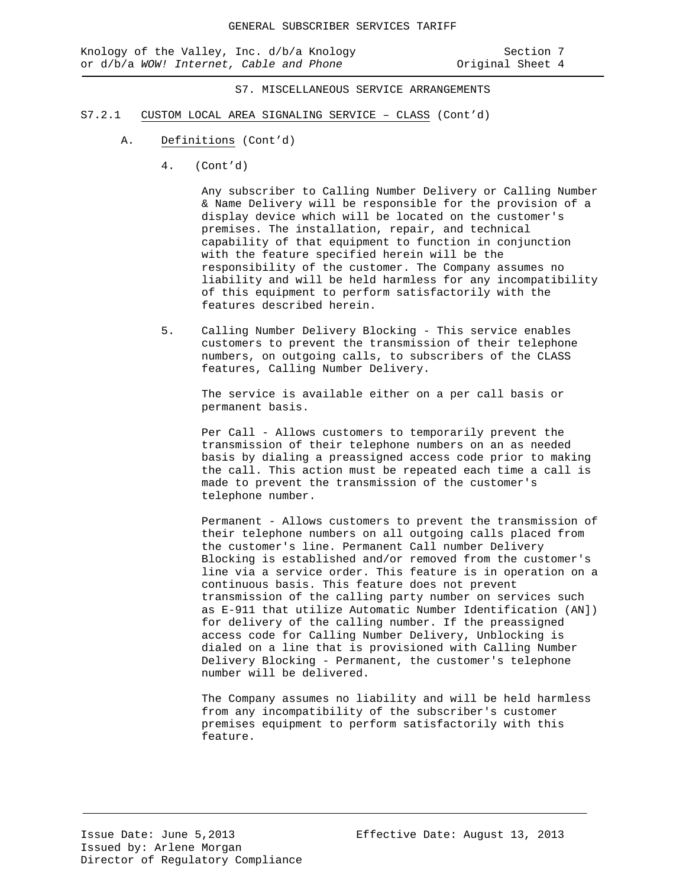- S7.2.1 CUSTOM LOCAL AREA SIGNALING SERVICE CLASS (Cont'd)
	- A. Definitions (Cont'd)
		- 4. (Cont'd)

Any subscriber to Calling Number Delivery or Calling Number & Name Delivery will be responsible for the provision of a display device which will be located on the customer's premises. The installation, repair, and technical capability of that equipment to function in conjunction with the feature specified herein will be the responsibility of the customer. The Company assumes no liability and will be held harmless for any incompatibility of this equipment to perform satisfactorily with the features described herein.

5. Calling Number Delivery Blocking - This service enables customers to prevent the transmission of their telephone numbers, on outgoing calls, to subscribers of the CLASS features, Calling Number Delivery.

The service is available either on a per call basis or permanent basis.

Per Call - Allows customers to temporarily prevent the transmission of their telephone numbers on an as needed basis by dialing a preassigned access code prior to making the call. This action must be repeated each time a call is made to prevent the transmission of the customer's telephone number.

Permanent - Allows customers to prevent the transmission of their telephone numbers on all outgoing calls placed from the customer's line. Permanent Call number Delivery Blocking is established and/or removed from the customer's line via a service order. This feature is in operation on a continuous basis. This feature does not prevent transmission of the calling party number on services such as E-911 that utilize Automatic Number Identification (AN]) for delivery of the calling number. If the preassigned access code for Calling Number Delivery, Unblocking is dialed on a line that is provisioned with Calling Number Delivery Blocking - Permanent, the customer's telephone number will be delivered.

The Company assumes no liability and will be held harmless from any incompatibility of the subscriber's customer premises equipment to perform satisfactorily with this feature.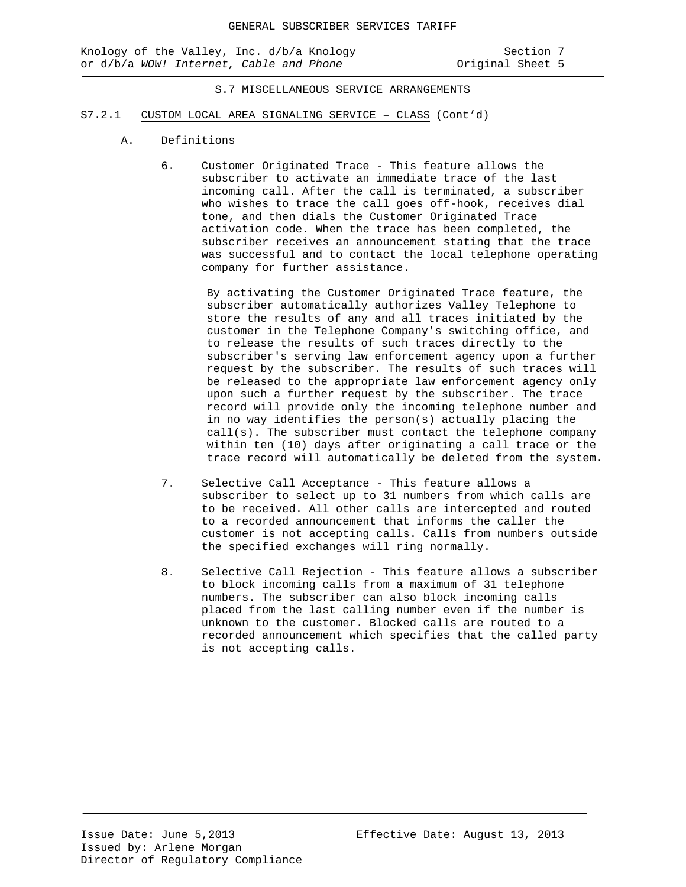## S.7 MISCELLANEOUS SERVICE ARRANGEMENTS

#### S7.2.1 CUSTOM LOCAL AREA SIGNALING SERVICE – CLASS (Cont'd)

- A. Definitions
	- 6. Customer Originated Trace This feature allows the subscriber to activate an immediate trace of the last incoming call. After the call is terminated, a subscriber who wishes to trace the call goes off-hook, receives dial tone, and then dials the Customer Originated Trace activation code. When the trace has been completed, the subscriber receives an announcement stating that the trace was successful and to contact the local telephone operating company for further assistance.

By activating the Customer Originated Trace feature, the subscriber automatically authorizes Valley Telephone to store the results of any and all traces initiated by the customer in the Telephone Company's switching office, and to release the results of such traces directly to the subscriber's serving law enforcement agency upon a further request by the subscriber. The results of such traces will be released to the appropriate law enforcement agency only upon such a further request by the subscriber. The trace record will provide only the incoming telephone number and in no way identifies the person(s) actually placing the call(s). The subscriber must contact the telephone company within ten (10) days after originating a call trace or the trace record will automatically be deleted from the system.

- 7. Selective Call Acceptance This feature allows a subscriber to select up to 31 numbers from which calls are to be received. All other calls are intercepted and routed to a recorded announcement that informs the caller the customer is not accepting calls. Calls from numbers outside the specified exchanges will ring normally.
- 8. Selective Call Rejection This feature allows a subscriber to block incoming calls from a maximum of 31 telephone numbers. The subscriber can also block incoming calls placed from the last calling number even if the number is unknown to the customer. Blocked calls are routed to a recorded announcement which specifies that the called party is not accepting calls.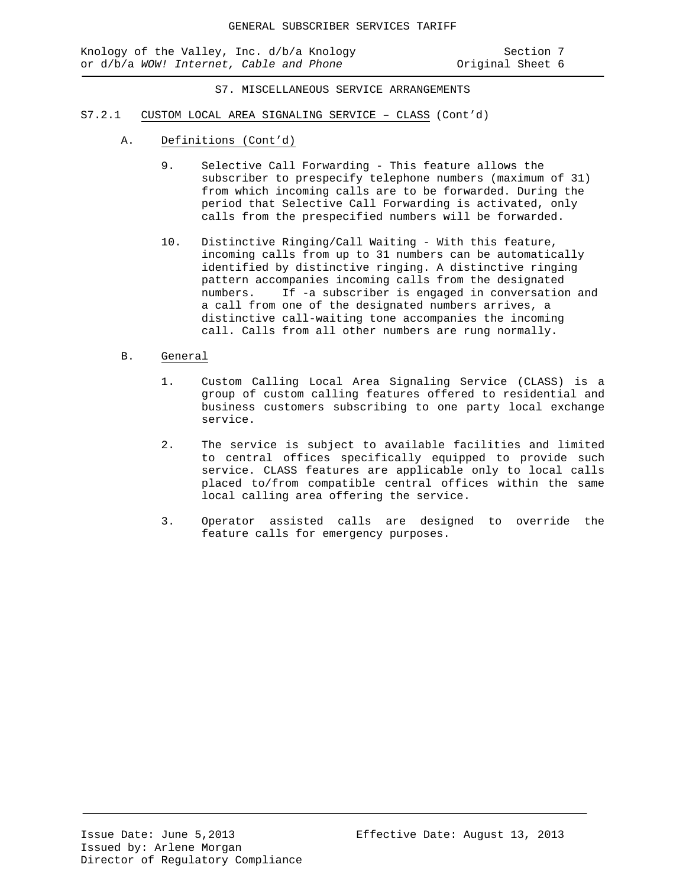Knology of the Valley, Inc. d/b/a Knology Section 7 or d/b/a *WOW!* Internet, Cable and Phone **business** Original Sheet 6

S7. MISCELLANEOUS SERVICE ARRANGEMENTS

- S7.2.1 CUSTOM LOCAL AREA SIGNALING SERVICE CLASS (Cont'd)
	- A. Definitions (Cont'd)
		- 9. Selective Call Forwarding This feature allows the subscriber to prespecify telephone numbers (maximum of 31) from which incoming calls are to be forwarded. During the period that Selective Call Forwarding is activated, only calls from the prespecified numbers will be forwarded.
		- 10. Distinctive Ringing/Call Waiting With this feature, incoming calls from up to 31 numbers can be automatically identified by distinctive ringing. A distinctive ringing pattern accompanies incoming calls from the designated numbers. If -a subscriber is engaged in conversation and a call from one of the designated numbers arrives, a distinctive call-waiting tone accompanies the incoming call. Calls from all other numbers are rung normally.
	- B. General
		- 1. Custom Calling Local Area Signaling Service (CLASS) is a group of custom calling features offered to residential and business customers subscribing to one party local exchange service.
		- 2. The service is subject to available facilities and limited to central offices specifically equipped to provide such service. CLASS features are applicable only to local calls placed to/from compatible central offices within the same local calling area offering the service.
		- 3. Operator assisted calls are designed to override the feature calls for emergency purposes.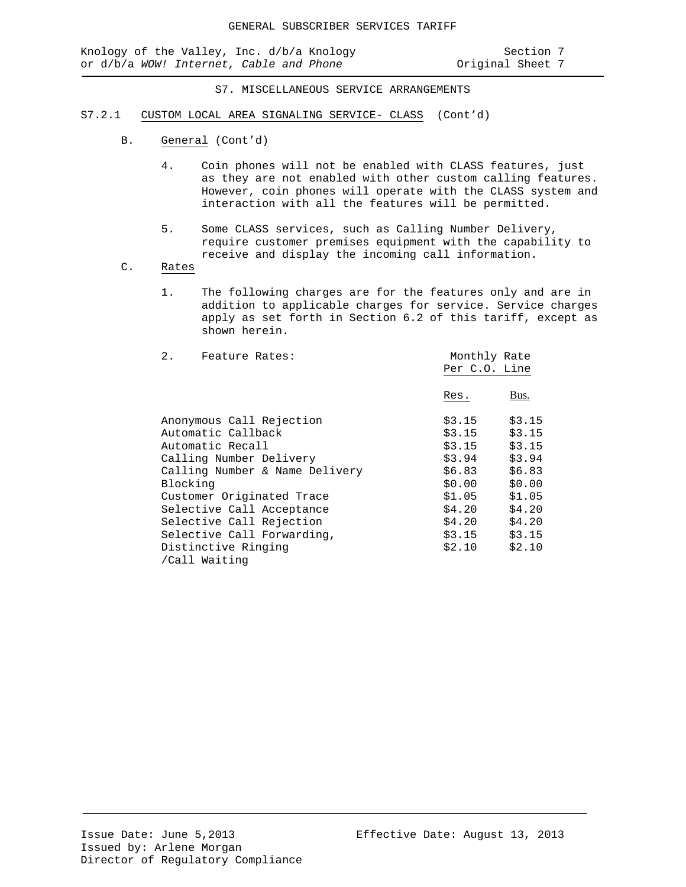Knology of the Valley, Inc. d/b/a Knology (Section 7 or d/b/a Wow! Internet, Cable and Phone (Section 7 or iginal Sheet 7 or d/b/a WOW! Internet, Cable and Phone

S7. MISCELLANEOUS SERVICE ARRANGEMENTS

- S7.2.1 CUSTOM LOCAL AREA SIGNALING SERVICE- CLASS (Cont'd)
	- B. General (Cont'd)
		- 4. Coin phones will not be enabled with CLASS features, just as they are not enabled with other custom calling features. However, coin phones will operate with the CLASS system and interaction with all the features will be permitted.
		- 5. Some CLASS services, such as Calling Number Delivery, require customer premises equipment with the capability to receive and display the incoming call information.
	- C. Rates
		- 1. The following charges are for the features only and are in addition to applicable charges for service. Service charges apply as set forth in Section 6.2 of this tariff, except as shown herein.

| $2$ .<br>Feature Rates:        |               | Monthly Rate |  |
|--------------------------------|---------------|--------------|--|
|                                | Per C.O. Line |              |  |
|                                |               |              |  |
|                                | Res.          | Bus.         |  |
|                                |               |              |  |
| Anonymous Call Rejection       | \$3.15        | \$3.15       |  |
| Automatic Callback             | \$3.15        | \$3.15       |  |
| Automatic Recall               | \$3.15        | \$3.15       |  |
| Calling Number Delivery        | \$3.94        | \$3.94       |  |
| Calling Number & Name Delivery | \$6.83        | \$6.83       |  |
| Blocking                       | \$0.00        | \$0.00       |  |
| Customer Originated Trace      | \$1.05        | \$1.05       |  |
| Selective Call Acceptance      | \$4.20        | \$4.20       |  |
| Selective Call Rejection       | \$4.20        | \$4.20       |  |
| Selective Call Forwarding,     | \$3.15        | \$3.15       |  |
| Distinctive Ringing            | \$2.10        | \$2.10       |  |
| /Call Waiting                  |               |              |  |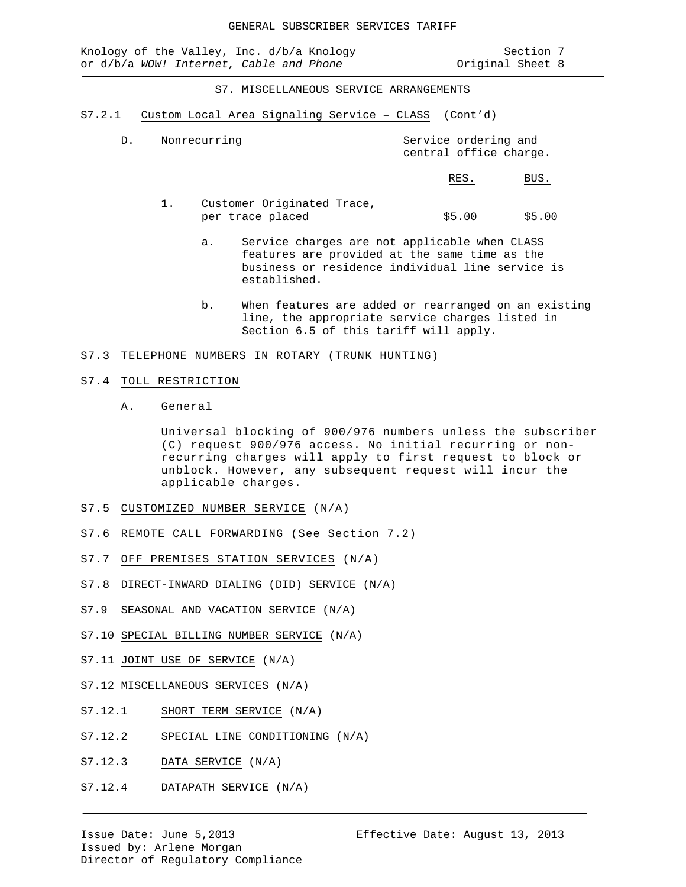Knology of the Valley, Inc. d/b/a Knology Section 7<br>or d/b/a WOW! Internet, Cable and Phone Section 1 or d/b/a WOW! Internet, Cable and Phone

S7. MISCELLANEOUS SERVICE ARRANGEMENTS

S7.2.1 Custom Local Area Signaling Service – CLASS (Cont'd)

| Nonrecurring | Service ordering and   |  |
|--------------|------------------------|--|
|              | central office charge. |  |

RES. BUS.

- 1. Customer Originated Trace, per trace placed  $$5.00$  \$5.00
	- a. Service charges are not applicable when CLASS features are provided at the same time as the business or residence individual line service is established.
	- b. When features are added or rearranged on an existing line, the appropriate service charges listed in Section 6.5 of this tariff will apply.

### S7.3 TELEPHONE NUMBERS IN ROTARY (TRUNK HUNTING)

#### S7.4 TOLL RESTRICTION

A. General

Universal blocking of 900/976 numbers unless the subscriber (C) request 900/976 access. No initial recurring or nonrecurring charges will apply to first request to block or unblock. However, any subsequent request will incur the applicable charges.

- S7.5 CUSTOMIZED NUMBER SERVICE (N/A)
- S7.6 REMOTE CALL FORWARDING (See Section 7.2)
- S7.7 OFF PREMISES STATION SERVICES (N/A)
- S7.8 DIRECT-INWARD DIALING (DID) SERVICE (N/A)
- S7.9 SEASONAL AND VACATION SERVICE (N/A)
- S7.10 SPECIAL BILLING NUMBER SERVICE (N/A)
- S7.11 JOINT USE OF SERVICE (N/A)
- S7.12 MISCELLANEOUS SERVICES (N/A)
- S7.12.1 SHORT TERM SERVICE (N/A)
- S7.12.2 SPECIAL LINE CONDITIONING (N/A)
- S7.12.3 DATA SERVICE (N/A)
- S7.12.4 DATAPATH SERVICE (N/A)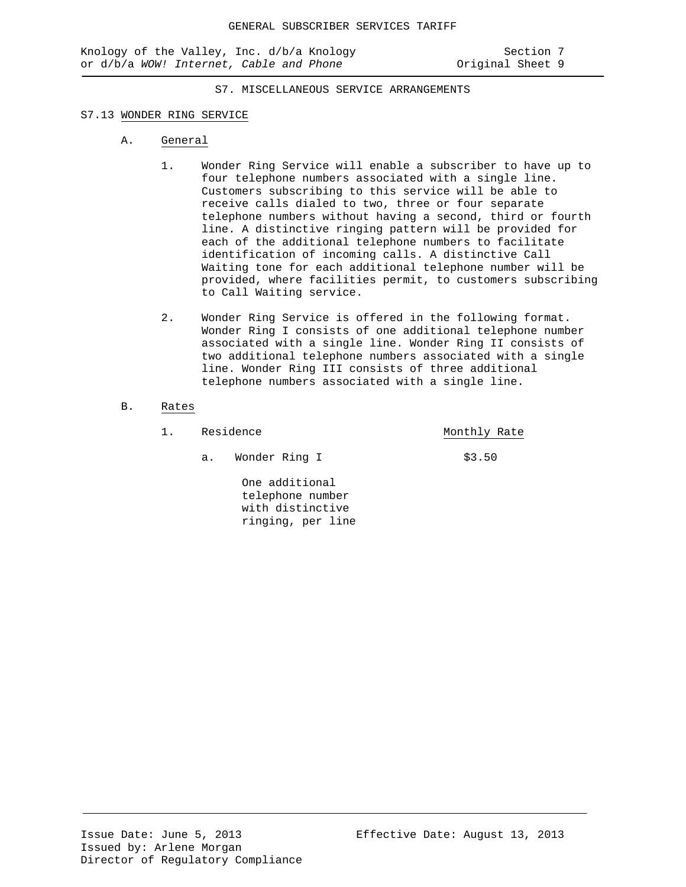S7. MISCELLANEOUS SERVICE ARRANGEMENTS

#### S7.13 WONDER RING SERVICE

- A. General
	- 1. Wonder Ring Service will enable a subscriber to have up to four telephone numbers associated with a single line. Customers subscribing to this service will be able to receive calls dialed to two, three or four separate telephone numbers without having a second, third or fourth line. A distinctive ringing pattern will be provided for each of the additional telephone numbers to facilitate identification of incoming calls. A distinctive Call Waiting tone for each additional telephone number will be provided, where facilities permit, to customers subscribing to Call Waiting service.
	- 2. Wonder Ring Service is offered in the following format. Wonder Ring I consists of one additional telephone number associated with a single line. Wonder Ring II consists of two additional telephone numbers associated with a single line. Wonder Ring III consists of three additional telephone numbers associated with a single line.

## B. Rates

- 1. Residence **Monthly Rate** 
	- a. Wonder Ring I \$3.50

One additional telephone number with distinctive ringing, per line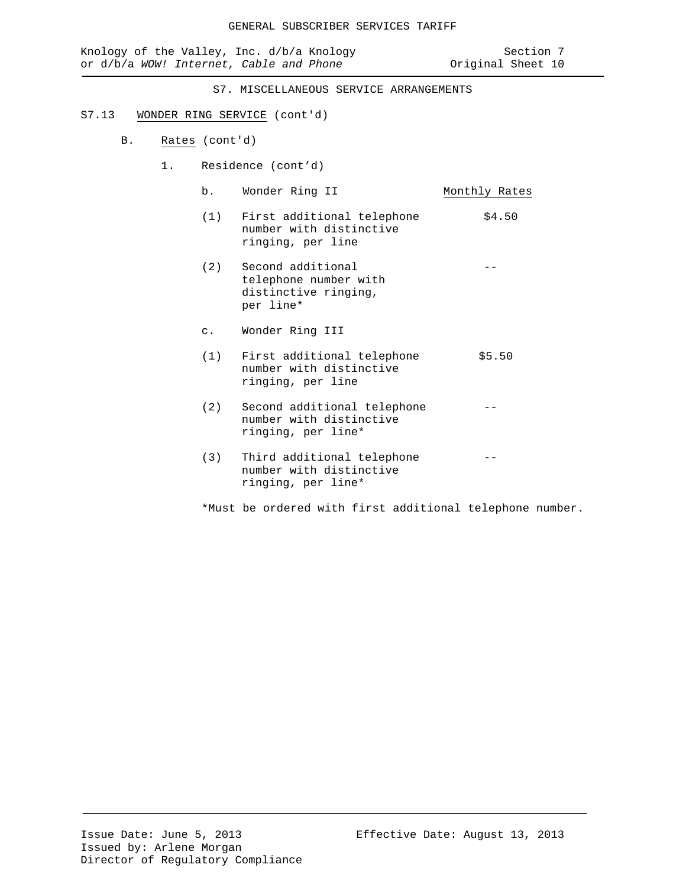| Knology of the Valley, Inc. d/b/a Knology<br>or d/b/a WOW! Internet, Cable and Phone |    |                | Section 7<br>Original Sheet 10                                                  |               |
|--------------------------------------------------------------------------------------|----|----------------|---------------------------------------------------------------------------------|---------------|
|                                                                                      |    |                | S7. MISCELLANEOUS SERVICE ARRANGEMENTS                                          |               |
| S7.13                                                                                |    |                | WONDER RING SERVICE (cont'd)                                                    |               |
| <b>B</b> .                                                                           |    | Rates (cont'd) |                                                                                 |               |
|                                                                                      | 1. |                | Residence (cont'd)                                                              |               |
|                                                                                      |    | b.             | Wonder Ring II                                                                  | Monthly Rates |
|                                                                                      |    | (1)            | First additional telephone<br>number with distinctive<br>ringing, per line      | \$4.50        |
|                                                                                      |    | (2)            | Second additional<br>telephone number with<br>distinctive ringing,<br>per line* |               |
|                                                                                      |    | $\circ$ .      | Wonder Ring III                                                                 |               |
|                                                                                      |    | (1)            | First additional telephone<br>number with distinctive<br>ringing, per line      | \$5.50        |
|                                                                                      |    | (2)            | Second additional telephone<br>number with distinctive<br>ringing, per line*    |               |
|                                                                                      |    | (3)            | Third additional telephone<br>number with distinctive<br>ringing, per line*     |               |

\*Must be ordered with first additional telephone number.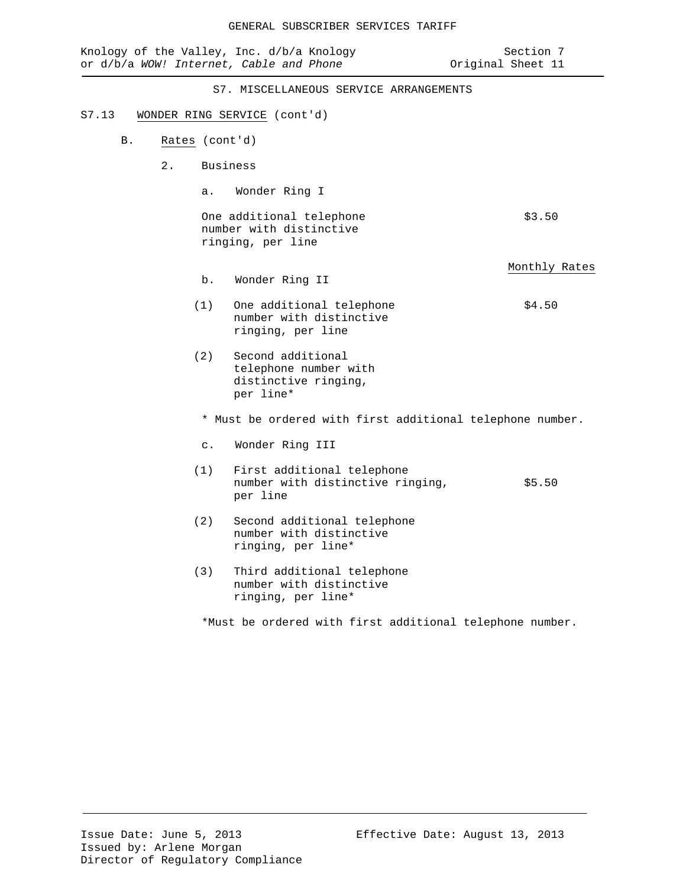|                      | Knology of the Valley, Inc. d/b/a Knology<br>or d/b/a WOW! Internet, Cable and Phone | Section 7<br>Original Sheet 11 |
|----------------------|--------------------------------------------------------------------------------------|--------------------------------|
|                      | S7. MISCELLANEOUS SERVICE ARRANGEMENTS                                               |                                |
| S7.13                | WONDER RING SERVICE (cont'd)                                                         |                                |
| Β.<br>Rates (cont'd) |                                                                                      |                                |
| 2.                   | <b>Business</b>                                                                      |                                |
| $a$ .                | Wonder Ring I                                                                        |                                |
|                      | One additional telephone<br>number with distinctive<br>ringing, per line             | \$3.50                         |
| $b$ .                | Wonder Ring II                                                                       | Monthly Rates                  |
| (1)                  | One additional telephone<br>number with distinctive<br>ringing, per line             | \$4.50                         |
| (2)                  | Second additional<br>telephone number with<br>distinctive ringing,<br>per line*      |                                |
|                      | * Must be ordered with first additional telephone number.                            |                                |
| $\mathsf{C}$ .       | Wonder Ring III                                                                      |                                |
| (1)                  | First additional telephone<br>number with distinctive ringing,<br>per line           | \$5.50                         |
| (2)                  | Second additional telephone<br>number with distinctive<br>ringing, per line*         |                                |
| (3)                  | Third additional telephone<br>number with distinctive<br>ringing, per line*          |                                |
|                      | *Must be ordered with first additional telephone number.                             |                                |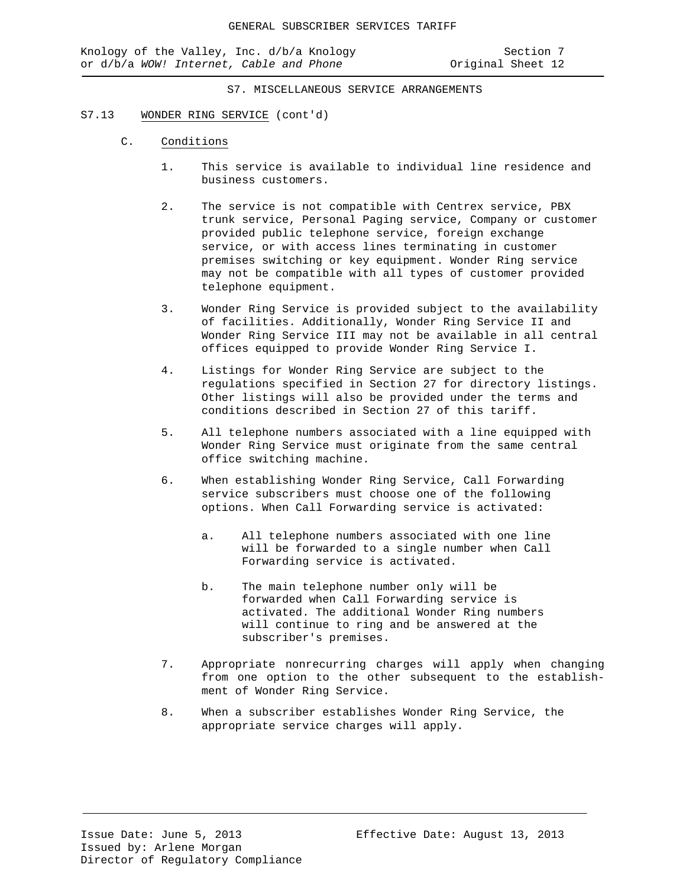S7. MISCELLANEOUS SERVICE ARRANGEMENTS

#### S7.13 WONDER RING SERVICE (cont'd)

- C. Conditions
	- 1. This service is available to individual line residence and business customers.
	- 2. The service is not compatible with Centrex service, PBX trunk service, Personal Paging service, Company or customer provided public telephone service, foreign exchange service, or with access lines terminating in customer premises switching or key equipment. Wonder Ring service may not be compatible with all types of customer provided telephone equipment.
	- 3. Wonder Ring Service is provided subject to the availability of facilities. Additionally, Wonder Ring Service II and Wonder Ring Service III may not be available in all central offices equipped to provide Wonder Ring Service I.
	- 4. Listings for Wonder Ring Service are subject to the regulations specified in Section 27 for directory listings. Other listings will also be provided under the terms and conditions described in Section 27 of this tariff.
	- 5. All telephone numbers associated with a line equipped with Wonder Ring Service must originate from the same central office switching machine.
	- 6. When establishing Wonder Ring Service, Call Forwarding service subscribers must choose one of the following options. When Call Forwarding service is activated:
		- a. All telephone numbers associated with one line will be forwarded to a single number when Call Forwarding service is activated.
		- b. The main telephone number only will be forwarded when Call Forwarding service is activated. The additional Wonder Ring numbers will continue to ring and be answered at the subscriber's premises.
	- 7. Appropriate nonrecurring charges will apply when changing from one option to the other subsequent to the establishment of Wonder Ring Service.
	- 8. When a subscriber establishes Wonder Ring Service, the appropriate service charges will apply.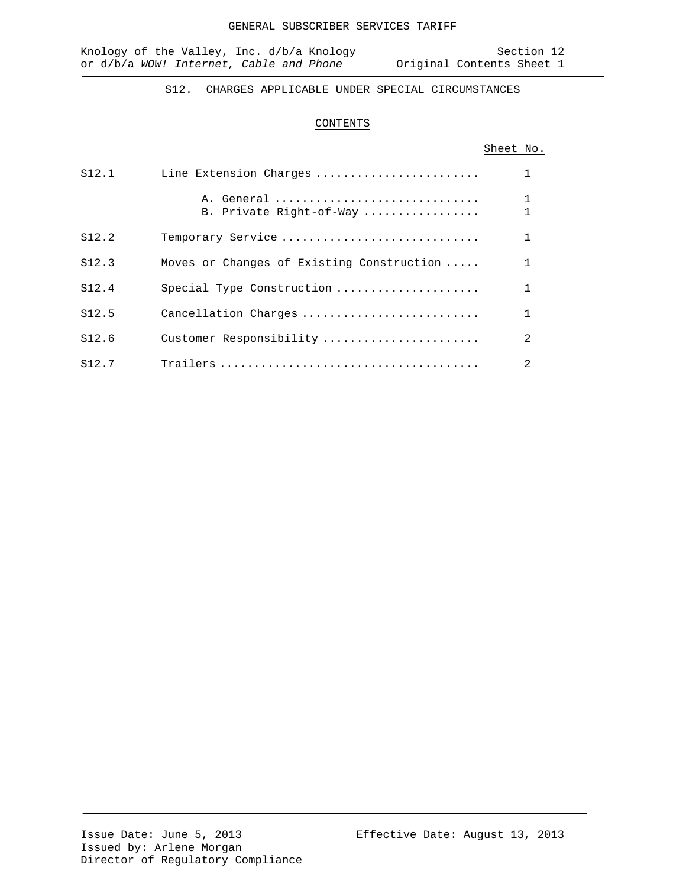S12. CHARGES APPLICABLE UNDER SPECIAL CIRCUMSTANCES

## CONTENTS

# Sheet No.

| S12.1             | Line Extension Charges                    |                |
|-------------------|-------------------------------------------|----------------|
|                   | A. General<br>B. Private Right-of-Way     |                |
| S12.2             | Temporary Service                         |                |
| S12.3             | Moves or Changes of Existing Construction |                |
| S12.4             | Special Type Construction                 |                |
| S12.5             | Cancellation Charges                      |                |
| S12.6             | Customer Responsibility                   | $\mathcal{L}$  |
| S <sub>12.7</sub> |                                           | $\mathfrak{D}$ |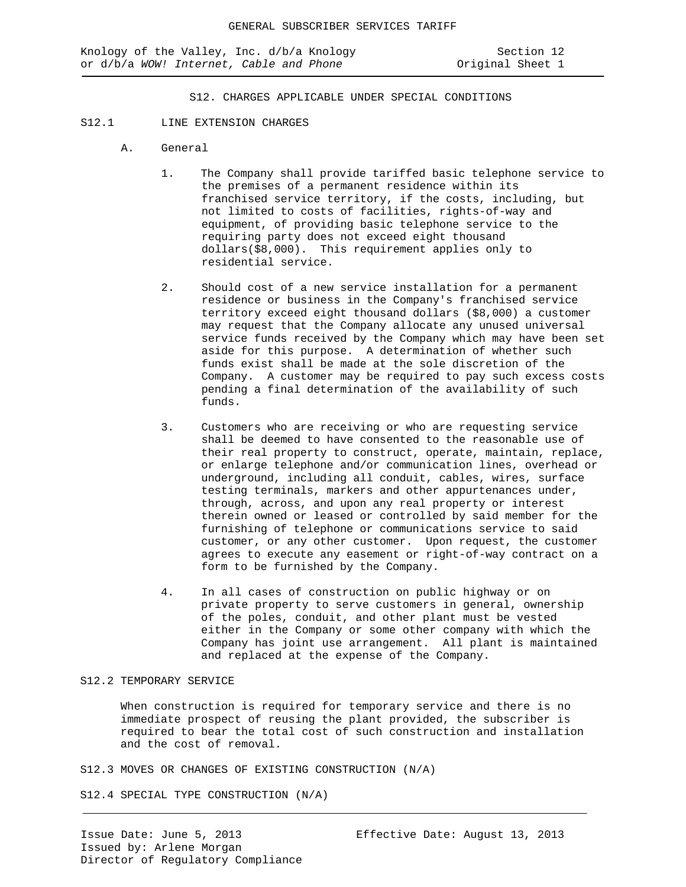S12. CHARGES APPLICABLE UNDER SPECIAL CONDITIONS

#### S12.1 LINE EXTENSION CHARGES

- A. General
	- 1. The Company shall provide tariffed basic telephone service to the premises of a permanent residence within its franchised service territory, if the costs, including, but not limited to costs of facilities, rights-of-way and equipment, of providing basic telephone service to the requiring party does not exceed eight thousand dollars(\$8,000). This requirement applies only to residential service.
	- 2. Should cost of a new service installation for a permanent residence or business in the Company's franchised service territory exceed eight thousand dollars (\$8,000) a customer may request that the Company allocate any unused universal service funds received by the Company which may have been set aside for this purpose. A determination of whether such funds exist shall be made at the sole discretion of the Company. A customer may be required to pay such excess costs pending a final determination of the availability of such funds.
	- 3. Customers who are receiving or who are requesting service shall be deemed to have consented to the reasonable use of their real property to construct, operate, maintain, replace, or enlarge telephone and/or communication lines, overhead or underground, including all conduit, cables, wires, surface testing terminals, markers and other appurtenances under, through, across, and upon any real property or interest therein owned or leased or controlled by said member for the furnishing of telephone or communications service to said customer, or any other customer. Upon request, the customer agrees to execute any easement or right-of-way contract on a form to be furnished by the Company.
	- 4. In all cases of construction on public highway or on private property to serve customers in general, ownership of the poles, conduit, and other plant must be vested either in the Company or some other company with which the Company has joint use arrangement. All plant is maintained and replaced at the expense of the Company.

### S12.2 TEMPORARY SERVICE

When construction is required for temporary service and there is no immediate prospect of reusing the plant provided, the subscriber is required to bear the total cost of such construction and installation and the cost of removal.

S12.3 MOVES OR CHANGES OF EXISTING CONSTRUCTION (N/A)

S12.4 SPECIAL TYPE CONSTRUCTION (N/A)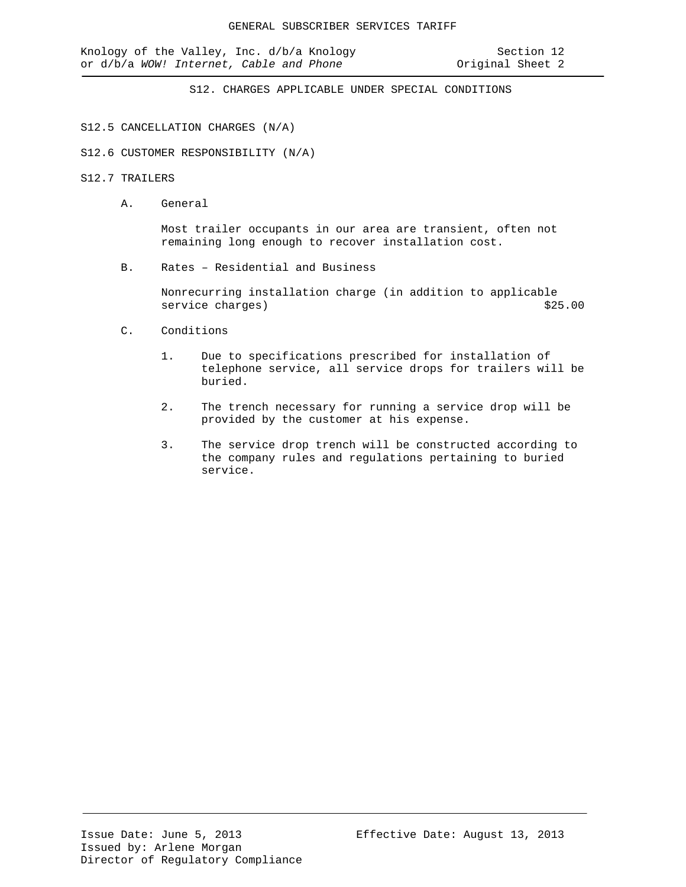S12. CHARGES APPLICABLE UNDER SPECIAL CONDITIONS

### S12.5 CANCELLATION CHARGES (N/A)

S12.6 CUSTOMER RESPONSIBILITY (N/A)

## S12.7 TRAILERS

A. General

Most trailer occupants in our area are transient, often not remaining long enough to recover installation cost.

B. Rates – Residential and Business

Nonrecurring installation charge (in addition to applicable<br>service charges) \$25.00 service charges)

- C. Conditions
	- 1. Due to specifications prescribed for installation of telephone service, all service drops for trailers will be buried.
	- 2. The trench necessary for running a service drop will be provided by the customer at his expense.
	- 3. The service drop trench will be constructed according to the company rules and regulations pertaining to buried service.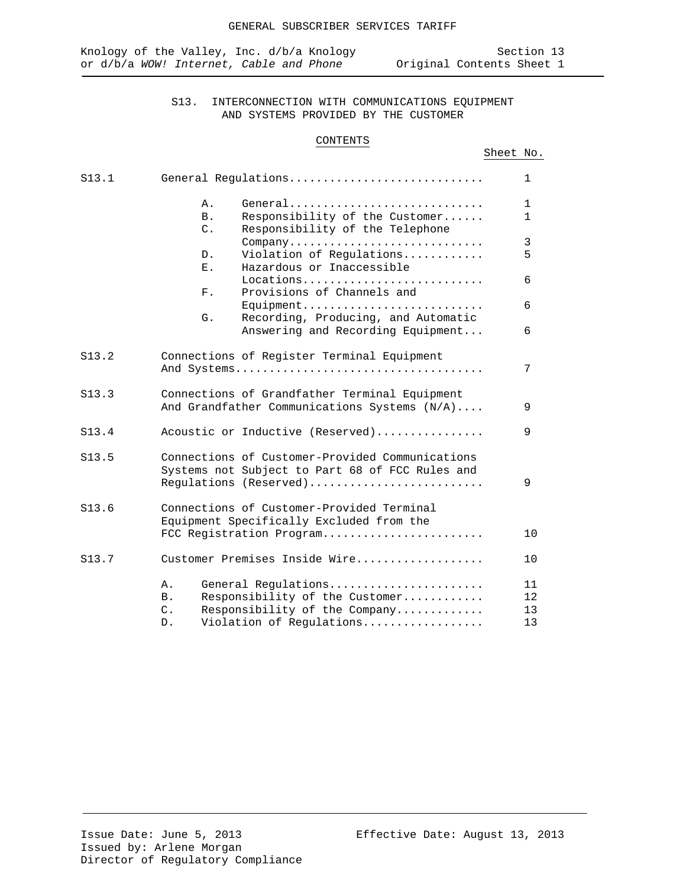# S13. INTERCONNECTION WITH COMMUNICATIONS EQUIPMENT AND SYSTEMS PROVIDED BY THE CUSTOMER

### CONTENTS

# Sheet No.

| S13.1 | General Requlations                                 | 1            |
|-------|-----------------------------------------------------|--------------|
|       | General<br>Α.                                       | $\mathbf 1$  |
|       | Responsibility of the Customer<br><b>B</b> .        | $\mathbf{1}$ |
|       | $C$ .<br>Responsibility of the Telephone<br>Company | 3            |
|       | Violation of Regulations<br>D.                      | 5            |
|       | Hazardous or Inaccessible<br>Ε.                     |              |
|       | Locations                                           | 6            |
|       | Provisions of Channels and<br>$F$ .<br>Equipment    | 6            |
|       | Recording, Producing, and Automatic<br>G.           |              |
|       | Answering and Recording Equipment                   | 6            |
| S13.2 | Connections of Register Terminal Equipment          |              |
|       |                                                     | 7            |
| S13.3 | Connections of Grandfather Terminal Equipment       |              |
|       | And Grandfather Communications Systems (N/A)        | 9            |
| S13.4 | Acoustic or Inductive (Reserved)                    | 9            |
| S13.5 | Connections of Customer-Provided Communications     |              |
|       | Systems not Subject to Part 68 of FCC Rules and     |              |
|       | Regulations (Reserved)                              | 9            |
| S13.6 | Connections of Customer-Provided Terminal           |              |
|       | Equipment Specifically Excluded from the            |              |
|       | FCC Registration Program                            | 10           |
| S13.7 | Customer Premises Inside Wire                       | 10           |
|       | General Regulations<br>Α.                           | 11           |
|       | Responsibility of the Customer<br><b>B</b> .        | 12           |
|       | $\mathsf{C}$ .<br>Responsibility of the Company     | 13           |
|       | Violation of Regulations<br>D.                      | 13           |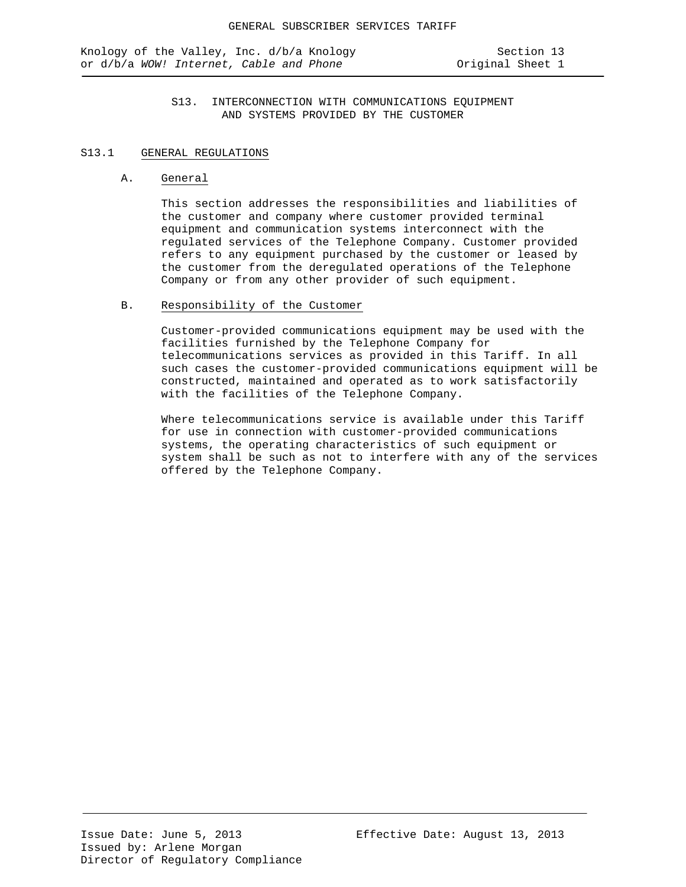## S13. INTERCONNECTION WITH COMMUNICATIONS EQUIPMENT AND SYSTEMS PROVIDED BY THE CUSTOMER

### S13.1 GENERAL REGULATIONS

#### A. General

This section addresses the responsibilities and liabilities of the customer and company where customer provided terminal equipment and communication systems interconnect with the regulated services of the Telephone Company. Customer provided refers to any equipment purchased by the customer or leased by the customer from the deregulated operations of the Telephone Company or from any other provider of such equipment.

### B. Responsibility of the Customer

Customer-provided communications equipment may be used with the facilities furnished by the Telephone Company for telecommunications services as provided in this Tariff. In all such cases the customer-provided communications equipment will be constructed, maintained and operated as to work satisfactorily with the facilities of the Telephone Company.

Where telecommunications service is available under this Tariff for use in connection with customer-provided communications systems, the operating characteristics of such equipment or system shall be such as not to interfere with any of the services offered by the Telephone Company.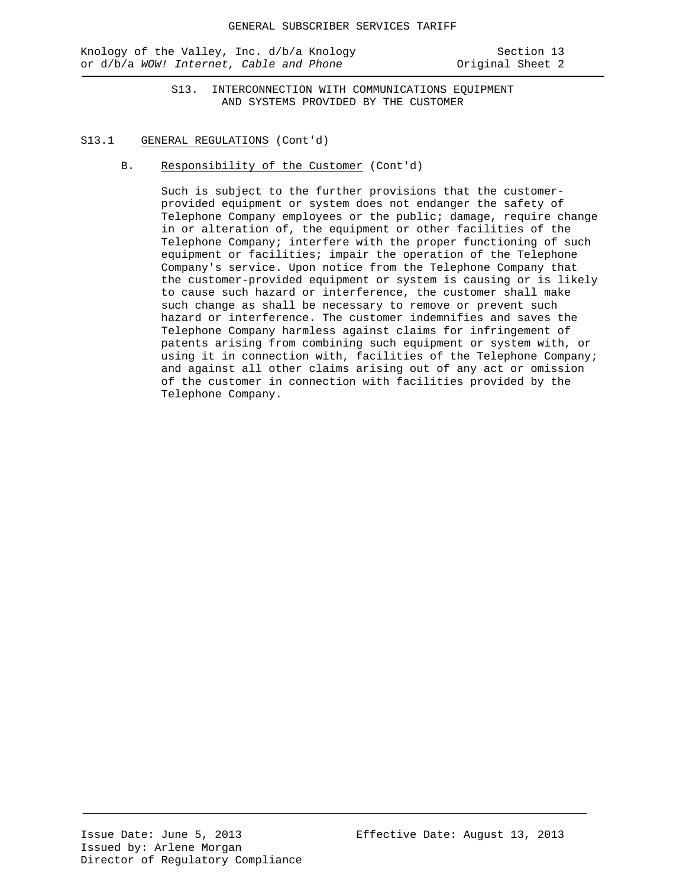Knology of the Valley, Inc. d/b/a Knology Section 13 or d/b/a *WOW!* Internet, Cable and Phone **Original** Sheet 2

S13. INTERCONNECTION WITH COMMUNICATIONS EQUIPMENT AND SYSTEMS PROVIDED BY THE CUSTOMER

### S13.1 GENERAL REGULATIONS (Cont'd)

B. Responsibility of the Customer (Cont'd)

Such is subject to the further provisions that the customerprovided equipment or system does not endanger the safety of Telephone Company employees or the public; damage, require change in or alteration of, the equipment or other facilities of the Telephone Company; interfere with the proper functioning of such equipment or facilities; impair the operation of the Telephone Company's service. Upon notice from the Telephone Company that the customer-provided equipment or system is causing or is likely to cause such hazard or interference, the customer shall make such change as shall be necessary to remove or prevent such hazard or interference. The customer indemnifies and saves the Telephone Company harmless against claims for infringement of patents arising from combining such equipment or system with, or using it in connection with, facilities of the Telephone Company; and against all other claims arising out of any act or omission of the customer in connection with facilities provided by the Telephone Company.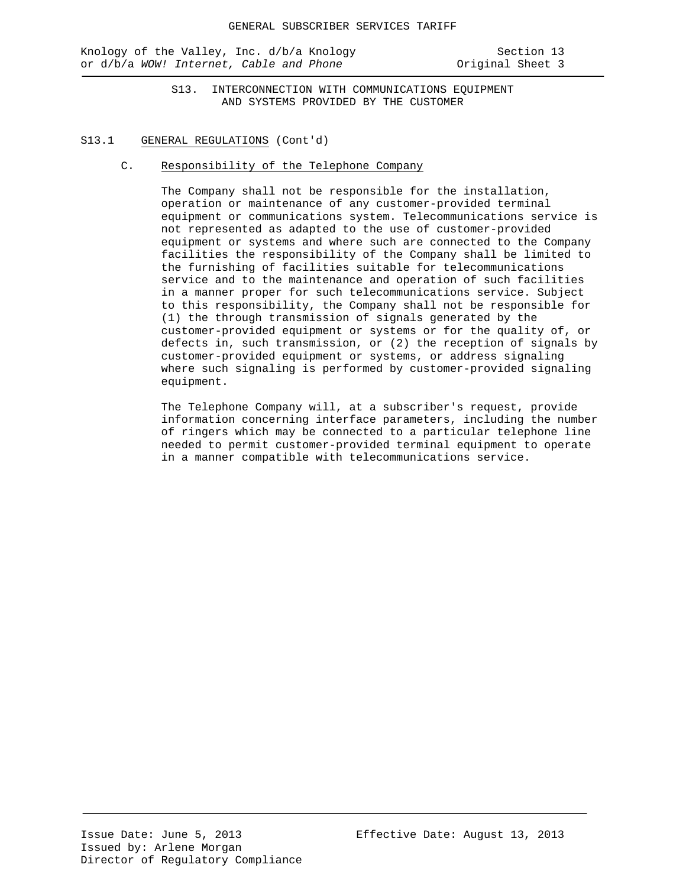Knology of the Valley, Inc. d/b/a Knology Section 13 or d/b/a *WOW!* Internet, Cable and Phone **business** Original Sheet 3

S13. INTERCONNECTION WITH COMMUNICATIONS EQUIPMENT AND SYSTEMS PROVIDED BY THE CUSTOMER

### S13.1 GENERAL REGULATIONS (Cont'd)

C. Responsibility of the Telephone Company

The Company shall not be responsible for the installation, operation or maintenance of any customer-provided terminal equipment or communications system. Telecommunications service is not represented as adapted to the use of customer-provided equipment or systems and where such are connected to the Company facilities the responsibility of the Company shall be limited to the furnishing of facilities suitable for telecommunications service and to the maintenance and operation of such facilities in a manner proper for such telecommunications service. Subject to this responsibility, the Company shall not be responsible for (1) the through transmission of signals generated by the customer-provided equipment or systems or for the quality of, or defects in, such transmission, or (2) the reception of signals by customer-provided equipment or systems, or address signaling where such signaling is performed by customer-provided signaling equipment.

The Telephone Company will, at a subscriber's request, provide information concerning interface parameters, including the number of ringers which may be connected to a particular telephone line needed to permit customer-provided terminal equipment to operate in a manner compatible with telecommunications service.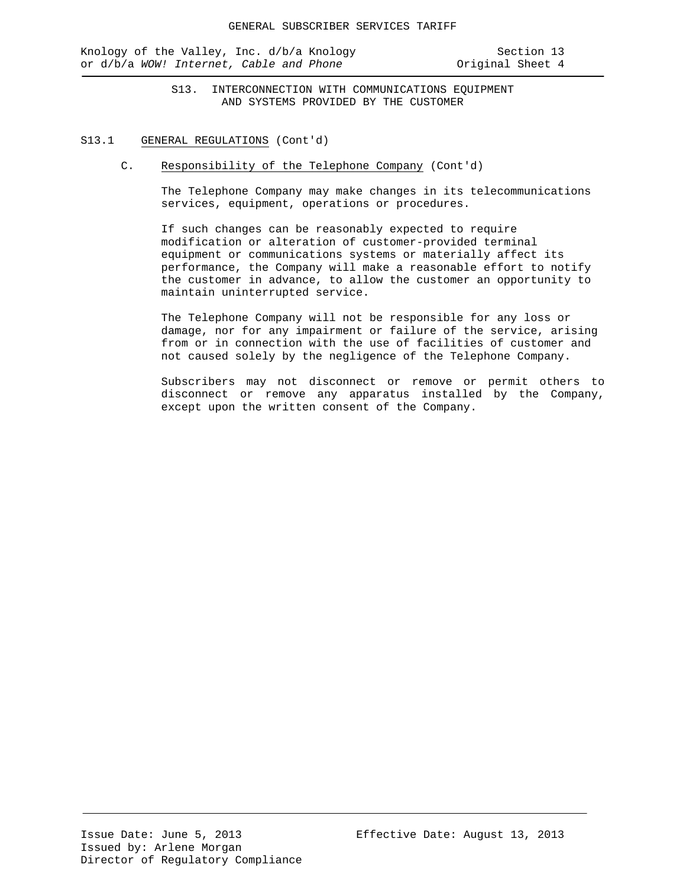Knology of the Valley, Inc. d/b/a Knology Section 13 or d/b/a *WOW!* Internet, Cable and Phone **business** Original Sheet 4

S13. INTERCONNECTION WITH COMMUNICATIONS EQUIPMENT AND SYSTEMS PROVIDED BY THE CUSTOMER

### S13.1 GENERAL REGULATIONS (Cont'd)

C. Responsibility of the Telephone Company (Cont'd)

The Telephone Company may make changes in its telecommunications services, equipment, operations or procedures.

If such changes can be reasonably expected to require modification or alteration of customer-provided terminal equipment or communications systems or materially affect its performance, the Company will make a reasonable effort to notify the customer in advance, to allow the customer an opportunity to maintain uninterrupted service.

The Telephone Company will not be responsible for any loss or damage, nor for any impairment or failure of the service, arising from or in connection with the use of facilities of customer and not caused solely by the negligence of the Telephone Company.

Subscribers may not disconnect or remove or permit others to disconnect or remove any apparatus installed by the Company, except upon the written consent of the Company.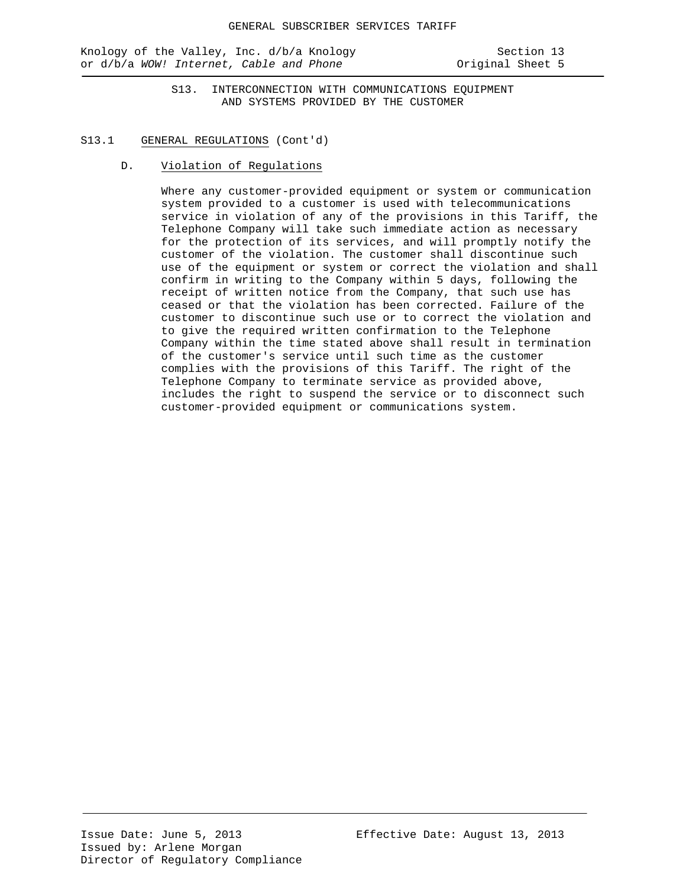Knology of the Valley, Inc. d/b/a Knology Section 13 or d/b/a *WOW! Internet, Cable and Phone* **Calculary 10** Original Sheet 5

S13. INTERCONNECTION WITH COMMUNICATIONS EQUIPMENT AND SYSTEMS PROVIDED BY THE CUSTOMER

### S13.1 GENERAL REGULATIONS (Cont'd)

D. Violation of Regulations

Where any customer-provided equipment or system or communication system provided to a customer is used with telecommunications service in violation of any of the provisions in this Tariff, the Telephone Company will take such immediate action as necessary for the protection of its services, and will promptly notify the customer of the violation. The customer shall discontinue such use of the equipment or system or correct the violation and shall confirm in writing to the Company within 5 days, following the receipt of written notice from the Company, that such use has ceased or that the violation has been corrected. Failure of the customer to discontinue such use or to correct the violation and to give the required written confirmation to the Telephone Company within the time stated above shall result in termination of the customer's service until such time as the customer complies with the provisions of this Tariff. The right of the Telephone Company to terminate service as provided above, includes the right to suspend the service or to disconnect such customer-provided equipment or communications system.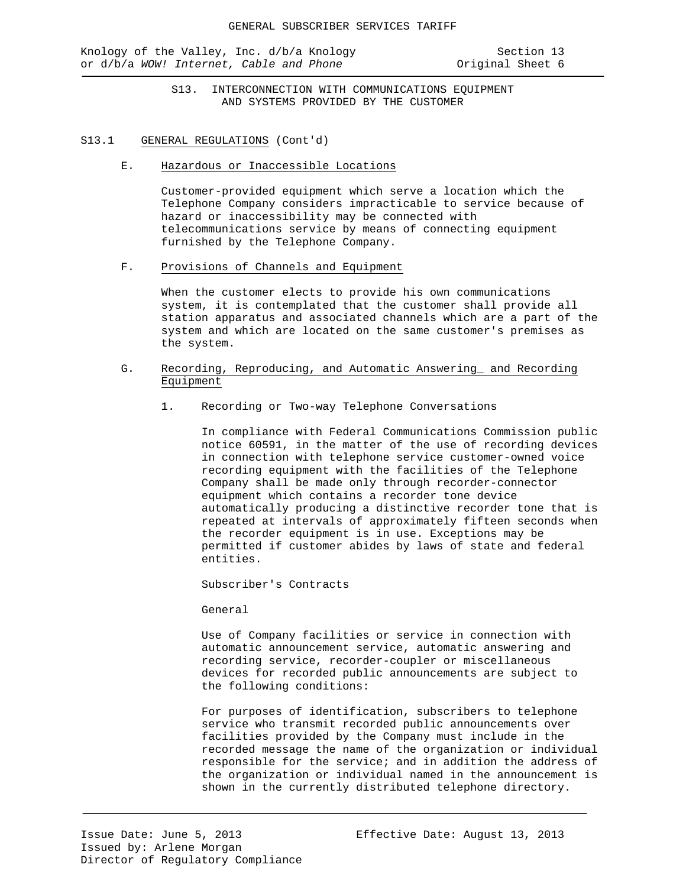Knology of the Valley, Inc. d/b/a Knology Section 13 or d/b/a *WOW!* Internet, Cable and Phone **business** Original Sheet 6

S13. INTERCONNECTION WITH COMMUNICATIONS EQUIPMENT AND SYSTEMS PROVIDED BY THE CUSTOMER

### S13.1 GENERAL REGULATIONS (Cont'd)

E. Hazardous or Inaccessible Locations

Customer-provided equipment which serve a location which the Telephone Company considers impracticable to service because of hazard or inaccessibility may be connected with telecommunications service by means of connecting equipment furnished by the Telephone Company.

F. Provisions of Channels and Equipment

When the customer elects to provide his own communications system, it is contemplated that the customer shall provide all station apparatus and associated channels which are a part of the system and which are located on the same customer's premises as the system.

- G. Recording, Reproducing, and Automatic Answering\_ and Recording Equipment
	- 1. Recording or Two-way Telephone Conversations

In compliance with Federal Communications Commission public notice 60591, in the matter of the use of recording devices in connection with telephone service customer-owned voice recording equipment with the facilities of the Telephone Company shall be made only through recorder-connector equipment which contains a recorder tone device automatically producing a distinctive recorder tone that is repeated at intervals of approximately fifteen seconds when the recorder equipment is in use. Exceptions may be permitted if customer abides by laws of state and federal entities.

Subscriber's Contracts

General

Use of Company facilities or service in connection with automatic announcement service, automatic answering and recording service, recorder-coupler or miscellaneous devices for recorded public announcements are subject to the following conditions:

For purposes of identification, subscribers to telephone service who transmit recorded public announcements over facilities provided by the Company must include in the recorded message the name of the organization or individual responsible for the service; and in addition the address of the organization or individual named in the announcement is shown in the currently distributed telephone directory.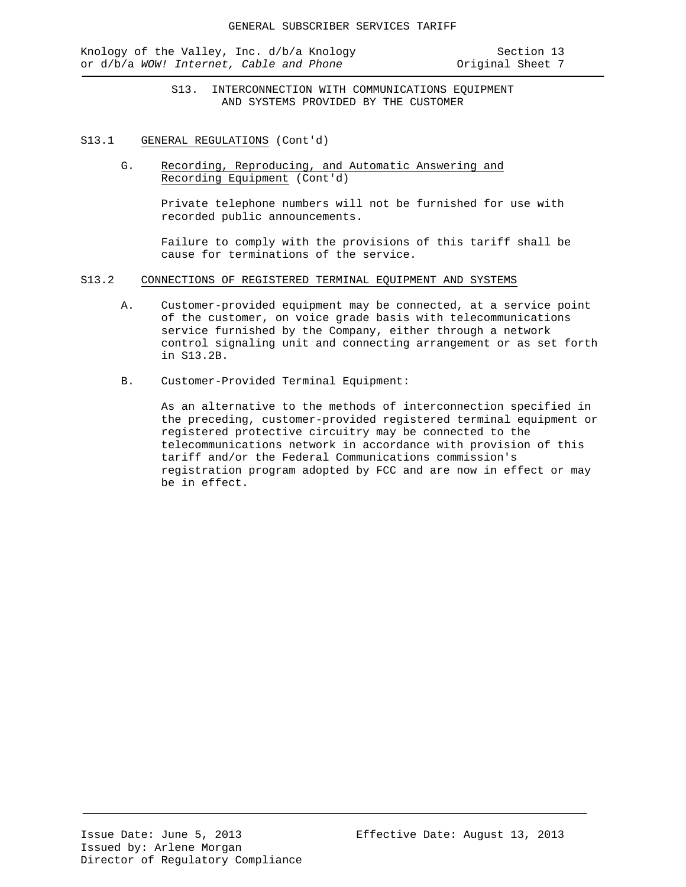Knology of the Valley, Inc. d/b/a Knology Section 13 or d/b/a *WOW!* Internet, Cable and Phone **Original Sheet 7** 

S13. INTERCONNECTION WITH COMMUNICATIONS EQUIPMENT AND SYSTEMS PROVIDED BY THE CUSTOMER

- S13.1 GENERAL REGULATIONS (Cont'd)
	- G. Recording, Reproducing, and Automatic Answering and Recording Equipment (Cont'd)

Private telephone numbers will not be furnished for use with recorded public announcements.

Failure to comply with the provisions of this tariff shall be cause for terminations of the service.

- S13.2 CONNECTIONS OF REGISTERED TERMINAL EQUIPMENT AND SYSTEMS
	- A. Customer-provided equipment may be connected, at a service point of the customer, on voice grade basis with telecommunications service furnished by the Company, either through a network control signaling unit and connecting arrangement or as set forth in S13.2B.
	- B. Customer-Provided Terminal Equipment:

As an alternative to the methods of interconnection specified in the preceding, customer-provided registered terminal equipment or registered protective circuitry may be connected to the telecommunications network in accordance with provision of this tariff and/or the Federal Communications commission's registration program adopted by FCC and are now in effect or may be in effect.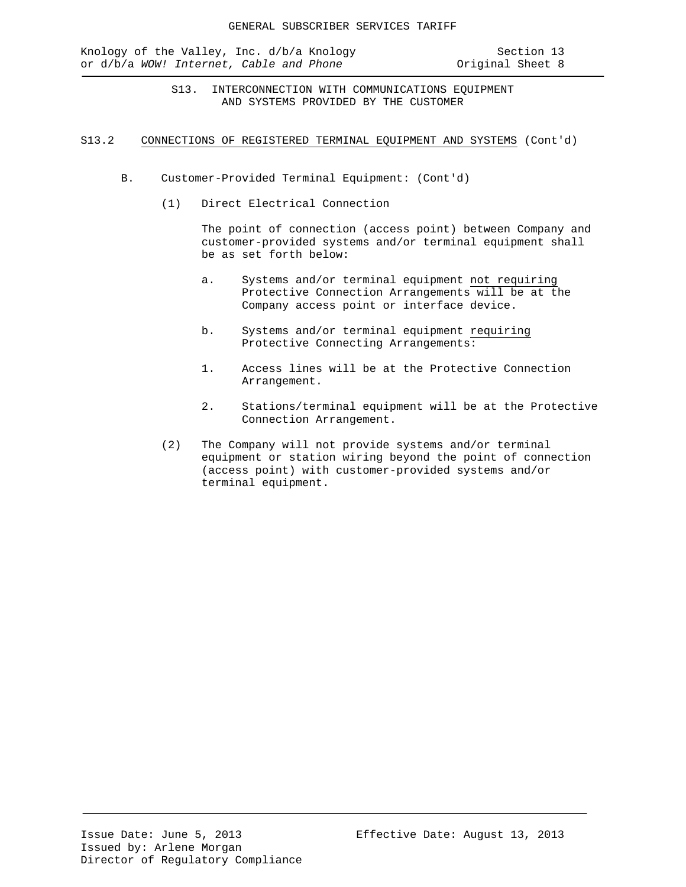Knology of the Valley, Inc. d/b/a Knology Section 13<br>or d/b/a WOW! Internet, Cable and Phone Society Original Sheet 8 or d/b/a WOW! Internet, Cable and Phone

S13. INTERCONNECTION WITH COMMUNICATIONS EQUIPMENT AND SYSTEMS PROVIDED BY THE CUSTOMER

### S13.2 CONNECTIONS OF REGISTERED TERMINAL EQUIPMENT AND SYSTEMS (Cont'd)

- B. Customer-Provided Terminal Equipment: (Cont'd)
	- (1) Direct Electrical Connection

The point of connection (access point) between Company and customer-provided systems and/or terminal equipment shall be as set forth below:

- a. Systems and/or terminal equipment not requiring Protective Connection Arrangements will be at the Company access point or interface device.
- b. Systems and/or terminal equipment requiring Protective Connecting Arrangements:
- 1. Access lines will be at the Protective Connection Arrangement.
- 2. Stations/terminal equipment will be at the Protective Connection Arrangement.
- (2) The Company will not provide systems and/or terminal equipment or station wiring beyond the point of connection (access point) with customer-provided systems and/or terminal equipment.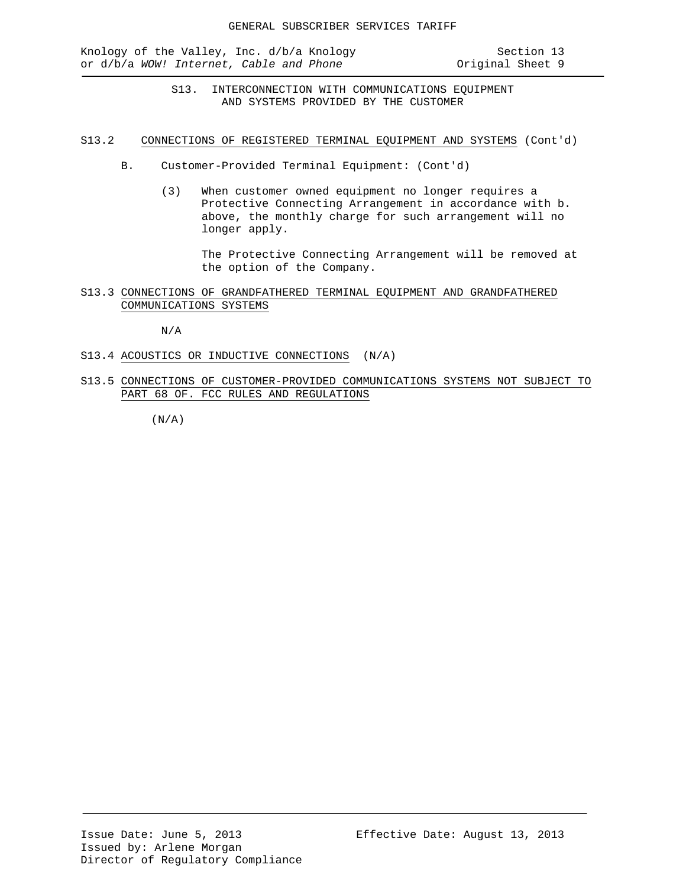Knology of the Valley, Inc. d/b/a Knology Section 13<br>or d/b/a WOW! Internet, Cable and Phone Society Original Sheet 9 or d/b/a WOW! Internet, Cable and Phone

S13. INTERCONNECTION WITH COMMUNICATIONS EQUIPMENT AND SYSTEMS PROVIDED BY THE CUSTOMER

S13.2 CONNECTIONS OF REGISTERED TERMINAL EQUIPMENT AND SYSTEMS (Cont'd)

- B. Customer-Provided Terminal Equipment: (Cont'd)
	- (3) When customer owned equipment no longer requires a Protective Connecting Arrangement in accordance with b. above, the monthly charge for such arrangement will no longer apply.

The Protective Connecting Arrangement will be removed at the option of the Company.

## S13.3 CONNECTIONS OF GRANDFATHERED TERMINAL EQUIPMENT AND GRANDFATHERED COMMUNICATIONS SYSTEMS

N/A

- S13.4 ACOUSTICS OR INDUCTIVE CONNECTIONS (N/A)
- S13.5 CONNECTIONS OF CUSTOMER-PROVIDED COMMUNICATIONS SYSTEMS NOT SUBJECT TO PART 68 OF. FCC RULES AND REGULATIONS

 $(N/A)$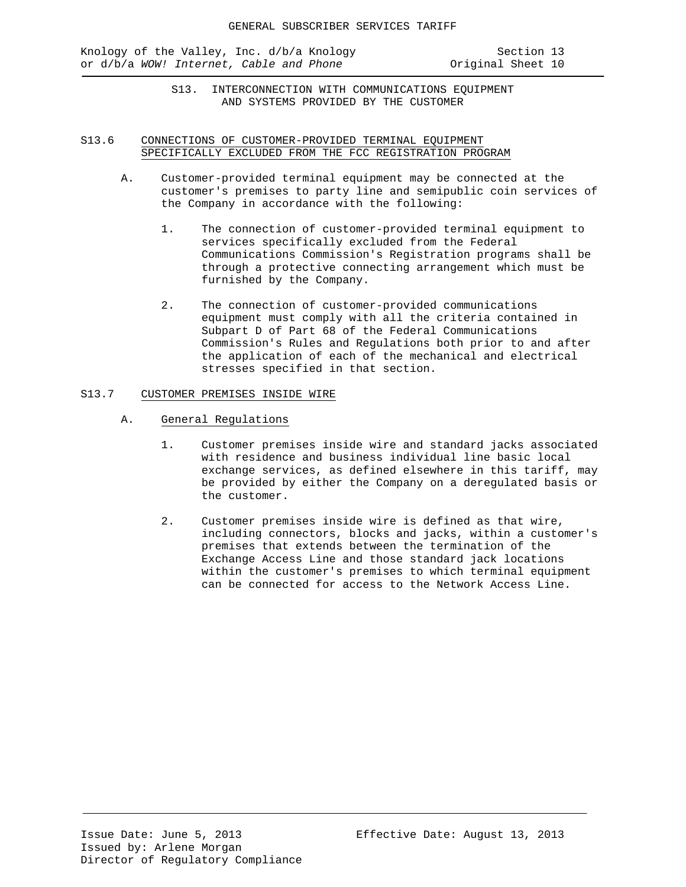Knology of the Valley, Inc. d/b/a Knology Section 13<br>or d/b/a WOW! Internet, Cable and Phone State Coriginal Sheet 10 or d/b/a WOW! Internet, Cable and Phone

S13. INTERCONNECTION WITH COMMUNICATIONS EQUIPMENT AND SYSTEMS PROVIDED BY THE CUSTOMER

## S13.6 CONNECTIONS OF CUSTOMER-PROVIDED TERMINAL EQUIPMENT SPECIFICALLY EXCLUDED FROM THE FCC REGISTRATION PROGRAM

- A. Customer-provided terminal equipment may be connected at the customer's premises to party line and semipublic coin services of the Company in accordance with the following:
	- 1. The connection of customer-provided terminal equipment to services specifically excluded from the Federal Communications Commission's Registration programs shall be through a protective connecting arrangement which must be furnished by the Company.
	- 2. The connection of customer-provided communications equipment must comply with all the criteria contained in Subpart D of Part 68 of the Federal Communications Commission's Rules and Regulations both prior to and after the application of each of the mechanical and electrical stresses specified in that section.

### S13.7 CUSTOMER PREMISES INSIDE WIRE

- A. General Regulations
	- 1. Customer premises inside wire and standard jacks associated with residence and business individual line basic local exchange services, as defined elsewhere in this tariff, may be provided by either the Company on a deregulated basis or the customer.
	- 2. Customer premises inside wire is defined as that wire, including connectors, blocks and jacks, within a customer's premises that extends between the termination of the Exchange Access Line and those standard jack locations within the customer's premises to which terminal equipment can be connected for access to the Network Access Line.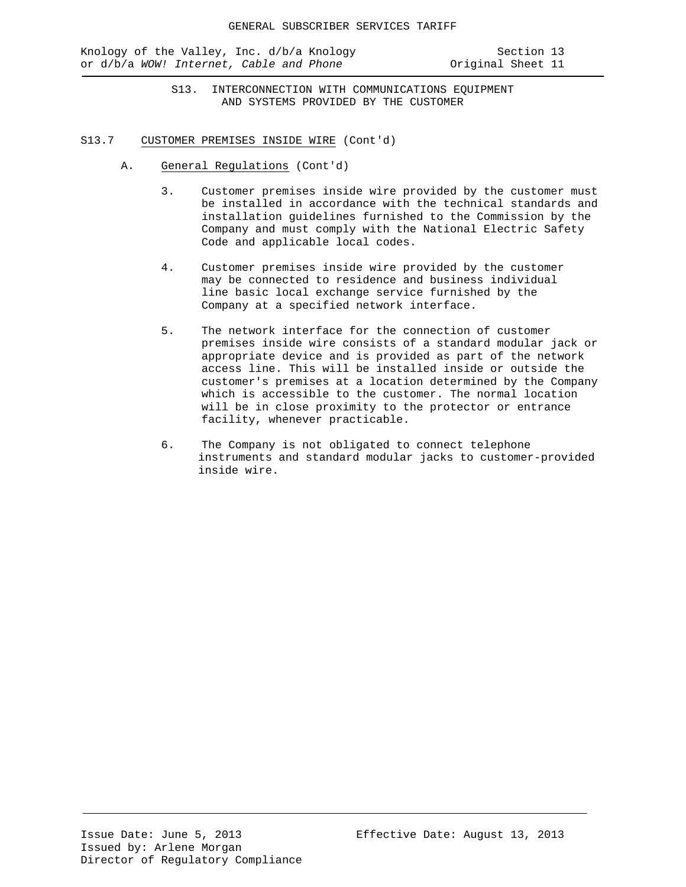Knology of the Valley, Inc. d/b/a Knology Section 13<br>or d/b/a WOW! Internet, Cable and Phone State Straine Criginal Sheet 11 or d/b/a WOW! Internet, Cable and Phone

S13. INTERCONNECTION WITH COMMUNICATIONS EQUIPMENT AND SYSTEMS PROVIDED BY THE CUSTOMER

- S13.7 CUSTOMER PREMISES INSIDE WIRE (Cont'd)
	- A. General Regulations (Cont'd)
		- 3. Customer premises inside wire provided by the customer must be installed in accordance with the technical standards and installation guidelines furnished to the Commission by the Company and must comply with the National Electric Safety Code and applicable local codes.
		- 4. Customer premises inside wire provided by the customer may be connected to residence and business individual line basic local exchange service furnished by the Company at a specified network interface.
		- 5. The network interface for the connection of customer premises inside wire consists of a standard modular jack or appropriate device and is provided as part of the network access line. This will be installed inside or outside the customer's premises at a location determined by the Company which is accessible to the customer. The normal location will be in close proximity to the protector or entrance facility, whenever practicable.
		- 6. The Company is not obligated to connect telephone instruments and standard modular jacks to customer-provided inside wire.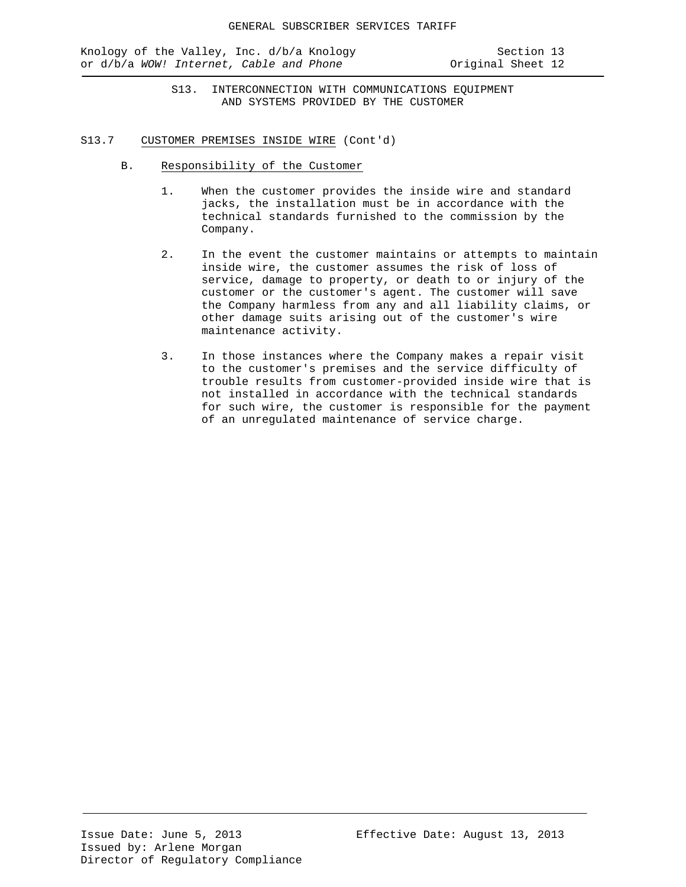Knology of the Valley, Inc. d/b/a Knology Section 13<br>or d/b/a WOW! Internet, Cable and Phone State Scriginal Sheet 12 or d/b/a WOW! Internet, Cable and Phone

S13. INTERCONNECTION WITH COMMUNICATIONS EQUIPMENT AND SYSTEMS PROVIDED BY THE CUSTOMER

- S13.7 CUSTOMER PREMISES INSIDE WIRE (Cont'd)
	- B. Responsibility of the Customer
		- 1. When the customer provides the inside wire and standard jacks, the installation must be in accordance with the technical standards furnished to the commission by the Company.
		- 2. In the event the customer maintains or attempts to maintain inside wire, the customer assumes the risk of loss of service, damage to property, or death to or injury of the customer or the customer's agent. The customer will save the Company harmless from any and all liability claims, or other damage suits arising out of the customer's wire maintenance activity.
		- 3. In those instances where the Company makes a repair visit to the customer's premises and the service difficulty of trouble results from customer-provided inside wire that is not installed in accordance with the technical standards for such wire, the customer is responsible for the payment of an unregulated maintenance of service charge.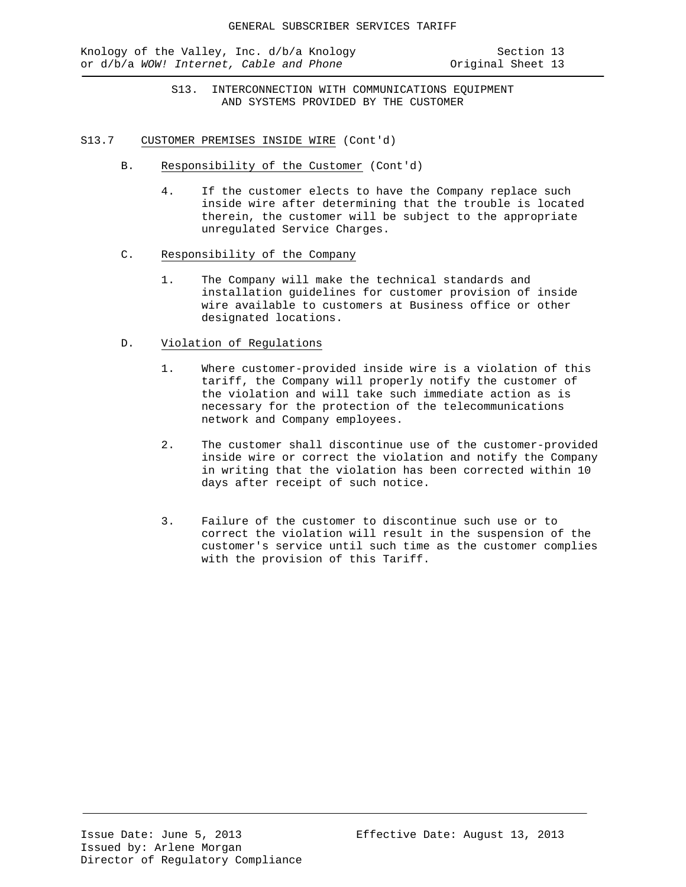Knology of the Valley, Inc. d/b/a Knology Section 13 or d/b/a *WOW!* Internet, Cable and Phone **Original** Sheet 13

S13. INTERCONNECTION WITH COMMUNICATIONS EQUIPMENT AND SYSTEMS PROVIDED BY THE CUSTOMER

- S13.7 CUSTOMER PREMISES INSIDE WIRE (Cont'd)
	- B. Responsibility of the Customer (Cont'd)
		- 4. If the customer elects to have the Company replace such inside wire after determining that the trouble is located therein, the customer will be subject to the appropriate unregulated Service Charges.
	- C. Responsibility of the Company
		- 1. The Company will make the technical standards and installation guidelines for customer provision of inside wire available to customers at Business office or other designated locations.

### D. Violation of Regulations

- 1. Where customer-provided inside wire is a violation of this tariff, the Company will properly notify the customer of the violation and will take such immediate action as is necessary for the protection of the telecommunications network and Company employees.
- 2. The customer shall discontinue use of the customer-provided inside wire or correct the violation and notify the Company in writing that the violation has been corrected within 10 days after receipt of such notice.
- 3. Failure of the customer to discontinue such use or to correct the violation will result in the suspension of the customer's service until such time as the customer complies with the provision of this Tariff.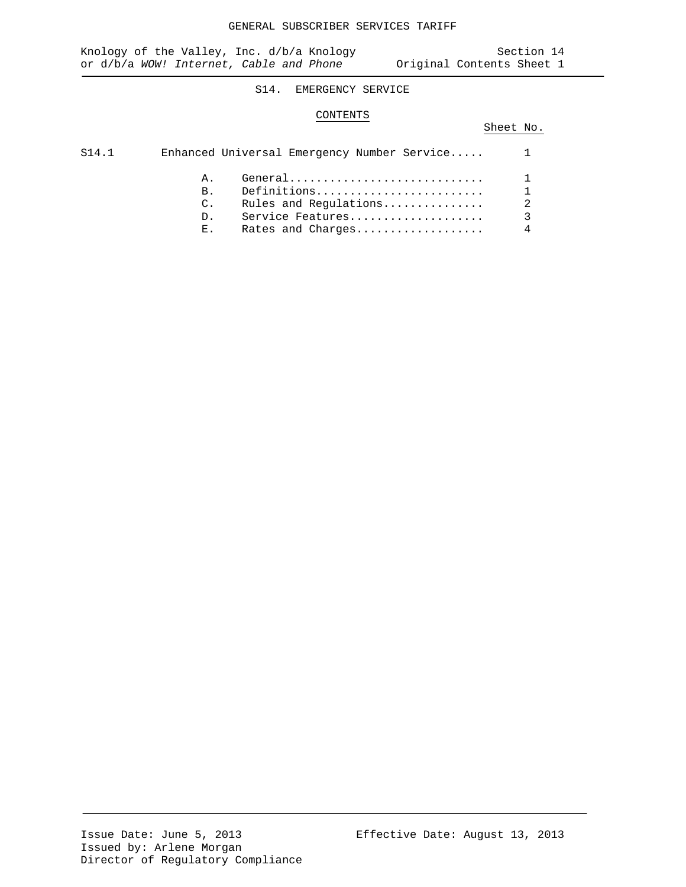# S14. EMERGENCY SERVICE

### CONTENTS

# Sheet No.

| S14.1 |                 | Enhanced Universal Emergency Number Service 1 |                |
|-------|-----------------|-----------------------------------------------|----------------|
|       | A.              |                                               | $\mathbf{1}$   |
|       | $B_{\perp}$     | Definitions                                   |                |
|       | $\mathcal{C}$ . |                                               |                |
|       | $D_{\perp}$     | Service Features                              | $\mathcal{E}$  |
|       | $E_{\rm{max}}$  | Rates and Charges                             | $\overline{4}$ |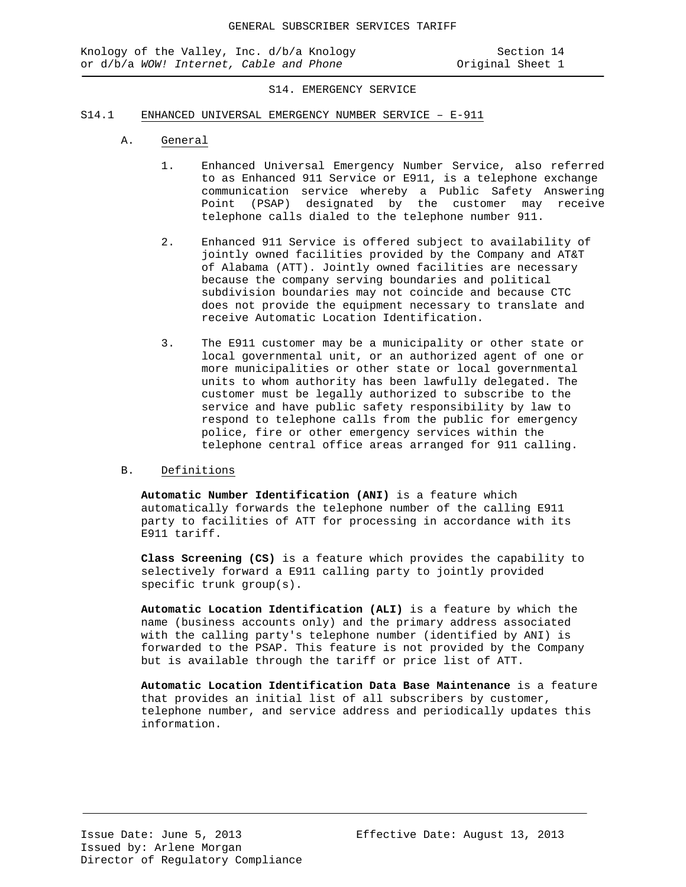### S14. EMERGENCY SERVICE

#### S14.1 ENHANCED UNIVERSAL EMERGENCY NUMBER SERVICE – E-911

- A. General
	- 1. Enhanced Universal Emergency Number Service, also referred to as Enhanced 911 Service or E911, is a telephone exchange communication service whereby a Public Safety Answering Point (PSAP) designated by the customer may receive telephone calls dialed to the telephone number 911.
	- 2. Enhanced 911 Service is offered subject to availability of jointly owned facilities provided by the Company and AT&T of Alabama (ATT). Jointly owned facilities are necessary because the company serving boundaries and political subdivision boundaries may not coincide and because CTC does not provide the equipment necessary to translate and receive Automatic Location Identification.
	- 3. The E911 customer may be a municipality or other state or local governmental unit, or an authorized agent of one or more municipalities or other state or local governmental units to whom authority has been lawfully delegated. The customer must be legally authorized to subscribe to the service and have public safety responsibility by law to respond to telephone calls from the public for emergency police, fire or other emergency services within the telephone central office areas arranged for 911 calling.

### B. Definitions

**Automatic Number Identification (ANI)** is a feature which automatically forwards the telephone number of the calling E911 party to facilities of ATT for processing in accordance with its E911 tariff.

**Class Screening (CS)** is a feature which provides the capability to selectively forward a E911 calling party to jointly provided specific trunk group(s).

**Automatic Location Identification (ALI)** is a feature by which the name (business accounts only) and the primary address associated with the calling party's telephone number (identified by ANI) is forwarded to the PSAP. This feature is not provided by the Company but is available through the tariff or price list of ATT.

**Automatic Location Identification Data Base Maintenance** is a feature that provides an initial list of all subscribers by customer, telephone number, and service address and periodically updates this information.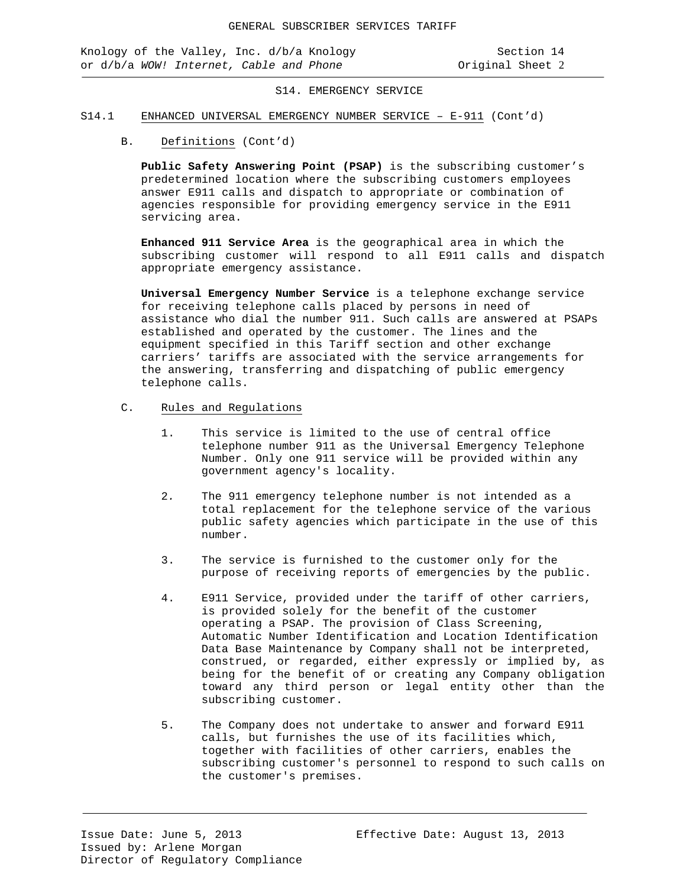Knology of the Valley, Inc. d/b/a Knology Section 14 or d/b/a WOW! Internet, Cable and Phone

S14. EMERGENCY SERVICE

#### S14.1 ENHANCED UNIVERSAL EMERGENCY NUMBER SERVICE – E-911 (Cont'd)

B. Definitions (Cont'd)

**Public Safety Answering Point (PSAP)** is the subscribing customer's predetermined location where the subscribing customers employees answer E911 calls and dispatch to appropriate or combination of agencies responsible for providing emergency service in the E911 servicing area.

**Enhanced 911 Service Area** is the geographical area in which the subscribing customer will respond to all E911 calls and dispatch appropriate emergency assistance.

**Universal Emergency Number Service** is a telephone exchange service for receiving telephone calls placed by persons in need of assistance who dial the number 911. Such calls are answered at PSAPs established and operated by the customer. The lines and the equipment specified in this Tariff section and other exchange carriers' tariffs are associated with the service arrangements for the answering, transferring and dispatching of public emergency telephone calls.

- C. Rules and Regulations
	- 1. This service is limited to the use of central office telephone number 911 as the Universal Emergency Telephone Number. Only one 911 service will be provided within any government agency's locality.
	- 2*.* The 911 emergency telephone number is not intended as a total replacement for the telephone service of the various public safety agencies which participate in the use of this number.
	- 3. The service is furnished to the customer only for the purpose of receiving reports of emergencies by the public.
	- 4. E911 Service, provided under the tariff of other carriers, is provided solely for the benefit of the customer operating a PSAP. The provision of Class Screening, Automatic Number Identification and Location Identification Data Base Maintenance by Company shall not be interpreted, construed, or regarded, either expressly or implied by, as being for the benefit of or creating any Company obligation toward any third person or legal entity other than the subscribing customer.
	- 5. The Company does not undertake to answer and forward E911 calls, but furnishes the use of its facilities which, together with facilities of other carriers, enables the subscribing customer's personnel to respond to such calls on the customer's premises.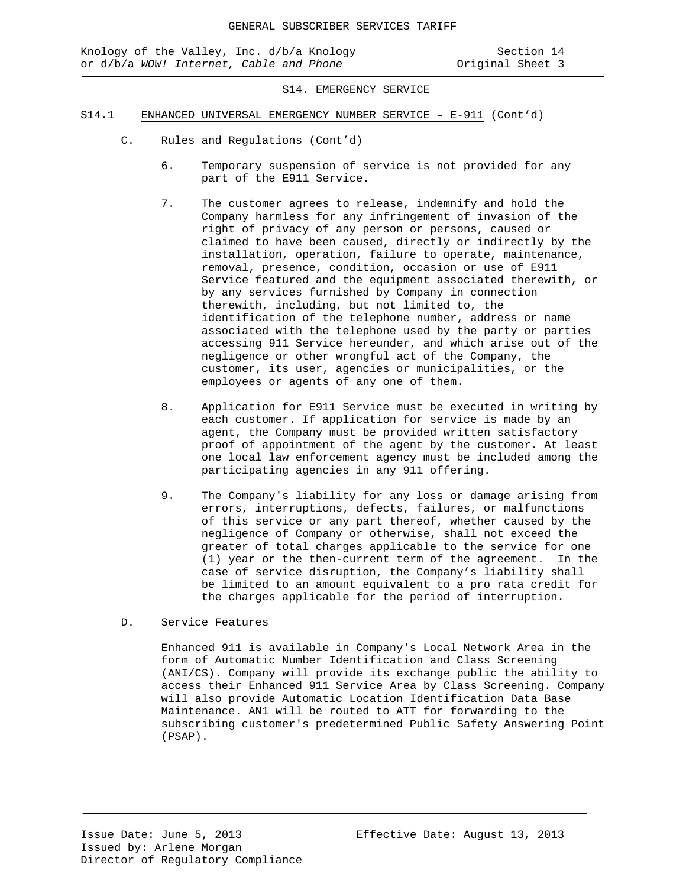### S14. EMERGENCY SERVICE

- S14.1 ENHANCED UNIVERSAL EMERGENCY NUMBER SERVICE E-911 (Cont'd)
	- C. Rules and Regulations (Cont'd)
		- 6. Temporary suspension of service is not provided for any part of the E911 Service.
		- 7. The customer agrees to release, indemnify and hold the Company harmless for any infringement of invasion of the right of privacy of any person or persons, caused or claimed to have been caused, directly or indirectly by the installation, operation, failure to operate, maintenance, removal, presence, condition, occasion or use of E911 Service featured and the equipment associated therewith, or by any services furnished by Company in connection therewith, including, but not limited to, the identification of the telephone number, address or name associated with the telephone used by the party or parties accessing 911 Service hereunder, and which arise out of the negligence or other wrongful act of the Company, the customer, its user, agencies or municipalities, or the employees or agents of any one of them.
		- 8. Application for E911 Service must be executed in writing by each customer. If application for service is made by an agent, the Company must be provided written satisfactory proof of appointment of the agent by the customer. At least one local law enforcement agency must be included among the participating agencies in any 911 offering.
		- 9. The Company's liability for any loss or damage arising from errors, interruptions, defects, failures, or malfunctions of this service or any part thereof, whether caused by the negligence of Company or otherwise, shall not exceed the greater of total charges applicable to the service for one (1) year or the then-current term of the agreement. In the case of service disruption, the Company's liability shall be limited to an amount equivalent to a pro rata credit for the charges applicable for the period of interruption.

## D. Service Features

Enhanced 911 is available in Company's Local Network Area in the form of Automatic Number Identification and Class Screening (ANI/CS). Company will provide its exchange public the ability to access their Enhanced 911 Service Area by Class Screening. Company will also provide Automatic Location Identification Data Base Maintenance. AN1 will be routed to ATT for forwarding to the subscribing customer's predetermined Public Safety Answering Point (PSAP).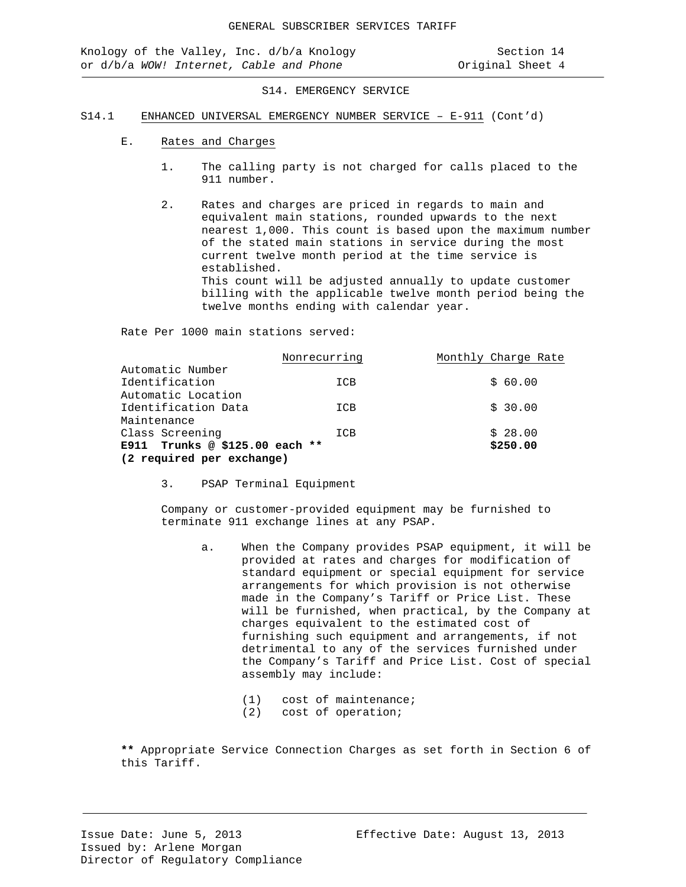Knology of the Valley, Inc. d/b/a Knology Section 14 or d/b/a WOW! Internet, Cable and Phone

S14. EMERGENCY SERVICE

#### S14.1 ENHANCED UNIVERSAL EMERGENCY NUMBER SERVICE – E-911 (Cont'd)

- E. Rates and Charges
	- 1. The calling party is not charged for calls placed to the 911 number.
	- 2. Rates and charges are priced in regards to main and equivalent main stations, rounded upwards to the next nearest 1,000. This count is based upon the maximum number of the stated main stations in service during the most current twelve month period at the time service is established. This count will be adjusted annually to update customer billing with the applicable twelve month period being the twelve months ending with calendar year.

Rate Per 1000 main stations served:

|                                | Nonrecurring | Monthly Charge Rate |
|--------------------------------|--------------|---------------------|
| Automatic Number               |              |                     |
| Identification                 | ICB          | \$60.00             |
| Automatic Location             |              |                     |
| Identification Data            | ICB          | \$30.00             |
| Maintenance                    |              |                     |
| Class Screening                | ICB          | \$28.00             |
| E911 Trunks @ \$125.00 each ** |              | \$250.00            |
| (2 required per exchange)      |              |                     |

3. PSAP Terminal Equipment

Company or customer-provided equipment may be furnished to terminate 911 exchange lines at any PSAP.

- a. When the Company provides PSAP equipment, it will be provided at rates and charges for modification of standard equipment or special equipment for service arrangements for which provision is not otherwise made in the Company's Tariff or Price List. These will be furnished, when practical, by the Company at charges equivalent to the estimated cost of furnishing such equipment and arrangements, if not detrimental to any of the services furnished under the Company's Tariff and Price List. Cost of special assembly may include:
	- (1) cost of maintenance;
	- (2) cost of operation;

**\*\*** Appropriate Service Connection Charges as set forth in Section 6 of this Tariff.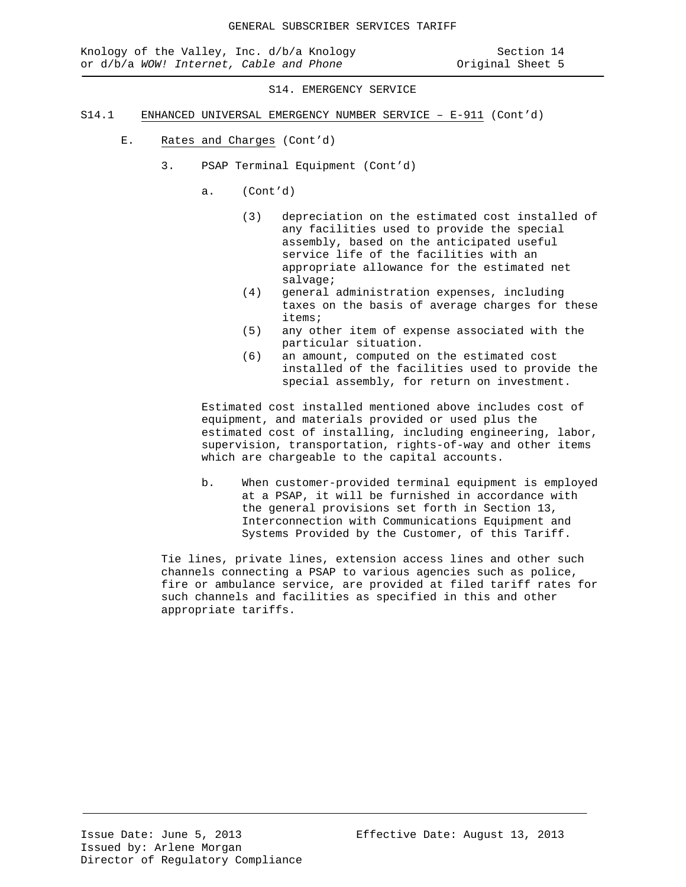S14. EMERGENCY SERVICE

- S14.1 ENHANCED UNIVERSAL EMERGENCY NUMBER SERVICE E-911 (Cont'd)
	- E. Rates and Charges (Cont'd)
		- 3. PSAP Terminal Equipment (Cont'd)
			- a. (Cont'd)
				- (3) depreciation on the estimated cost installed of any facilities used to provide the special assembly, based on the anticipated useful service life of the facilities with an appropriate allowance for the estimated net salvage;
				- (4) general administration expenses, including taxes on the basis of average charges for these items;
				- (5) any other item of expense associated with the particular situation.
				- (6) an amount, computed on the estimated cost installed of the facilities used to provide the special assembly, for return on investment.

Estimated cost installed mentioned above includes cost of equipment, and materials provided or used plus the estimated cost of installing, including engineering, labor, supervision, transportation, rights-of-way and other items which are chargeable to the capital accounts.

b. When customer-provided terminal equipment is employed at a PSAP, it will be furnished in accordance with the general provisions set forth in Section 13, Interconnection with Communications Equipment and Systems Provided by the Customer, of this Tariff.

Tie lines, private lines, extension access lines and other such channels connecting a PSAP to various agencies such as police, fire or ambulance service, are provided at filed tariff rates for such channels and facilities as specified in this and other appropriate tariffs.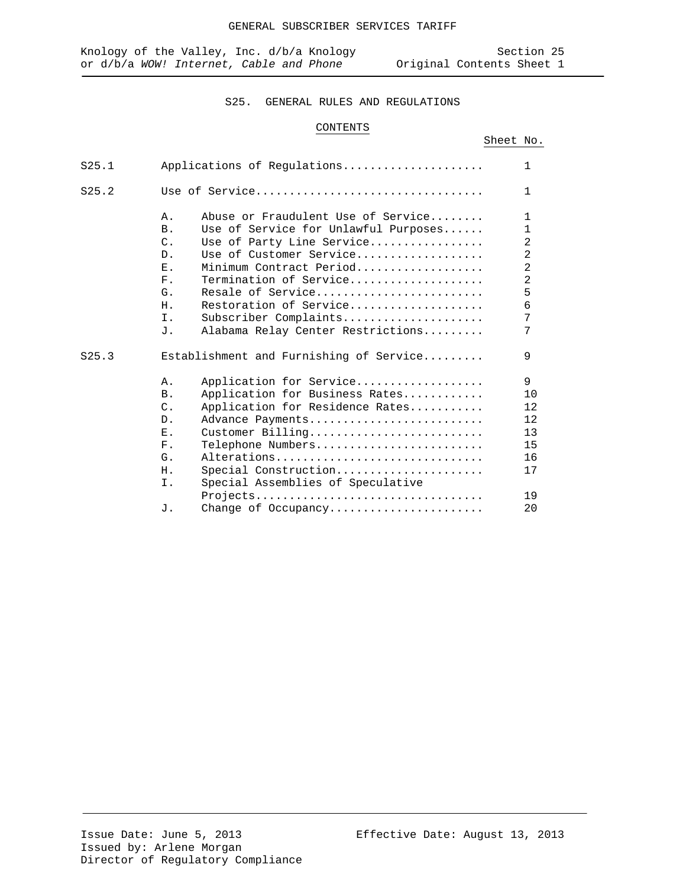## S25. GENERAL RULES AND REGULATIONS

# CONTENTS

|       |                                                                                                                                                                                                                                                                                                                                                                                | Sheet No. |                                                                                                    |
|-------|--------------------------------------------------------------------------------------------------------------------------------------------------------------------------------------------------------------------------------------------------------------------------------------------------------------------------------------------------------------------------------|-----------|----------------------------------------------------------------------------------------------------|
| S25.1 | Applications of Requlations                                                                                                                                                                                                                                                                                                                                                    |           | 1                                                                                                  |
| S25.2 | Use of Service                                                                                                                                                                                                                                                                                                                                                                 |           | 1                                                                                                  |
|       | Abuse or Fraudulent Use of Service<br>Α.<br>Use of Service for Unlawful Purposes<br><b>B</b> .<br>$C$ .<br>Use of Party Line Service<br>Use of Customer Service<br>D.<br>Minimum Contract Period<br>Ε.<br>Termination of Service<br>$F$ .<br>Resale of Service<br>G.<br>Restoration of Service<br>Η.<br>Subscriber Complaints<br>Ι.<br>Alabama Relay Center Restrictions<br>J. |           | 1<br>1<br>$\overline{2}$<br>$\overline{2}$<br>$\overline{2}$<br>$\overline{2}$<br>5<br>6<br>7<br>7 |
| S25.3 | Establishment and Furnishing of Service                                                                                                                                                                                                                                                                                                                                        |           | 9                                                                                                  |
|       | Application for Service<br>Α.<br>Application for Business Rates<br><b>B</b> .<br>$C$ .<br>Application for Residence Rates<br>Advance Payments<br>$D$ .<br>$\mathbf{F}_{\rm{L}}$<br>Customer Billing<br>Telephone Numbers<br>$F$ .<br>Alterations<br>G.<br>Special Construction<br>Η.<br>Special Assemblies of Speculative<br>Ι.                                                |           | 9<br>10<br>12<br>12<br>13<br>15<br>16<br>17<br>19<br>20                                            |
|       | Change of Occupancy<br>J.                                                                                                                                                                                                                                                                                                                                                      |           |                                                                                                    |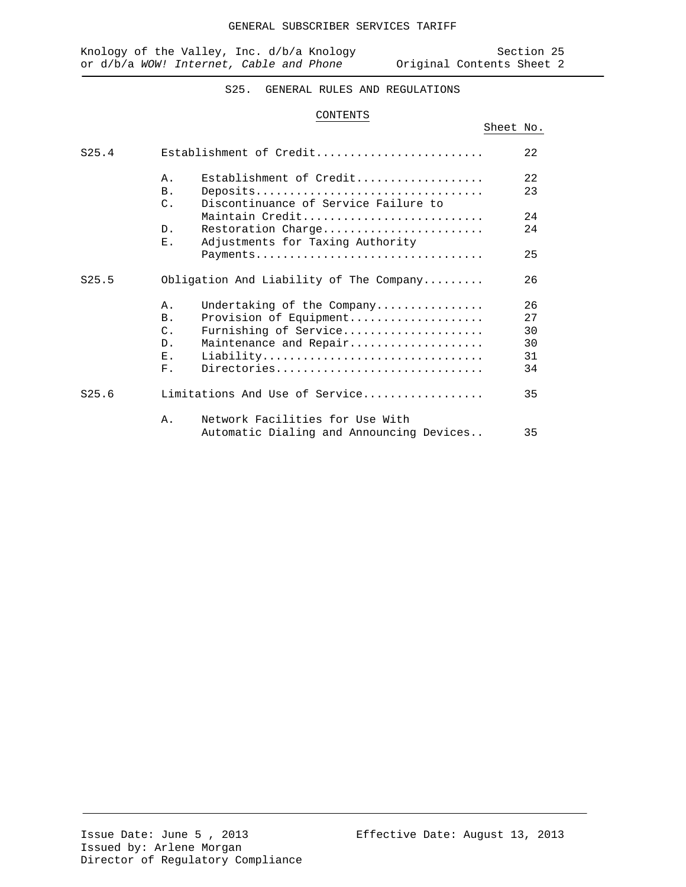Sheet No.

# S25. GENERAL RULES AND REGULATIONS

### CONTENTS

| S25.4 |                 | Establishment of Credit                                | 2.2.     |
|-------|-----------------|--------------------------------------------------------|----------|
|       | $\mathsf{A}$ .  | Establishment of Credit                                | 22       |
|       | B <sub>1</sub>  | Deposits                                               | 23       |
|       | $\mathcal{C}$ . | Discontinuance of Service Failure to                   |          |
|       | D <sub>1</sub>  | Maintain Credit                                        | 24<br>24 |
|       | Ε.              | Restoration Charge<br>Adjustments for Taxing Authority |          |
|       |                 | Payments                                               | 25       |
| S25.5 |                 | Obligation And Liability of The Company                | 26       |
|       | Α.              | Undertaking of the Company                             | 26       |
|       | B <sub>1</sub>  | Provision of Equipment                                 | 2.7      |
|       | $\mathcal{C}$ . | Furnishing of Service                                  | 30       |
|       | $D$ .           | Maintenance and Repair                                 | 30       |
|       | $\mathbf{E}$ .  | Liability                                              | 31       |
|       | $F$ .           | Directories                                            | 34       |
| S25.6 |                 | Limitations And Use of Service                         | 35       |
|       | Α.              | Network Facilities for Use With                        |          |
|       |                 | Automatic Dialing and Announcing Devices               | 35       |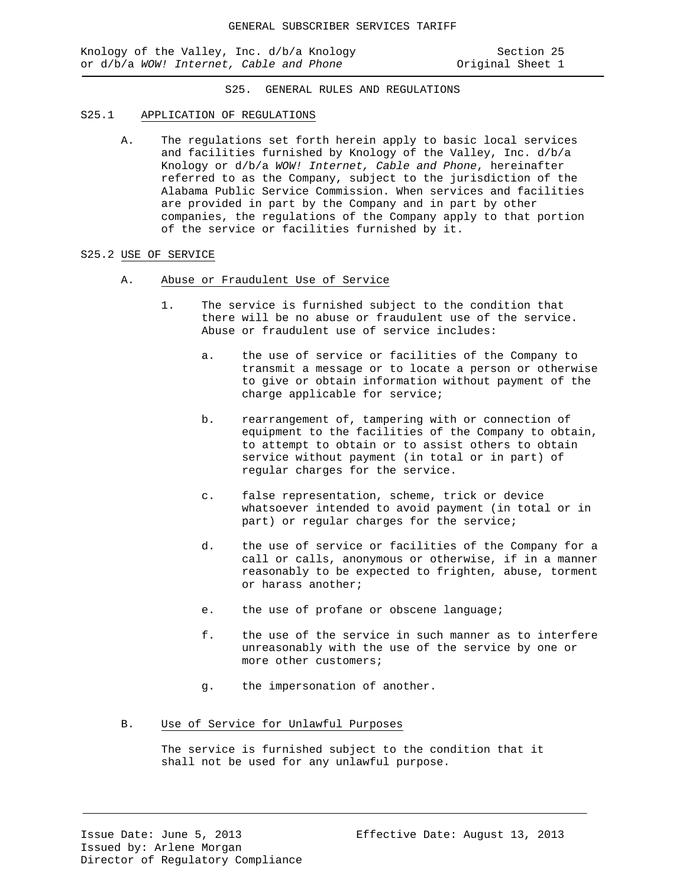Knology of the Valley, Inc. d/b/a Knology Section 25 or d/b/a *WOW!* Internet, Cable and Phone **Original** Sheet 1

S25. GENERAL RULES AND REGULATIONS

#### S25.1 APPLICATION OF REGULATIONS

A. The regulations set forth herein apply to basic local services and facilities furnished by Knology of the Valley, Inc. d/b/a Knology or d/b/a *WOW! Internet, Cable and Phone*, hereinafter referred to as the Company, subject to the jurisdiction of the Alabama Public Service Commission. When services and facilities are provided in part by the Company and in part by other companies, the regulations of the Company apply to that portion of the service or facilities furnished by it.

### S25.2 USE OF SERVICE

- A. Abuse or Fraudulent Use of Service
	- 1. The service is furnished subject to the condition that there will be no abuse or fraudulent use of the service. Abuse or fraudulent use of service includes:
		- a. the use of service or facilities of the Company to transmit a message or to locate a person or otherwise to give or obtain information without payment of the charge applicable for service;
		- b. rearrangement of, tampering with or connection of equipment to the facilities of the Company to obtain, to attempt to obtain or to assist others to obtain service without payment (in total or in part) of regular charges for the service.
		- c. false representation, scheme, trick or device whatsoever intended to avoid payment (in total or in part) or regular charges for the service;
		- d. the use of service or facilities of the Company for a call or calls, anonymous or otherwise, if in a manner reasonably to be expected to frighten, abuse, torment or harass another;
		- e. the use of profane or obscene language;
		- f. the use of the service in such manner as to interfere unreasonably with the use of the service by one or more other customers;
		- g. the impersonation of another.
- B. Use of Service for Unlawful Purposes

The service is furnished subject to the condition that it shall not be used for any unlawful purpose.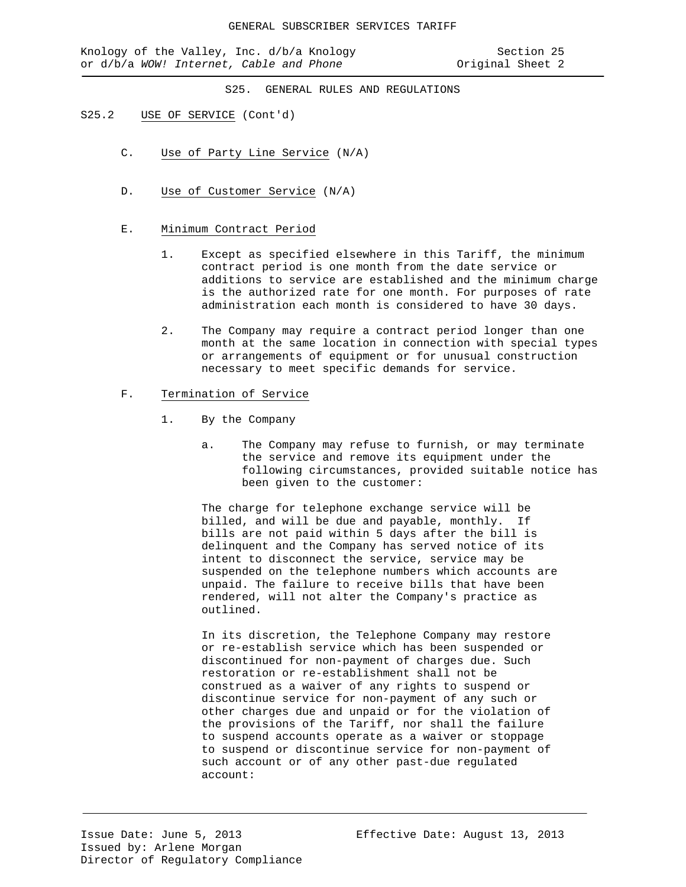Knology of the Valley, Inc. d/b/a Knology Section 25 or d/b/a *WOW!* Internet, Cable and Phone **Original Sheet 2** 

S25. GENERAL RULES AND REGULATIONS

### S25.2 USE OF SERVICE (Cont'd)

- C. Use of Party Line Service (N/A)
- D. Use of Customer Service (N/A)

### E. Minimum Contract Period

- 1. Except as specified elsewhere in this Tariff, the minimum contract period is one month from the date service or additions to service are established and the minimum charge is the authorized rate for one month. For purposes of rate administration each month is considered to have 30 days.
- 2. The Company may require a contract period longer than one month at the same location in connection with special types or arrangements of equipment or for unusual construction necessary to meet specific demands for service.

### F. Termination of Service

- 1. By the Company
	- a. The Company may refuse to furnish, or may terminate the service and remove its equipment under the following circumstances, provided suitable notice has been given to the customer:

The charge for telephone exchange service will be billed, and will be due and payable, monthly. If bills are not paid within 5 days after the bill is delinquent and the Company has served notice of its intent to disconnect the service, service may be suspended on the telephone numbers which accounts are unpaid. The failure to receive bills that have been rendered, will not alter the Company's practice as outlined.

In its discretion, the Telephone Company may restore or re-establish service which has been suspended or discontinued for non-payment of charges due. Such restoration or re-establishment shall not be construed as a waiver of any rights to suspend or discontinue service for non-payment of any such or other charges due and unpaid or for the violation of the provisions of the Tariff, nor shall the failure to suspend accounts operate as a waiver or stoppage to suspend or discontinue service for non-payment of such account or of any other past-due regulated account: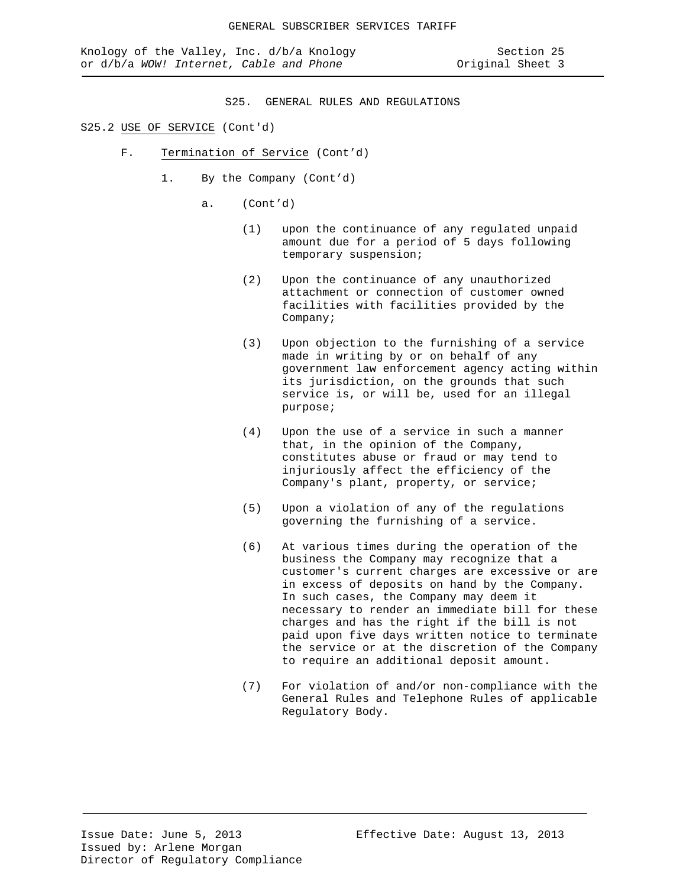S25. GENERAL RULES AND REGULATIONS

### S25.2 USE OF SERVICE (Cont'd)

- F. Termination of Service (Cont'd)
	- 1. By the Company (Cont'd)
		- a. (Cont'd)
			- (1) upon the continuance of any regulated unpaid amount due for a period of 5 days following temporary suspension;
			- (2) Upon the continuance of any unauthorized attachment or connection of customer owned facilities with facilities provided by the Company;
			- (3) Upon objection to the furnishing of a service made in writing by or on behalf of any government law enforcement agency acting within its jurisdiction, on the grounds that such service is, or will be, used for an illegal purpose;
			- (4) Upon the use of a service in such a manner that, in the opinion of the Company, constitutes abuse or fraud or may tend to injuriously affect the efficiency of the Company's plant, property, or service;
			- (5) Upon a violation of any of the regulations governing the furnishing of a service.
			- (6) At various times during the operation of the business the Company may recognize that a customer's current charges are excessive or are in excess of deposits on hand by the Company. In such cases, the Company may deem it necessary to render an immediate bill for these charges and has the right if the bill is not paid upon five days written notice to terminate the service or at the discretion of the Company to require an additional deposit amount.
			- (7) For violation of and/or non-compliance with the General Rules and Telephone Rules of applicable Regulatory Body.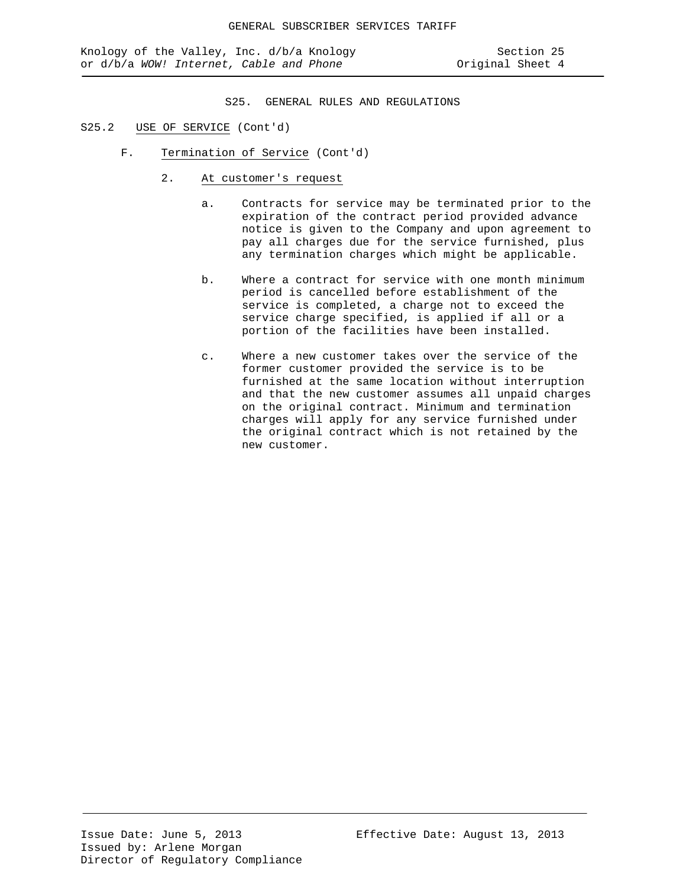- S25.2 USE OF SERVICE (Cont'd)
	- F. Termination of Service (Cont'd)
		- 2. At customer's request
			- a. Contracts for service may be terminated prior to the expiration of the contract period provided advance notice is given to the Company and upon agreement to pay all charges due for the service furnished, plus any termination charges which might be applicable.
			- b. Where a contract for service with one month minimum period is cancelled before establishment of the service is completed, a charge not to exceed the service charge specified, is applied if all or a portion of the facilities have been installed.
			- c. Where a new customer takes over the service of the former customer provided the service is to be furnished at the same location without interruption and that the new customer assumes all unpaid charges on the original contract. Minimum and termination charges will apply for any service furnished under the original contract which is not retained by the new customer.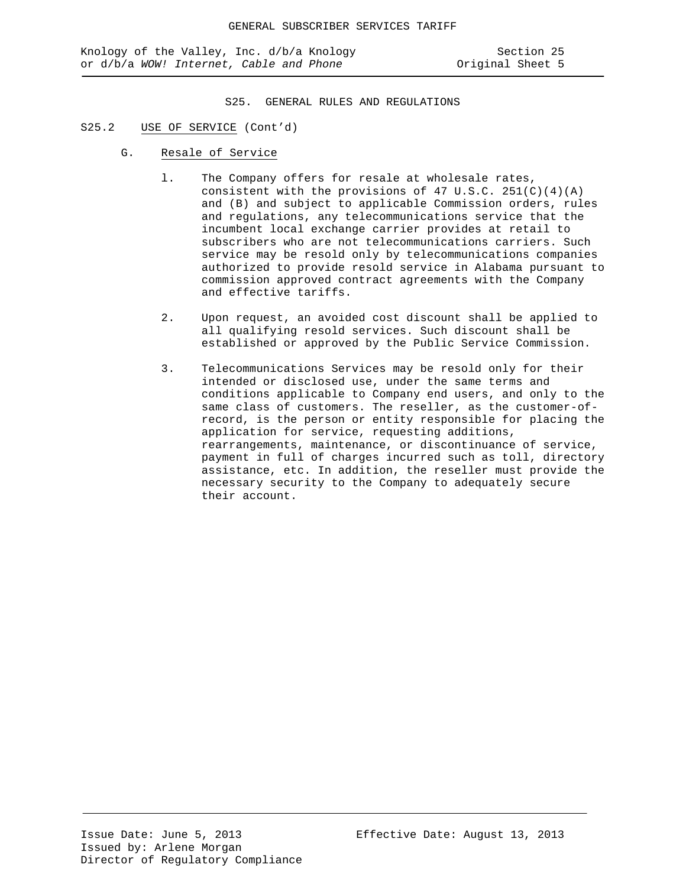## S25.2 USE OF SERVICE (Cont'd)

- G. Resale of Service
	- l. The Company offers for resale at wholesale rates, consistent with the provisions of 47 U.S.C. 251(C)(4)(A) and (B) and subject to applicable Commission orders, rules and regulations, any telecommunications service that the incumbent local exchange carrier provides at retail to subscribers who are not telecommunications carriers. Such service may be resold only by telecommunications companies authorized to provide resold service in Alabama pursuant to commission approved contract agreements with the Company and effective tariffs.
	- 2. Upon request, an avoided cost discount shall be applied to all qualifying resold services. Such discount shall be established or approved by the Public Service Commission.
	- 3. Telecommunications Services may be resold only for their intended or disclosed use, under the same terms and conditions applicable to Company end users, and only to the same class of customers. The reseller, as the customer-ofrecord, is the person or entity responsible for placing the application for service, requesting additions, rearrangements, maintenance, or discontinuance of service, payment in full of charges incurred such as toll, directory assistance, etc. In addition, the reseller must provide the necessary security to the Company to adequately secure their account.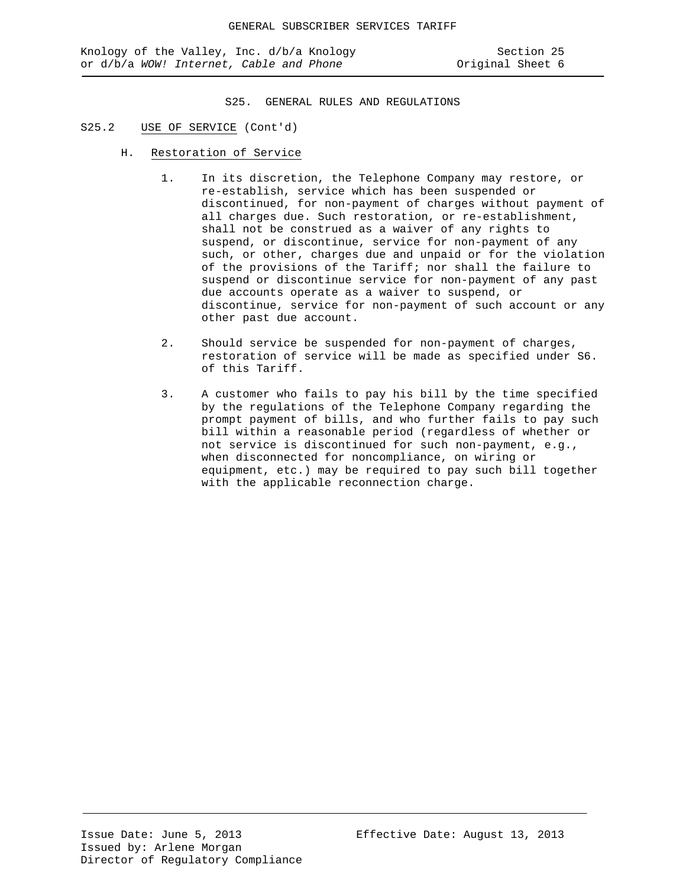- S25.2 USE OF SERVICE (Cont'd)
	- H. Restoration of Service
		- 1. In its discretion, the Telephone Company may restore, or re-establish, service which has been suspended or discontinued, for non-payment of charges without payment of all charges due. Such restoration, or re-establishment, shall not be construed as a waiver of any rights to suspend, or discontinue, service for non-payment of any such, or other, charges due and unpaid or for the violation of the provisions of the Tariff; nor shall the failure to suspend or discontinue service for non-payment of any past due accounts operate as a waiver to suspend, or discontinue, service for non-payment of such account or any other past due account.
		- 2. Should service be suspended for non-payment of charges, restoration of service will be made as specified under S6. of this Tariff.
		- 3. A customer who fails to pay his bill by the time specified by the regulations of the Telephone Company regarding the prompt payment of bills, and who further fails to pay such bill within a reasonable period (regardless of whether or not service is discontinued for such non-payment, e.g., when disconnected for noncompliance, on wiring or equipment, etc.) may be required to pay such bill together with the applicable reconnection charge.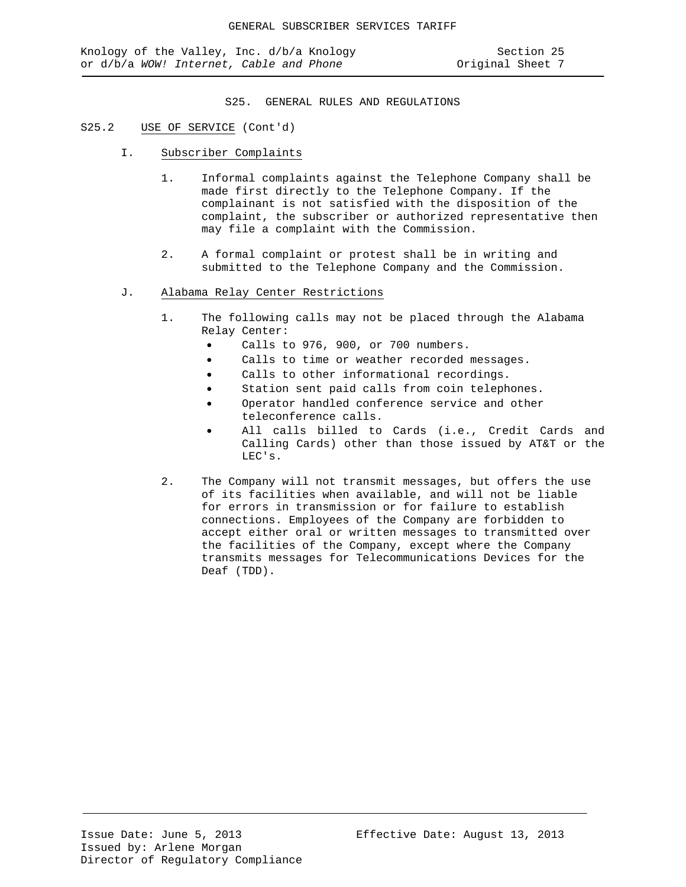## S25.2 USE OF SERVICE (Cont'd)

- I. Subscriber Complaints
	- 1. Informal complaints against the Telephone Company shall be made first directly to the Telephone Company. If the complainant is not satisfied with the disposition of the complaint, the subscriber or authorized representative then may file a complaint with the Commission.
	- 2. A formal complaint or protest shall be in writing and submitted to the Telephone Company and the Commission.
- J. Alabama Relay Center Restrictions
	- 1. The following calls may not be placed through the Alabama Relay Center:
		- Calls to 976, 900, or 700 numbers.
		- Calls to time or weather recorded messages.
		- Calls to other informational recordings.
		- Station sent paid calls from coin telephones.
		- Operator handled conference service and other teleconference calls.
		- All calls billed to Cards (i.e., Credit Cards and Calling Cards) other than those issued by AT&T or the LEC's.
	- 2. The Company will not transmit messages, but offers the use of its facilities when available, and will not be liable for errors in transmission or for failure to establish connections. Employees of the Company are forbidden to accept either oral or written messages to transmitted over the facilities of the Company, except where the Company transmits messages for Telecommunications Devices for the Deaf (TDD).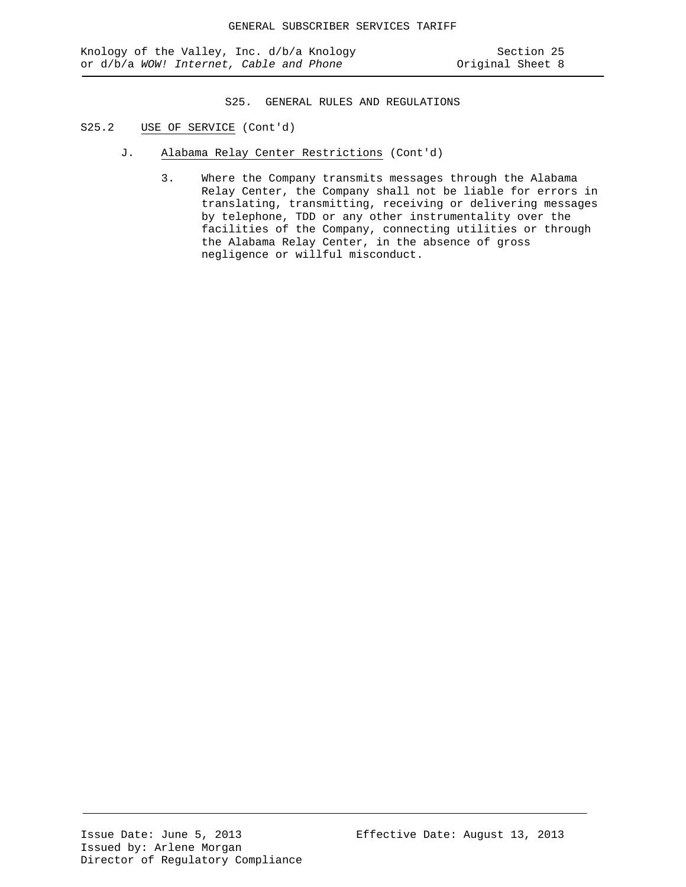- S25.2 USE OF SERVICE (Cont'd)
	- J. Alabama Relay Center Restrictions (Cont'd)
		- 3. Where the Company transmits messages through the Alabama Relay Center, the Company shall not be liable for errors in translating, transmitting, receiving or delivering messages by telephone, TDD or any other instrumentality over the facilities of the Company, connecting utilities or through the Alabama Relay Center, in the absence of gross negligence or willful misconduct.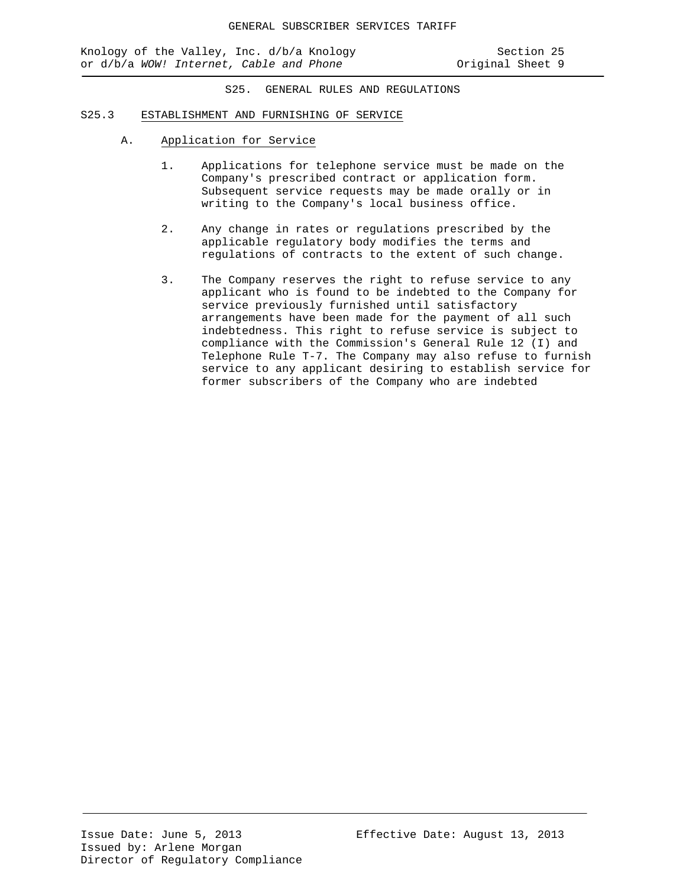#### S25.3 ESTABLISHMENT AND FURNISHING OF SERVICE

- A. Application for Service
	- 1. Applications for telephone service must be made on the Company's prescribed contract or application form. Subsequent service requests may be made orally or in writing to the Company's local business office.
	- 2. Any change in rates or regulations prescribed by the applicable regulatory body modifies the terms and regulations of contracts to the extent of such change.
	- 3. The Company reserves the right to refuse service to any applicant who is found to be indebted to the Company for service previously furnished until satisfactory arrangements have been made for the payment of all such indebtedness. This right to refuse service is subject to compliance with the Commission's General Rule 12 (I) and Telephone Rule T-7. The Company may also refuse to furnish service to any applicant desiring to establish service for former subscribers of the Company who are indebted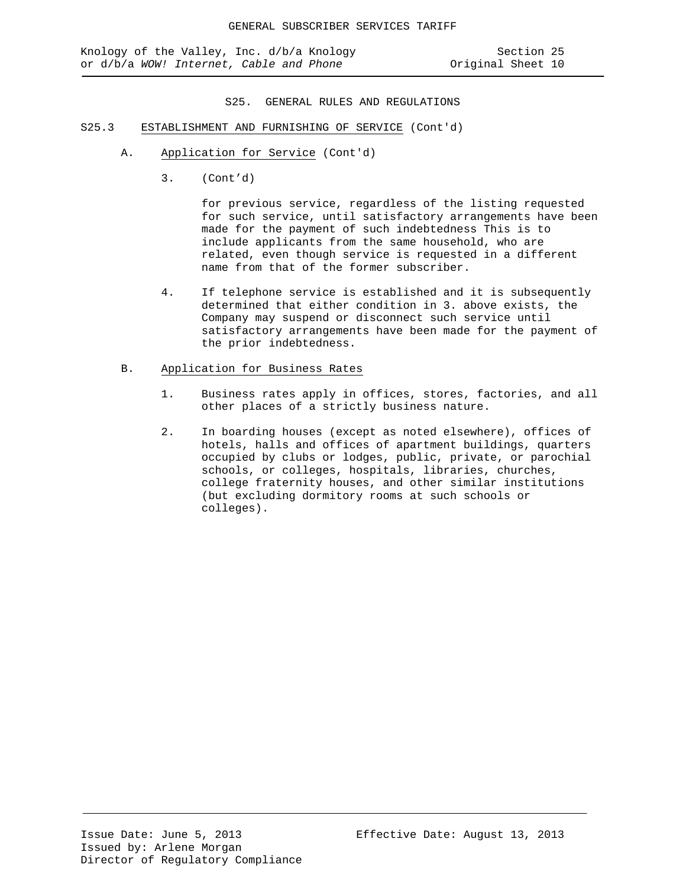- S25.3 ESTABLISHMENT AND FURNISHING OF SERVICE (Cont'd)
	- A. Application for Service (Cont'd)
		- 3. (Cont'd)

for previous service, regardless of the listing requested for such service, until satisfactory arrangements have been made for the payment of such indebtedness This is to include applicants from the same household, who are related, even though service is requested in a different name from that of the former subscriber.

4. If telephone service is established and it is subsequently determined that either condition in 3. above exists, the Company may suspend or disconnect such service until satisfactory arrangements have been made for the payment of the prior indebtedness.

### B. Application for Business Rates

- 1. Business rates apply in offices, stores, factories, and all other places of a strictly business nature.
- 2. In boarding houses (except as noted elsewhere), offices of hotels, halls and offices of apartment buildings, quarters occupied by clubs or lodges, public, private, or parochial schools, or colleges, hospitals, libraries, churches, college fraternity houses, and other similar institutions (but excluding dormitory rooms at such schools or colleges).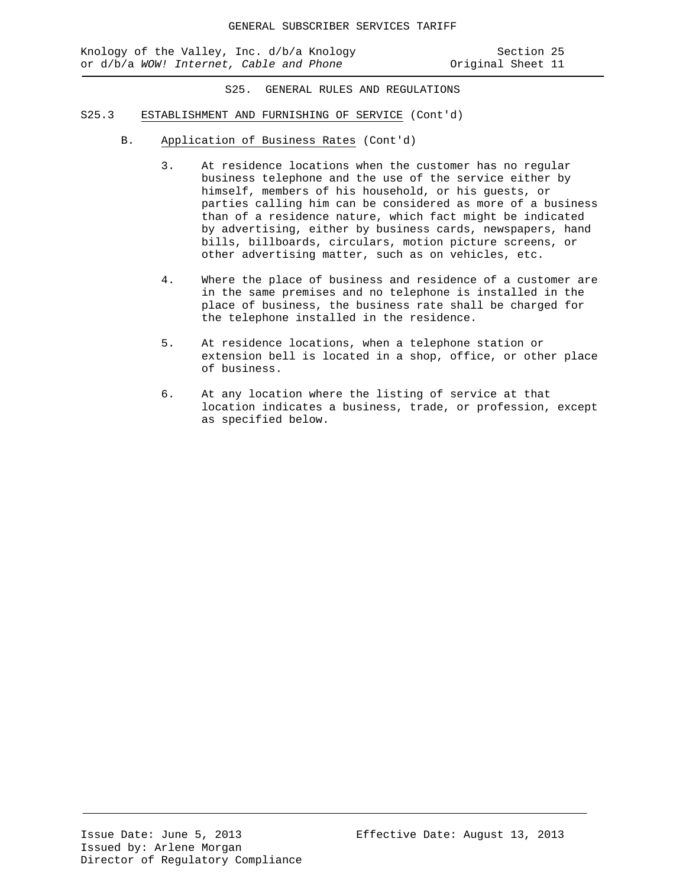Knology of the Valley, Inc. d/b/a Knology Section 25<br>or d/b/a WOW! Internet, Cable and Phone States Scriginal Sheet 11 or d/b/a WOW! Internet, Cable and Phone

- S25.3 ESTABLISHMENT AND FURNISHING OF SERVICE (Cont'd)
	- B. Application of Business Rates (Cont'd)
		- 3. At residence locations when the customer has no regular business telephone and the use of the service either by himself, members of his household, or his guests, or parties calling him can be considered as more of a business than of a residence nature, which fact might be indicated by advertising, either by business cards, newspapers, hand bills, billboards, circulars, motion picture screens, or other advertising matter, such as on vehicles, etc.
		- 4. Where the place of business and residence of a customer are in the same premises and no telephone is installed in the place of business, the business rate shall be charged for the telephone installed in the residence.
		- 5. At residence locations, when a telephone station or extension bell is located in a shop, office, or other place of business.
		- 6. At any location where the listing of service at that location indicates a business, trade, or profession, except as specified below.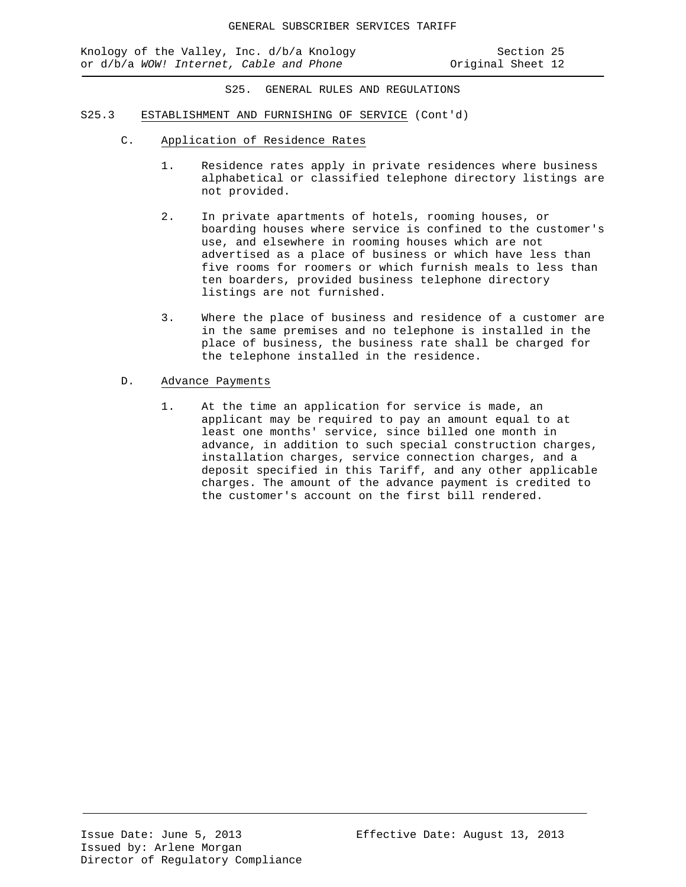Knology of the Valley, Inc. d/b/a Knology Section 25<br>or d/b/a WOW! Internet, Cable and Phone States Scriginal Sheet 12 or d/b/a WOW! Internet, Cable and Phone

- S25.3 ESTABLISHMENT AND FURNISHING OF SERVICE (Cont'd)
	- C. Application of Residence Rates
		- 1. Residence rates apply in private residences where business alphabetical or classified telephone directory listings are not provided.
		- 2. In private apartments of hotels, rooming houses, or boarding houses where service is confined to the customer's use, and elsewhere in rooming houses which are not advertised as a place of business or which have less than five rooms for roomers or which furnish meals to less than ten boarders, provided business telephone directory listings are not furnished.
		- 3. Where the place of business and residence of a customer are in the same premises and no telephone is installed in the place of business, the business rate shall be charged for the telephone installed in the residence.
	- D. Advance Payments
		- 1. At the time an application for service is made, an applicant may be required to pay an amount equal to at least one months' service, since billed one month in advance, in addition to such special construction charges, installation charges, service connection charges, and a deposit specified in this Tariff, and any other applicable charges. The amount of the advance payment is credited to the customer's account on the first bill rendered.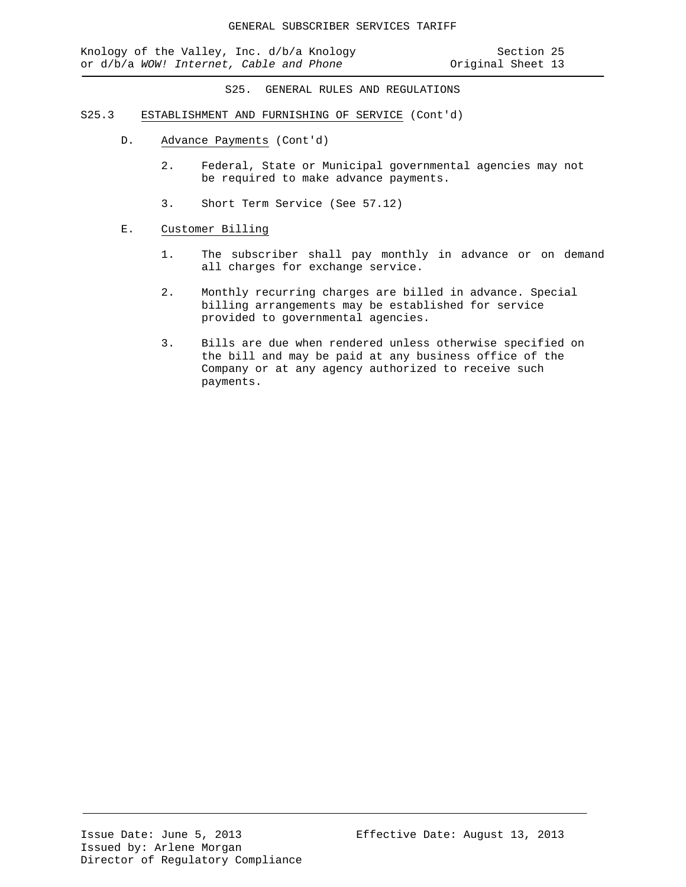- S25.3 ESTABLISHMENT AND FURNISHING OF SERVICE (Cont'd)
	- D. Advance Payments (Cont'd)
		- 2. Federal, State or Municipal governmental agencies may not be required to make advance payments.
		- 3. Short Term Service (See 57.12)
	- E. Customer Billing
		- 1. The subscriber shall pay monthly in advance or on demand all charges for exchange service.
		- 2. Monthly recurring charges are billed in advance. Special billing arrangements may be established for service provided to governmental agencies.
		- 3. Bills are due when rendered unless otherwise specified on the bill and may be paid at any business office of the Company or at any agency authorized to receive such payments.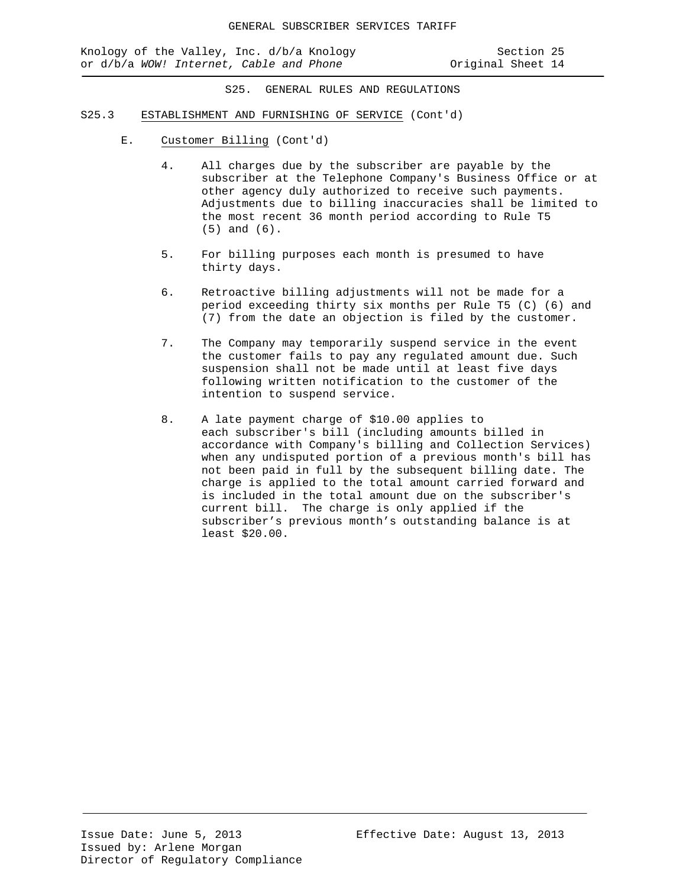Knology of the Valley, Inc. d/b/a Knology Section 25 or d/b/a WOW! Internet, Cable and Phone

- S25.3 ESTABLISHMENT AND FURNISHING OF SERVICE (Cont'd)
	- E. Customer Billing (Cont'd)
		- 4. All charges due by the subscriber are payable by the subscriber at the Telephone Company's Business Office or at other agency duly authorized to receive such payments. Adjustments due to billing inaccuracies shall be limited to the most recent 36 month period according to Rule T5 (5) and (6).
		- 5. For billing purposes each month is presumed to have thirty days.
		- 6. Retroactive billing adjustments will not be made for a period exceeding thirty six months per Rule T5 (C) (6) and (7) from the date an objection is filed by the customer.
		- 7. The Company may temporarily suspend service in the event the customer fails to pay any regulated amount due. Such suspension shall not be made until at least five days following written notification to the customer of the intention to suspend service.
		- 8. A late payment charge of \$10.00 applies to each subscriber's bill (including amounts billed in accordance with Company's billing and Collection Services) when any undisputed portion of a previous month's bill has not been paid in full by the subsequent billing date. The charge is applied to the total amount carried forward and is included in the total amount due on the subscriber's current bill. The charge is only applied if the subscriber's previous month's outstanding balance is at least \$20.00.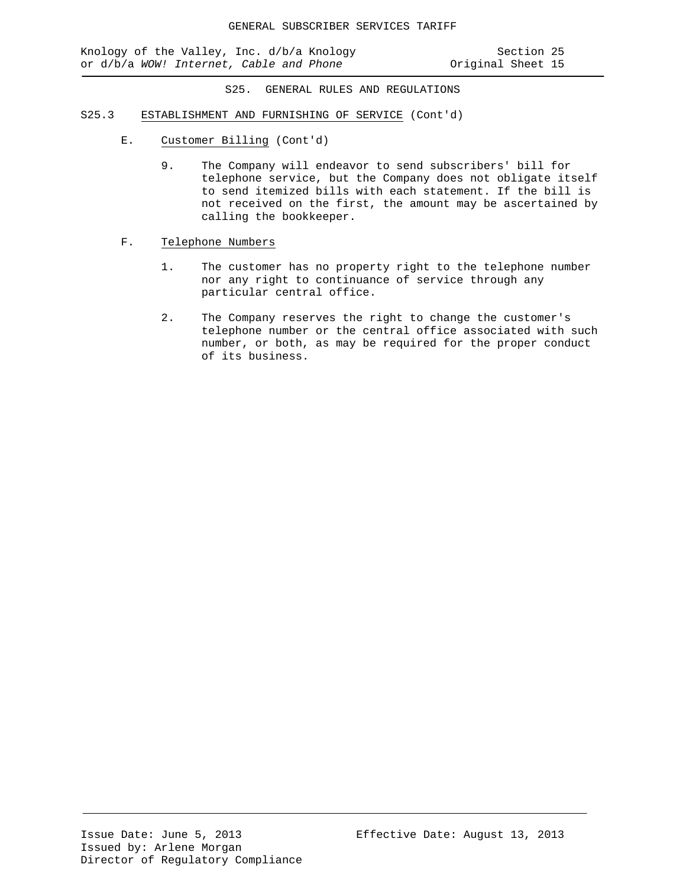Knology of the Valley, Inc. d/b/a Knology Section 25<br>or d/b/a WOW! Internet, Cable and Phone States Coriginal Sheet 15 or d/b/a WOW! Internet, Cable and Phone

- S25.3 ESTABLISHMENT AND FURNISHING OF SERVICE (Cont'd)
	- E. Customer Billing (Cont'd)
		- 9. The Company will endeavor to send subscribers' bill for telephone service, but the Company does not obligate itself to send itemized bills with each statement. If the bill is not received on the first, the amount may be ascertained by calling the bookkeeper.
	- F. Telephone Numbers
		- 1. The customer has no property right to the telephone number nor any right to continuance of service through any particular central office.
		- 2. The Company reserves the right to change the customer's telephone number or the central office associated with such number, or both, as may be required for the proper conduct of its business.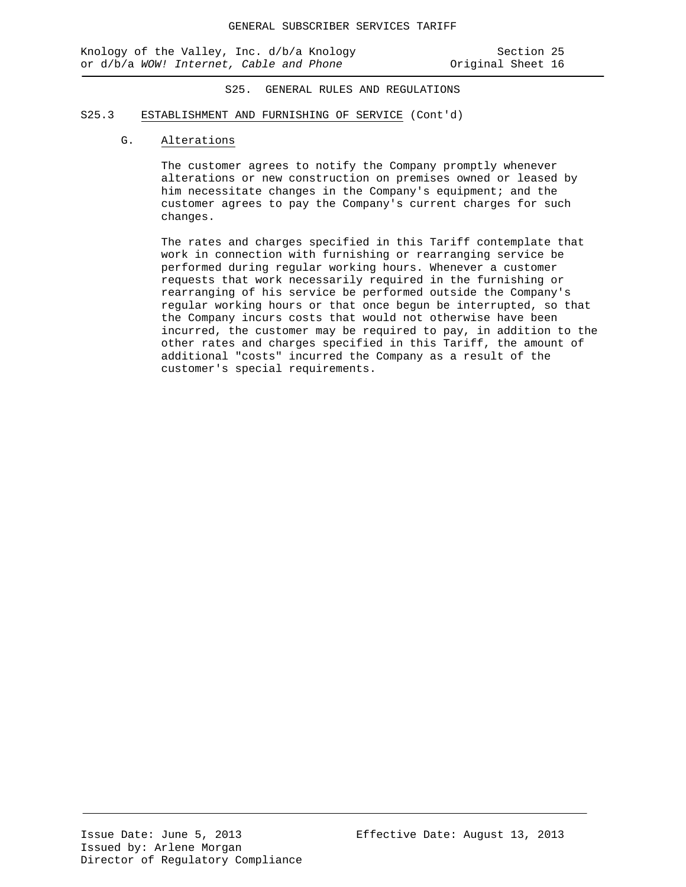#### S25.3 ESTABLISHMENT AND FURNISHING OF SERVICE (Cont'd)

# G. Alterations

The customer agrees to notify the Company promptly whenever alterations or new construction on premises owned or leased by him necessitate changes in the Company's equipment; and the customer agrees to pay the Company's current charges for such changes.

The rates and charges specified in this Tariff contemplate that work in connection with furnishing or rearranging service be performed during regular working hours. Whenever a customer requests that work necessarily required in the furnishing or rearranging of his service be performed outside the Company's regular working hours or that once begun be interrupted, so that the Company incurs costs that would not otherwise have been incurred, the customer may be required to pay, in addition to the other rates and charges specified in this Tariff, the amount of additional "costs" incurred the Company as a result of the customer's special requirements.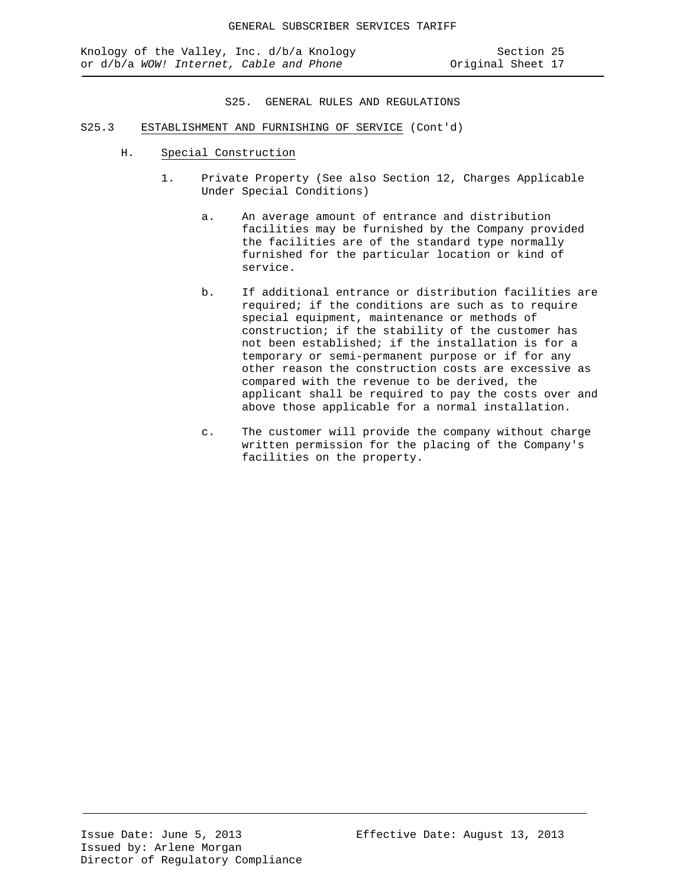- S25.3 ESTABLISHMENT AND FURNISHING OF SERVICE (Cont'd)
	- H. Special Construction
		- 1. Private Property (See also Section 12, Charges Applicable Under Special Conditions)
			- a. An average amount of entrance and distribution facilities may be furnished by the Company provided the facilities are of the standard type normally furnished for the particular location or kind of service.
			- b. If additional entrance or distribution facilities are required; if the conditions are such as to require special equipment, maintenance or methods of construction; if the stability of the customer has not been established; if the installation is for a temporary or semi-permanent purpose or if for any other reason the construction costs are excessive as compared with the revenue to be derived, the applicant shall be required to pay the costs over and above those applicable for a normal installation.
			- c. The customer will provide the company without charge written permission for the placing of the Company's facilities on the property.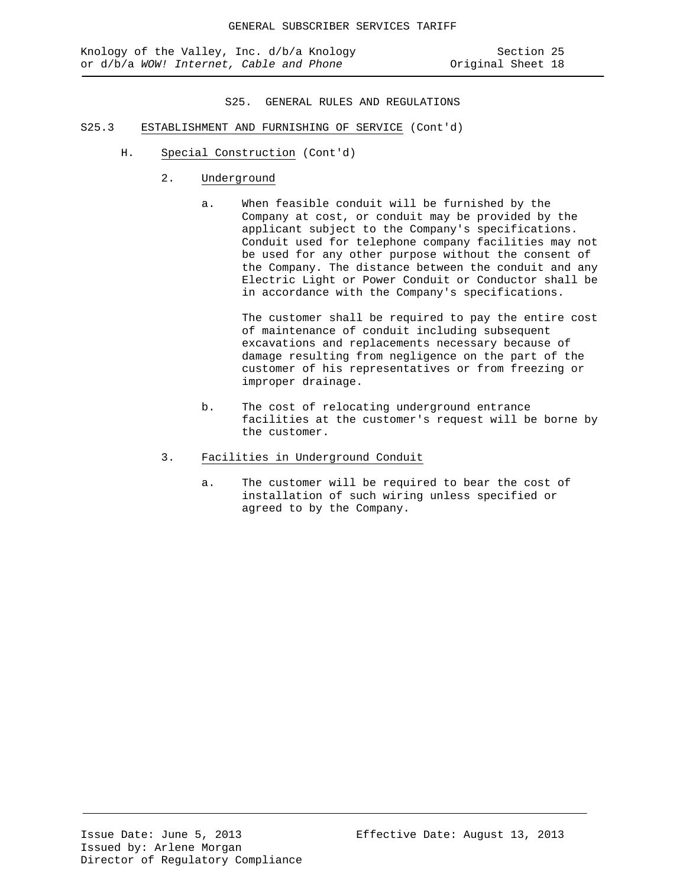- S25.3 ESTABLISHMENT AND FURNISHING OF SERVICE (Cont'd)
	- H. Special Construction (Cont'd)
		- 2. Underground
			- a. When feasible conduit will be furnished by the Company at cost, or conduit may be provided by the applicant subject to the Company's specifications. Conduit used for telephone company facilities may not be used for any other purpose without the consent of the Company. The distance between the conduit and any Electric Light or Power Conduit or Conductor shall be in accordance with the Company's specifications.

The customer shall be required to pay the entire cost of maintenance of conduit including subsequent excavations and replacements necessary because of damage resulting from negligence on the part of the customer of his representatives or from freezing or improper drainage.

- b. The cost of relocating underground entrance facilities at the customer's request will be borne by the customer.
- 3. Facilities in Underground Conduit
	- a. The customer will be required to bear the cost of installation of such wiring unless specified or agreed to by the Company.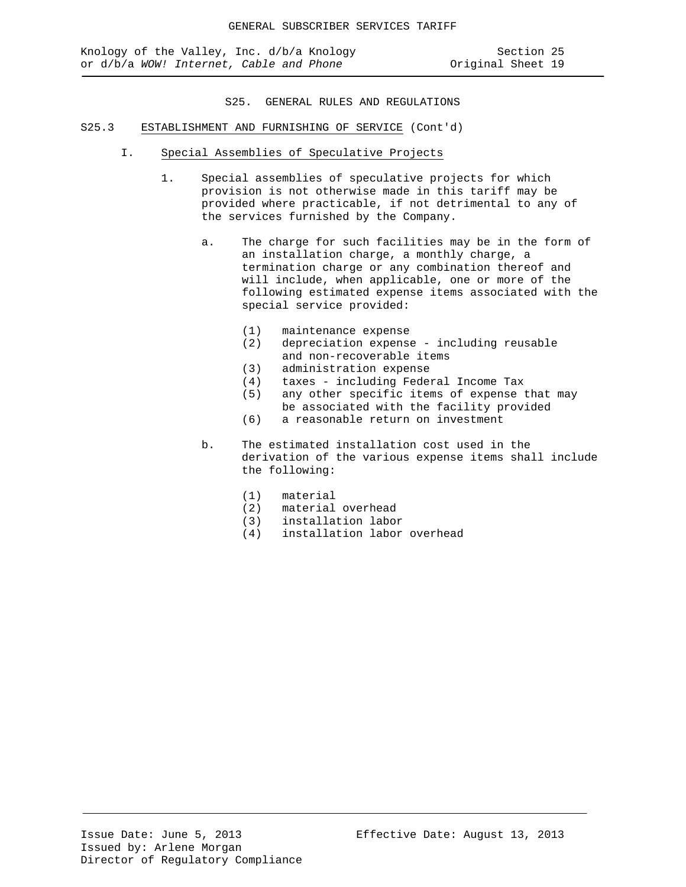- S25.3 ESTABLISHMENT AND FURNISHING OF SERVICE (Cont'd)
	- I. Special Assemblies of Speculative Projects
		- 1. Special assemblies of speculative projects for which provision is not otherwise made in this tariff may be provided where practicable, if not detrimental to any of the services furnished by the Company.
			- a. The charge for such facilities may be in the form of an installation charge, a monthly charge, a termination charge or any combination thereof and will include, when applicable, one or more of the following estimated expense items associated with the special service provided:
				- (1) maintenance expense<br>(2) depreciation expense
				- depreciation expense including reusable and non-recoverable items
				- (3) administration expense<br>(4) taxes including Fede:
				- (4) taxes including Federal Income Tax
				- any other specific items of expense that may be associated with the facility provided
				- (6) a reasonable return on investment
			- b. The estimated installation cost used in the derivation of the various expense items shall include the following:
				-
				- (1) material (2) material overhead
				- (3) installation labor
				- installation labor overhead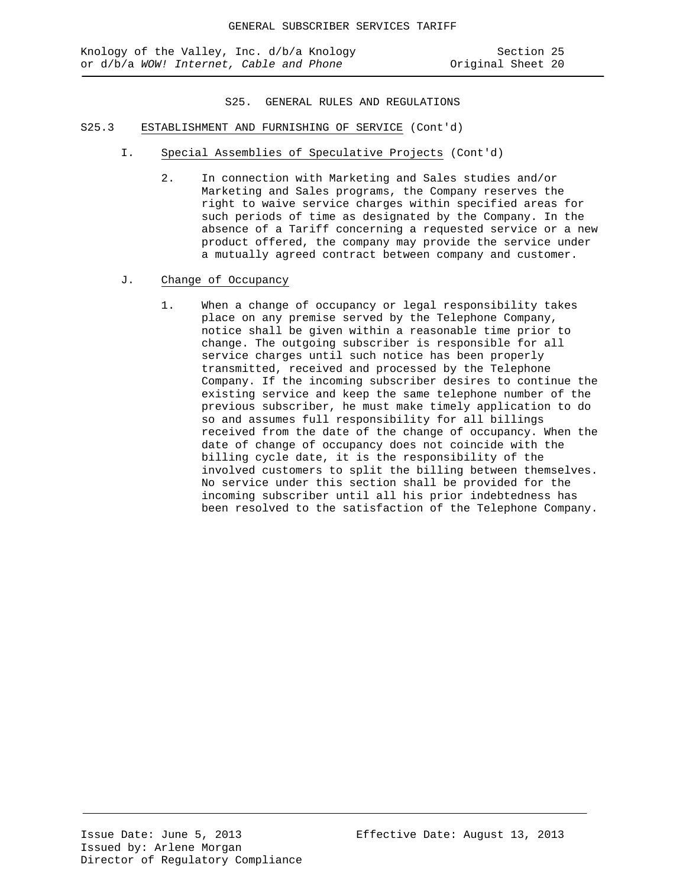Knology of the Valley, Inc. d/b/a Knology Section 25<br>or d/b/a WOW! Internet, Cable and Phone States Coriginal Sheet 20 or d/b/a WOW! Internet, Cable and Phone

- S25.3 ESTABLISHMENT AND FURNISHING OF SERVICE (Cont'd)
	- I. Special Assemblies of Speculative Projects (Cont'd)
		- 2. In connection with Marketing and Sales studies and/or Marketing and Sales programs, the Company reserves the right to waive service charges within specified areas for such periods of time as designated by the Company. In the absence of a Tariff concerning a requested service or a new product offered, the company may provide the service under a mutually agreed contract between company and customer.
	- J. Change of Occupancy
		- 1. When a change of occupancy or legal responsibility takes place on any premise served by the Telephone Company, notice shall be given within a reasonable time prior to change. The outgoing subscriber is responsible for all service charges until such notice has been properly transmitted, received and processed by the Telephone Company. If the incoming subscriber desires to continue the existing service and keep the same telephone number of the previous subscriber, he must make timely application to do so and assumes full responsibility for all billings received from the date of the change of occupancy. When the date of change of occupancy does not coincide with the billing cycle date, it is the responsibility of the involved customers to split the billing between themselves. No service under this section shall be provided for the incoming subscriber until all his prior indebtedness has been resolved to the satisfaction of the Telephone Company.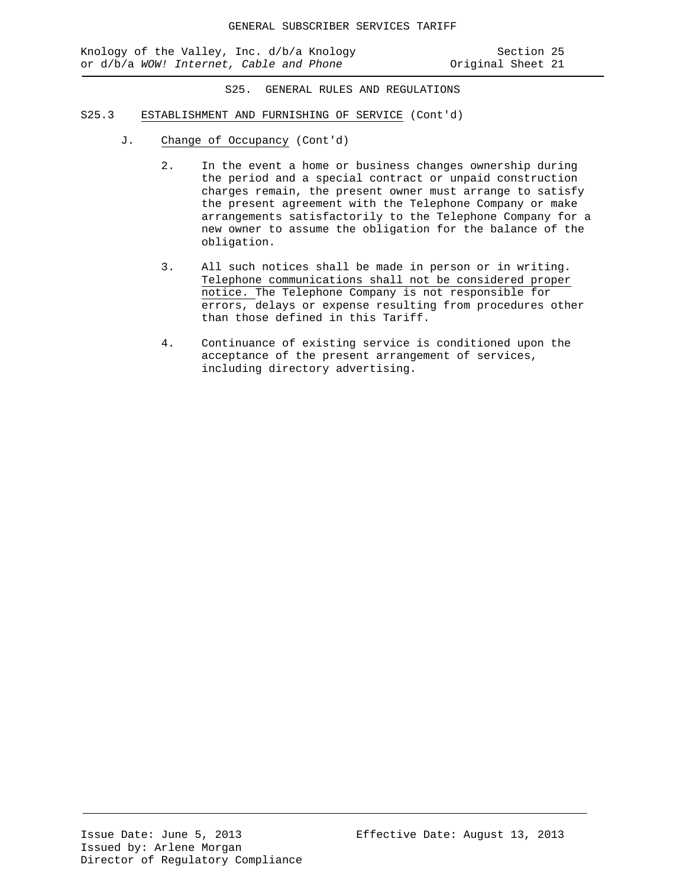Knology of the Valley, Inc. d/b/a Knology Section 25<br>or d/b/a WOW! Internet, Cable and Phone State States (21 or d/b/a WOW! Internet, Cable and Phone

- S25.3 ESTABLISHMENT AND FURNISHING OF SERVICE (Cont'd)
	- J. Change of Occupancy (Cont'd)
		- 2. In the event a home or business changes ownership during the period and a special contract or unpaid construction charges remain, the present owner must arrange to satisfy the present agreement with the Telephone Company or make arrangements satisfactorily to the Telephone Company for a new owner to assume the obligation for the balance of the obligation.
		- 3. All such notices shall be made in person or in writing. Telephone communications shall not be considered proper notice. The Telephone Company is not responsible for errors, delays or expense resulting from procedures other than those defined in this Tariff.
		- 4. Continuance of existing service is conditioned upon the acceptance of the present arrangement of services, including directory advertising.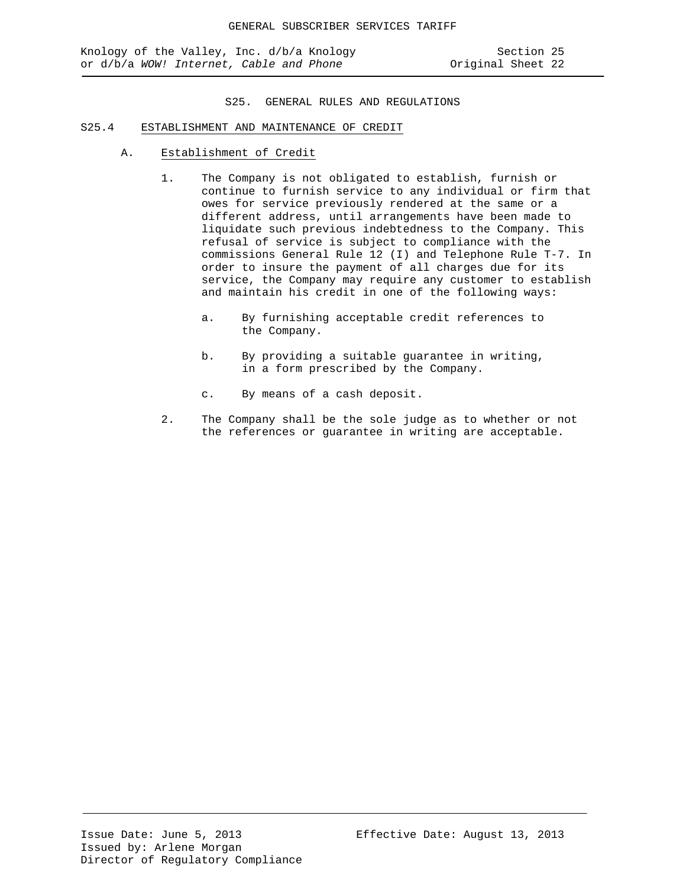### S25.4 ESTABLISHMENT AND MAINTENANCE OF CREDIT

- A. Establishment of Credit
	- 1. The Company is not obligated to establish, furnish or continue to furnish service to any individual or firm that owes for service previously rendered at the same or a different address, until arrangements have been made to liquidate such previous indebtedness to the Company. This refusal of service is subject to compliance with the commissions General Rule 12 (I) and Telephone Rule T-7. In order to insure the payment of all charges due for its service, the Company may require any customer to establish and maintain his credit in one of the following ways:
		- a. By furnishing acceptable credit references to the Company.
		- b. By providing a suitable guarantee in writing, in a form prescribed by the Company.
		- c. By means of a cash deposit.
	- 2. The Company shall be the sole judge as to whether or not the references or guarantee in writing are acceptable.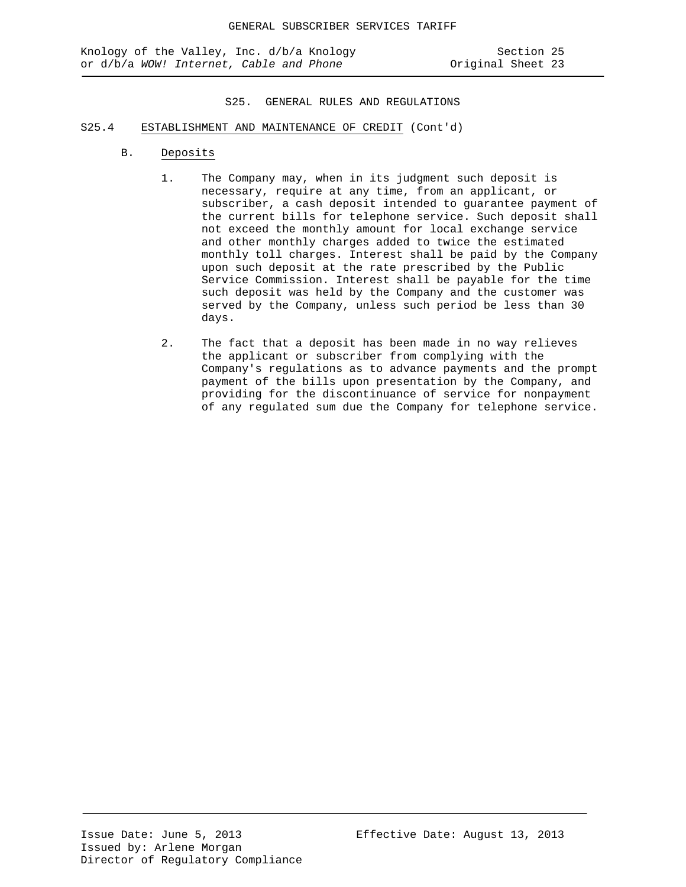- S25.4 ESTABLISHMENT AND MAINTENANCE OF CREDIT (Cont'd)
	- B. Deposits
		- 1. The Company may, when in its judgment such deposit is necessary, require at any time, from an applicant, or subscriber, a cash deposit intended to guarantee payment of the current bills for telephone service. Such deposit shall not exceed the monthly amount for local exchange service and other monthly charges added to twice the estimated monthly toll charges. Interest shall be paid by the Company upon such deposit at the rate prescribed by the Public Service Commission. Interest shall be payable for the time such deposit was held by the Company and the customer was served by the Company, unless such period be less than 30 days.
		- 2. The fact that a deposit has been made in no way relieves the applicant or subscriber from complying with the Company's regulations as to advance payments and the prompt payment of the bills upon presentation by the Company, and providing for the discontinuance of service for nonpayment of any regulated sum due the Company for telephone service.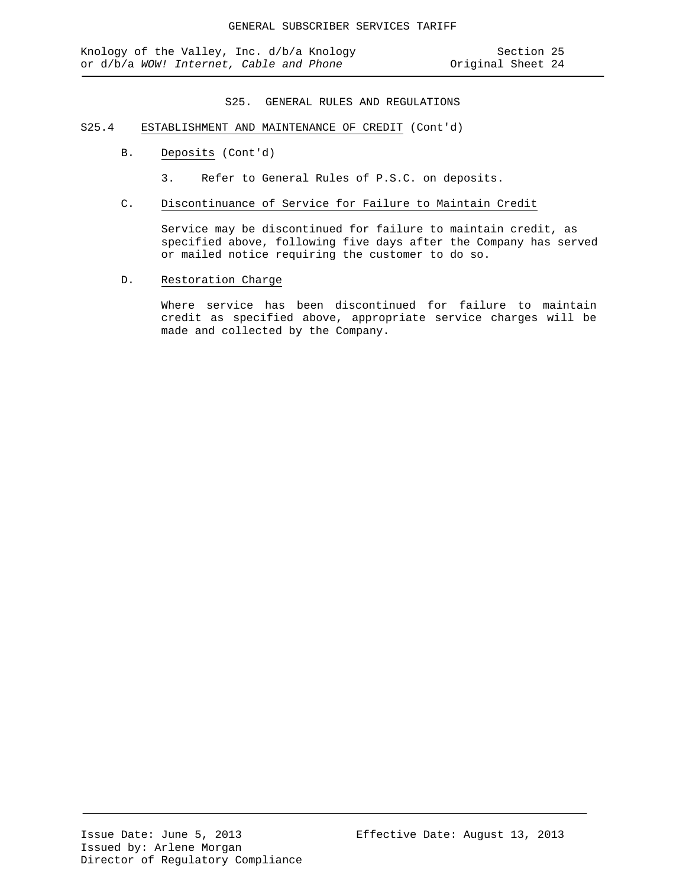- S25.4 ESTABLISHMENT AND MAINTENANCE OF CREDIT (Cont'd)
	- B. Deposits (Cont'd)
		- 3. Refer to General Rules of P.S.C. on deposits.
	- C. Discontinuance of Service for Failure to Maintain Credit

Service may be discontinued for failure to maintain credit, as specified above, following five days after the Company has served or mailed notice requiring the customer to do so.

D. Restoration Charge

Where service has been discontinued for failure to maintain credit as specified above, appropriate service charges will be made and collected by the Company.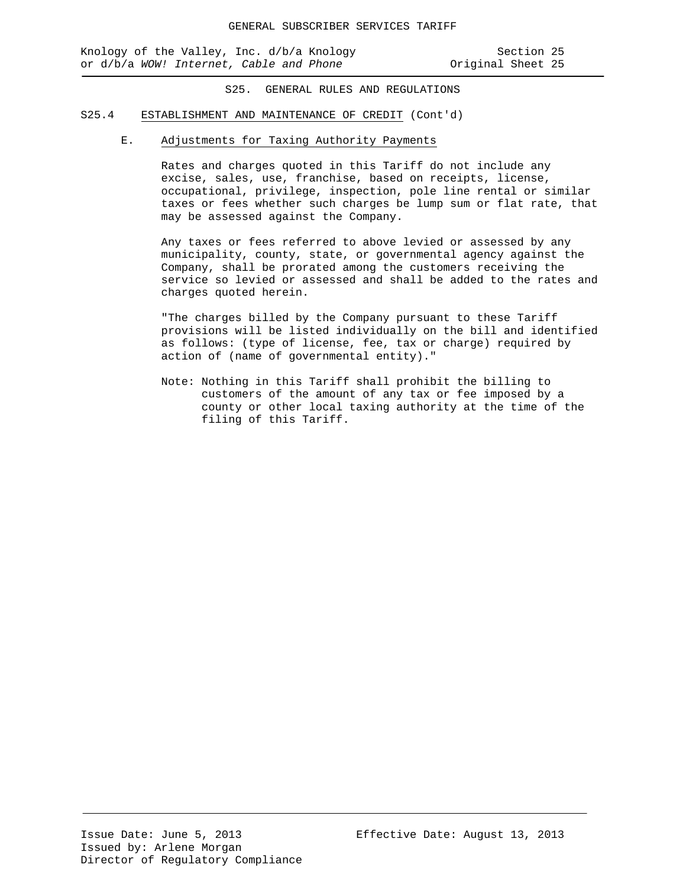Knology of the Valley, Inc. d/b/a Knology Section 25<br>or d/b/a WOW! Internet, Cable and Phone States Coriginal Sheet 25 or d/b/a WOW! Internet, Cable and Phone

S25. GENERAL RULES AND REGULATIONS

## S25.4 ESTABLISHMENT AND MAINTENANCE OF CREDIT (Cont'd)

# E. Adjustments for Taxing Authority Payments

Rates and charges quoted in this Tariff do not include any excise, sales, use, franchise, based on receipts, license, occupational, privilege, inspection, pole line rental or similar taxes or fees whether such charges be lump sum or flat rate, that may be assessed against the Company.

Any taxes or fees referred to above levied or assessed by any municipality, county, state, or governmental agency against the Company, shall be prorated among the customers receiving the service so levied or assessed and shall be added to the rates and charges quoted herein.

"The charges billed by the Company pursuant to these Tariff provisions will be listed individually on the bill and identified as follows: (type of license, fee, tax or charge) required by action of (name of governmental entity)."

Note: Nothing in this Tariff shall prohibit the billing to customers of the amount of any tax or fee imposed by a county or other local taxing authority at the time of the filing of this Tariff.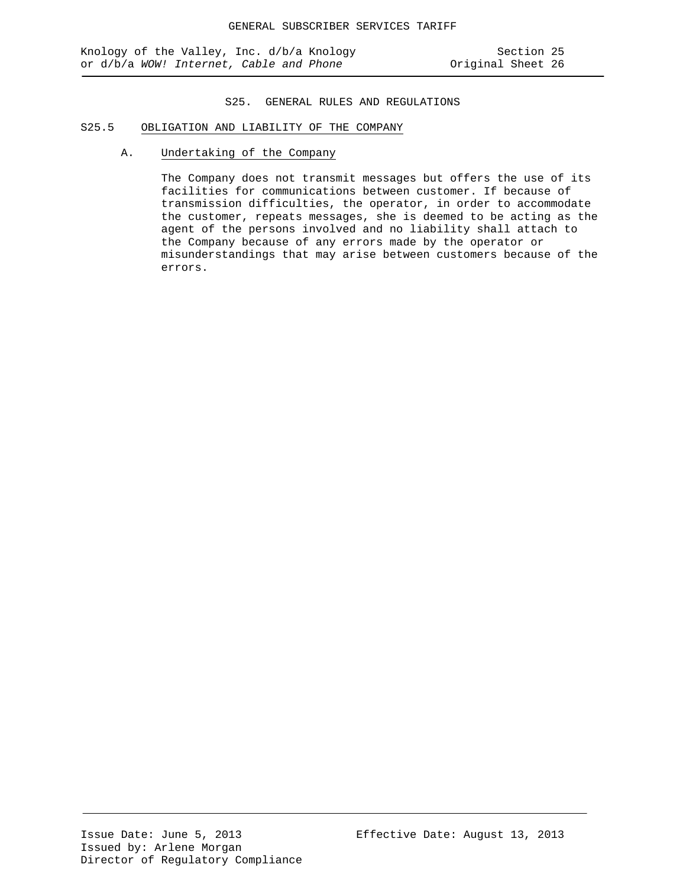# S25.5 OBLIGATION AND LIABILITY OF THE COMPANY

A. Undertaking of the Company

The Company does not transmit messages but offers the use of its facilities for communications between customer. If because of transmission difficulties, the operator, in order to accommodate the customer, repeats messages, she is deemed to be acting as the agent of the persons involved and no liability shall attach to the Company because of any errors made by the operator or misunderstandings that may arise between customers because of the errors.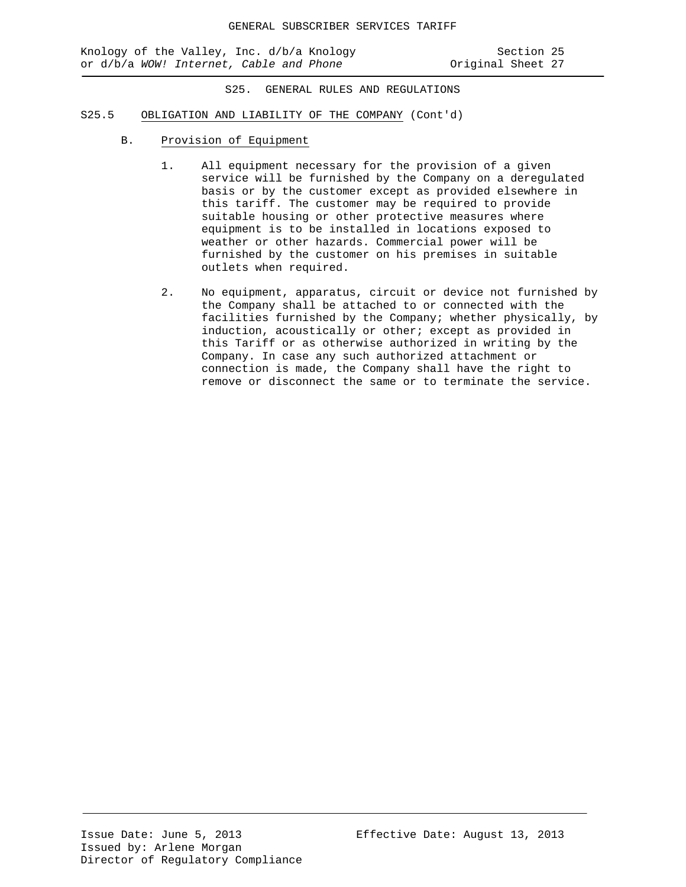Knology of the Valley, Inc. d/b/a Knology Section 25<br>or d/b/a WOW! Internet, Cable and Phone States Coriginal Sheet 27 or d/b/a WOW! Internet, Cable and Phone

S25. GENERAL RULES AND REGULATIONS

#### S25.5 OBLIGATION AND LIABILITY OF THE COMPANY (Cont'd)

- B. Provision of Equipment
	- 1. All equipment necessary for the provision of a given service will be furnished by the Company on a deregulated basis or by the customer except as provided elsewhere in this tariff. The customer may be required to provide suitable housing or other protective measures where equipment is to be installed in locations exposed to weather or other hazards. Commercial power will be furnished by the customer on his premises in suitable outlets when required.
	- 2. No equipment, apparatus, circuit or device not furnished by the Company shall be attached to or connected with the facilities furnished by the Company; whether physically, by induction, acoustically or other; except as provided in this Tariff or as otherwise authorized in writing by the Company. In case any such authorized attachment or connection is made, the Company shall have the right to remove or disconnect the same or to terminate the service.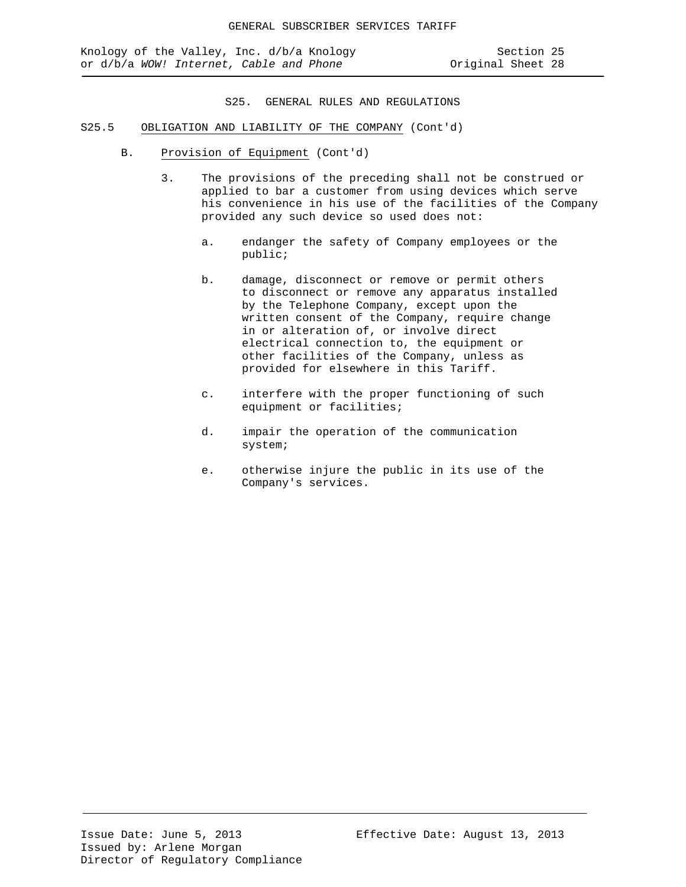- S25.5 OBLIGATION AND LIABILITY OF THE COMPANY (Cont'd)
	- B. Provision of Equipment (Cont'd)
		- 3. The provisions of the preceding shall not be construed or applied to bar a customer from using devices which serve his convenience in his use of the facilities of the Company provided any such device so used does not:
			- a. endanger the safety of Company employees or the public;
			- b. damage, disconnect or remove or permit others to disconnect or remove any apparatus installed by the Telephone Company, except upon the written consent of the Company, require change in or alteration of, or involve direct electrical connection to, the equipment or other facilities of the Company, unless as provided for elsewhere in this Tariff.
			- c. interfere with the proper functioning of such equipment or facilities;
			- d. impair the operation of the communication system;
			- e. otherwise injure the public in its use of the Company's services.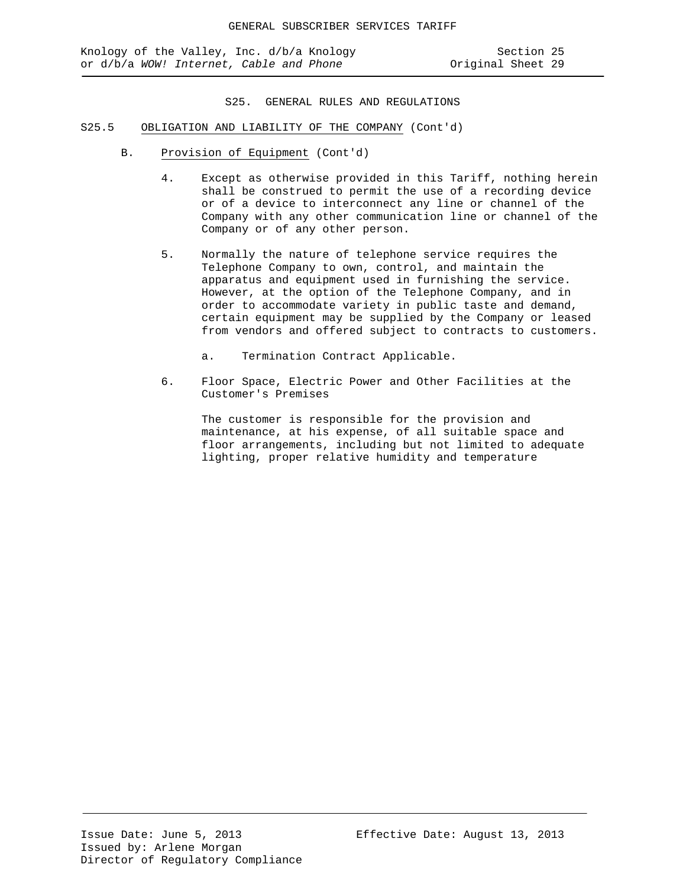- S25.5 OBLIGATION AND LIABILITY OF THE COMPANY (Cont'd)
	- B. Provision of Equipment (Cont'd)
		- 4. Except as otherwise provided in this Tariff, nothing herein shall be construed to permit the use of a recording device or of a device to interconnect any line or channel of the Company with any other communication line or channel of the Company or of any other person.
		- 5. Normally the nature of telephone service requires the Telephone Company to own, control, and maintain the apparatus and equipment used in furnishing the service. However, at the option of the Telephone Company, and in order to accommodate variety in public taste and demand, certain equipment may be supplied by the Company or leased from vendors and offered subject to contracts to customers.
			- a. Termination Contract Applicable.
		- 6. Floor Space, Electric Power and Other Facilities at the Customer's Premises

The customer is responsible for the provision and maintenance, at his expense, of all suitable space and floor arrangements, including but not limited to adequate lighting, proper relative humidity and temperature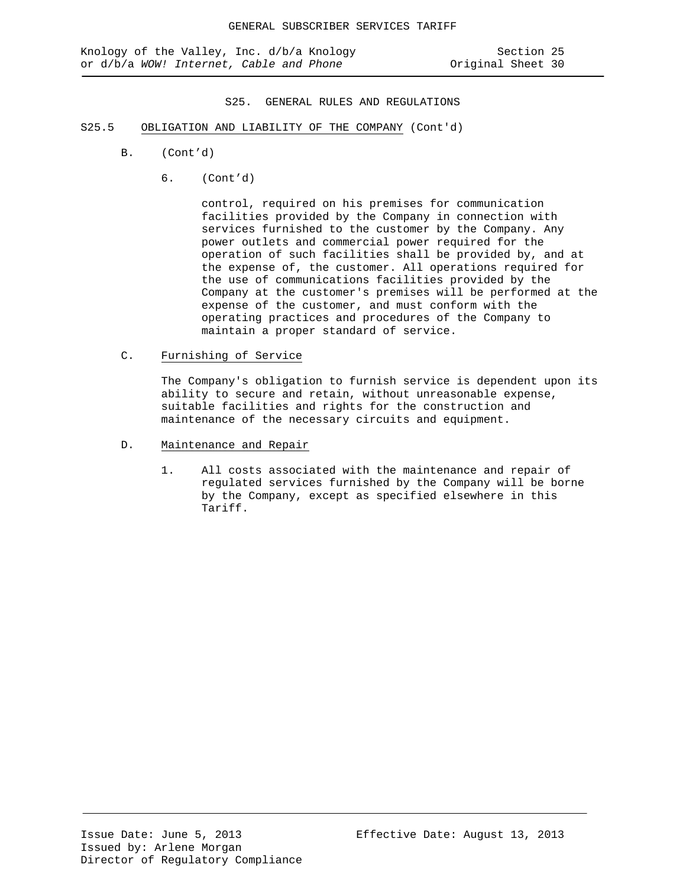- S25.5 OBLIGATION AND LIABILITY OF THE COMPANY (Cont'd)
	- B. (Cont'd)
		- 6. (Cont'd)

control, required on his premises for communication facilities provided by the Company in connection with services furnished to the customer by the Company. Any power outlets and commercial power required for the operation of such facilities shall be provided by, and at the expense of, the customer. All operations required for the use of communications facilities provided by the Company at the customer's premises will be performed at the expense of the customer, and must conform with the operating practices and procedures of the Company to maintain a proper standard of service.

C. Furnishing of Service

The Company's obligation to furnish service is dependent upon its ability to secure and retain, without unreasonable expense, suitable facilities and rights for the construction and maintenance of the necessary circuits and equipment.

- D. Maintenance and Repair
	- 1. All costs associated with the maintenance and repair of regulated services furnished by the Company will be borne by the Company, except as specified elsewhere in this Tariff.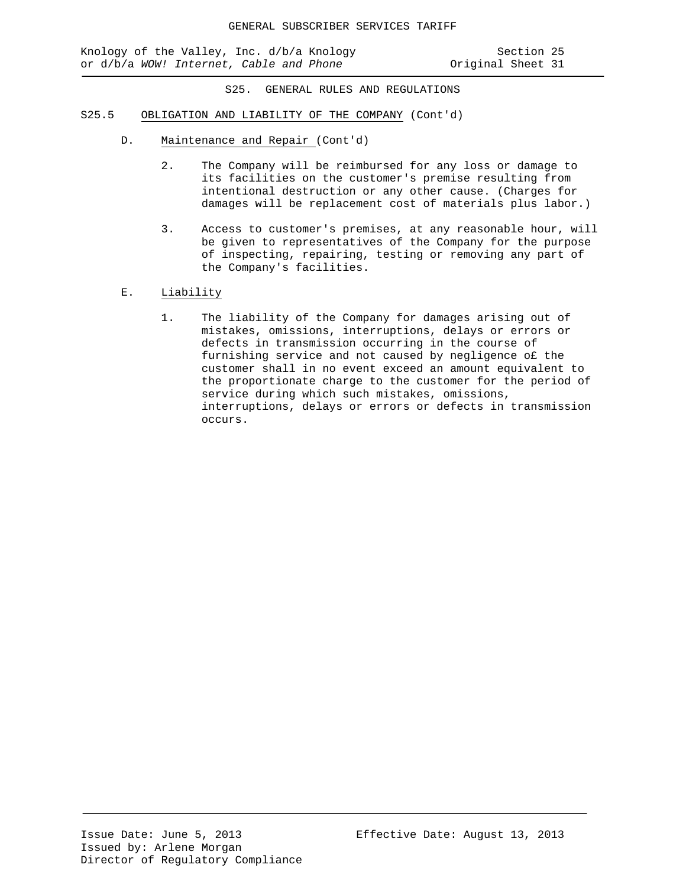Knology of the Valley, Inc. d/b/a Knology Section 25<br>or d/b/a WOW! Internet, Cable and Phone Show Criginal Sheet 31 or d/b/a WOW! Internet, Cable and Phone

- S25.5 OBLIGATION AND LIABILITY OF THE COMPANY (Cont'd)
	- D. Maintenance and Repair (Cont'd)
		- 2. The Company will be reimbursed for any loss or damage to its facilities on the customer's premise resulting from intentional destruction or any other cause. (Charges for damages will be replacement cost of materials plus labor.)
		- 3. Access to customer's premises, at any reasonable hour, will be given to representatives of the Company for the purpose of inspecting, repairing, testing or removing any part of the Company's facilities.
	- E. Liability
		- 1. The liability of the Company for damages arising out of mistakes, omissions, interruptions, delays or errors or defects in transmission occurring in the course of furnishing service and not caused by negligence o£ the customer shall in no event exceed an amount equivalent to the proportionate charge to the customer for the period of service during which such mistakes, omissions, interruptions, delays or errors or defects in transmission occurs.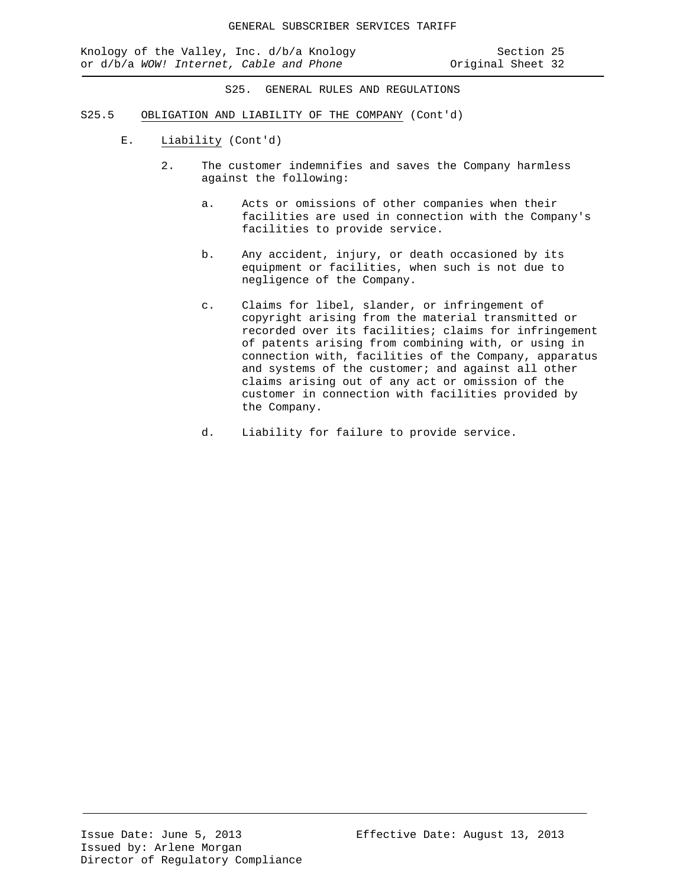- S25.5 OBLIGATION AND LIABILITY OF THE COMPANY (Cont'd)
	- E. Liability (Cont'd)
		- 2. The customer indemnifies and saves the Company harmless against the following:
			- a. Acts or omissions of other companies when their facilities are used in connection with the Company's facilities to provide service.
			- b. Any accident, injury, or death occasioned by its equipment or facilities, when such is not due to negligence of the Company.
			- c. Claims for libel, slander, or infringement of copyright arising from the material transmitted or recorded over its facilities; claims for infringement of patents arising from combining with, or using in connection with, facilities of the Company, apparatus and systems of the customer; and against all other claims arising out of any act or omission of the customer in connection with facilities provided by the Company.
			- d. Liability for failure to provide service.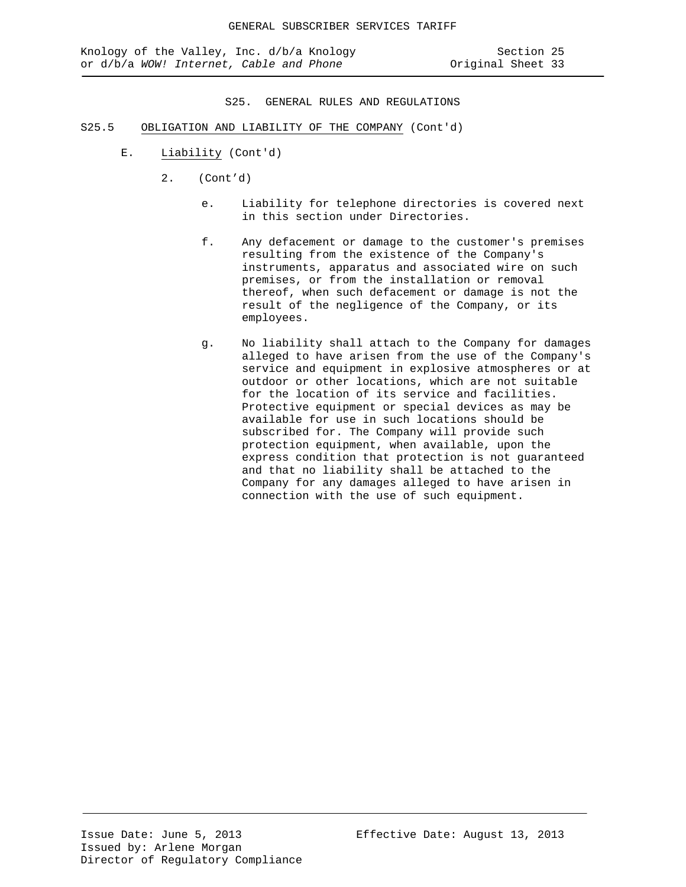- S25.5 OBLIGATION AND LIABILITY OF THE COMPANY (Cont'd)
	- E. Liability (Cont'd)
		- 2. (Cont'd)
			- e. Liability for telephone directories is covered next in this section under Directories.
			- f. Any defacement or damage to the customer's premises resulting from the existence of the Company's instruments, apparatus and associated wire on such premises, or from the installation or removal thereof, when such defacement or damage is not the result of the negligence of the Company, or its employees.
			- g. No liability shall attach to the Company for damages alleged to have arisen from the use of the Company's service and equipment in explosive atmospheres or at outdoor or other locations, which are not suitable for the location of its service and facilities. Protective equipment or special devices as may be available for use in such locations should be subscribed for. The Company will provide such protection equipment, when available, upon the express condition that protection is not guaranteed and that no liability shall be attached to the Company for any damages alleged to have arisen in connection with the use of such equipment.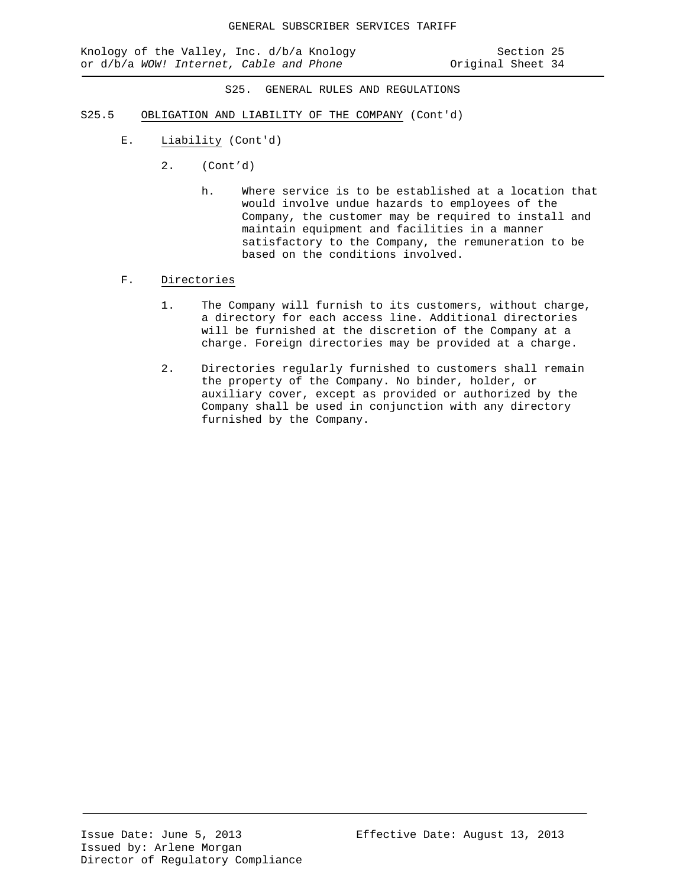- S25.5 OBLIGATION AND LIABILITY OF THE COMPANY (Cont'd)
	- E. Liability (Cont'd)
		- 2. (Cont'd)
			- h. Where service is to be established at a location that would involve undue hazards to employees of the Company, the customer may be required to install and maintain equipment and facilities in a manner satisfactory to the Company, the remuneration to be based on the conditions involved.
	- F. Directories
		- 1. The Company will furnish to its customers, without charge, a directory for each access line. Additional directories will be furnished at the discretion of the Company at a charge. Foreign directories may be provided at a charge.
		- 2. Directories regularly furnished to customers shall remain the property of the Company. No binder, holder, or auxiliary cover, except as provided or authorized by the Company shall be used in conjunction with any directory furnished by the Company.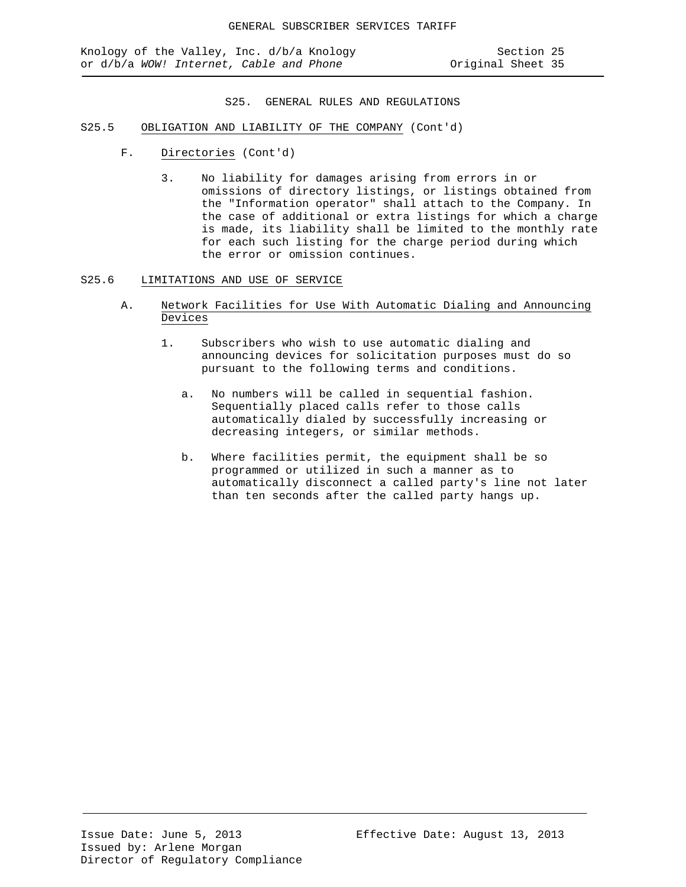- S25.5 OBLIGATION AND LIABILITY OF THE COMPANY (Cont'd)
	- F. Directories (Cont'd)
		- 3. No liability for damages arising from errors in or omissions of directory listings, or listings obtained from the "Information operator" shall attach to the Company. In the case of additional or extra listings for which a charge is made, its liability shall be limited to the monthly rate for each such listing for the charge period during which the error or omission continues.
- S25.6 LIMITATIONS AND USE OF SERVICE
	- A. Network Facilities for Use With Automatic Dialing and Announcing Devices
		- 1. Subscribers who wish to use automatic dialing and announcing devices for solicitation purposes must do so pursuant to the following terms and conditions.
			- a. No numbers will be called in sequential fashion. Sequentially placed calls refer to those calls automatically dialed by successfully increasing or decreasing integers, or similar methods.
			- b. Where facilities permit, the equipment shall be so programmed or utilized in such a manner as to automatically disconnect a called party's line not later than ten seconds after the called party hangs up.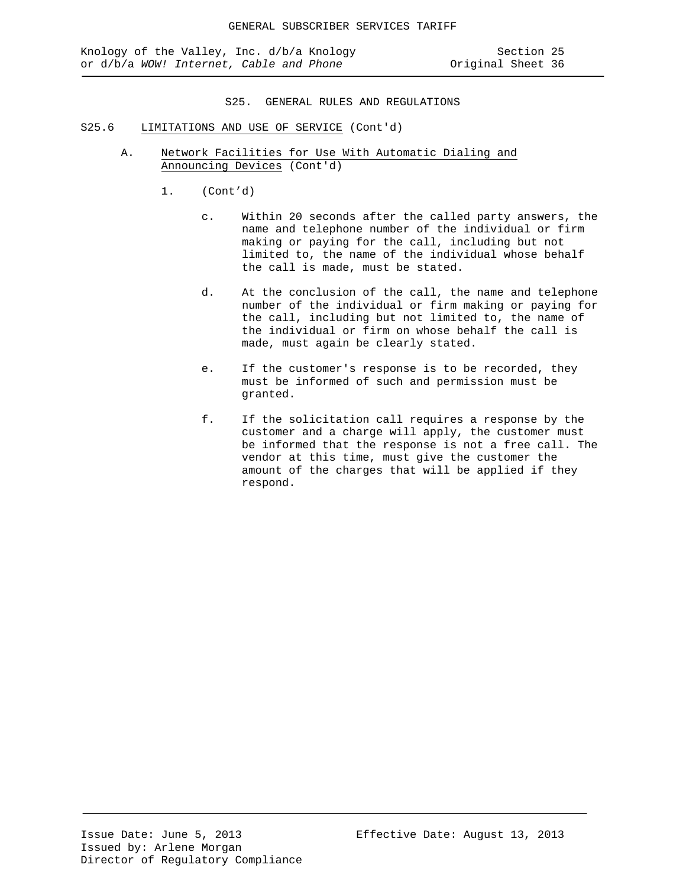- S25.6 LIMITATIONS AND USE OF SERVICE (Cont'd)
	- A. Network Facilities for Use With Automatic Dialing and Announcing Devices (Cont'd)
		- 1. (Cont'd)
			- c. Within 20 seconds after the called party answers, the name and telephone number of the individual or firm making or paying for the call, including but not limited to, the name of the individual whose behalf the call is made, must be stated.
			- d. At the conclusion of the call, the name and telephone number of the individual or firm making or paying for the call, including but not limited to, the name of the individual or firm on whose behalf the call is made, must again be clearly stated.
			- e. If the customer's response is to be recorded, they must be informed of such and permission must be granted.
			- f. If the solicitation call requires a response by the customer and a charge will apply, the customer must be informed that the response is not a free call. The vendor at this time, must give the customer the amount of the charges that will be applied if they respond.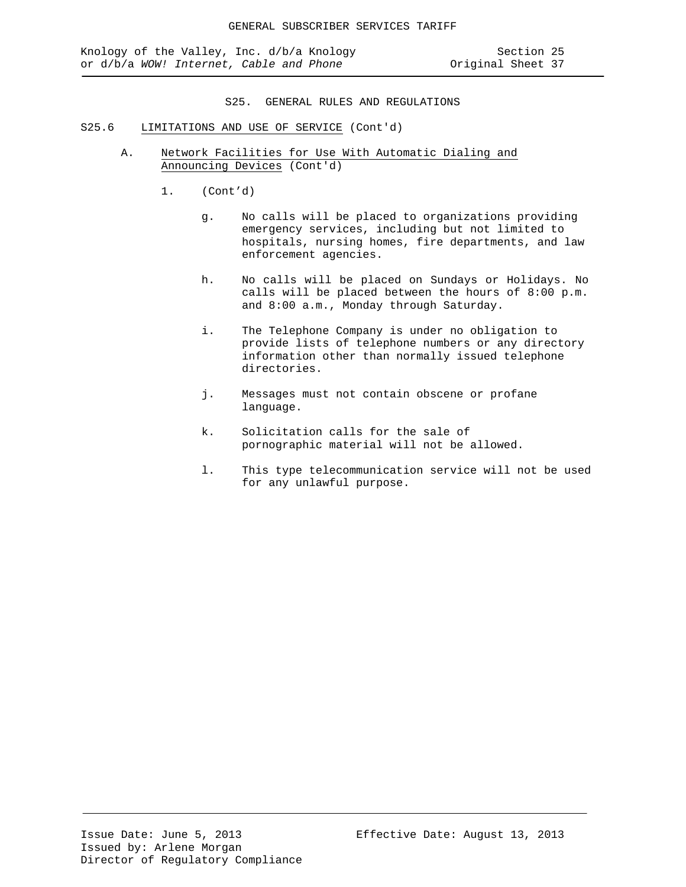- S25.6 LIMITATIONS AND USE OF SERVICE (Cont'd)
	- A. Network Facilities for Use With Automatic Dialing and Announcing Devices (Cont'd)
		- 1. (Cont'd)
			- g. No calls will be placed to organizations providing emergency services, including but not limited to hospitals, nursing homes, fire departments, and law enforcement agencies.
			- h. No calls will be placed on Sundays or Holidays. No calls will be placed between the hours of 8:00 p.m. and 8:00 a.m., Monday through Saturday.
			- i. The Telephone Company is under no obligation to provide lists of telephone numbers or any directory information other than normally issued telephone directories.
			- j. Messages must not contain obscene or profane language.
			- k. Solicitation calls for the sale of pornographic material will not be allowed.
			- l. This type telecommunication service will not be used for any unlawful purpose.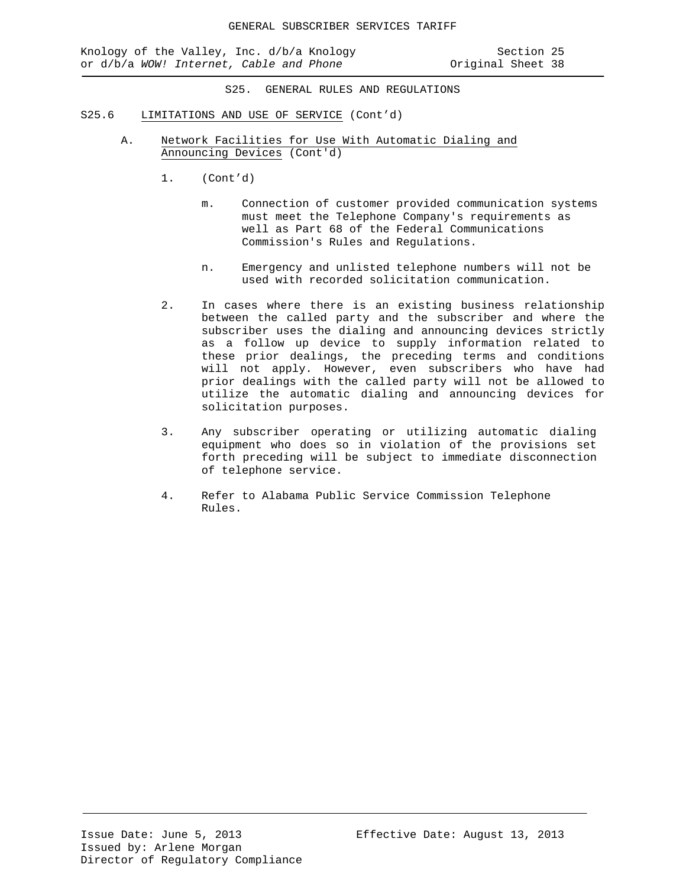Knology of the Valley, Inc. d/b/a Knology Section 25<br>or d/b/a WOW! Internet, Cable and Phone States or d/b/a WOW! Internet, Cable and Phone or d/b/a WOW! Internet, Cable and Phone

- S25.6 LIMITATIONS AND USE OF SERVICE (Cont'd)
	- A. Network Facilities for Use With Automatic Dialing and Announcing Devices (Cont'd)
		- 1. (Cont'd)
			- m. Connection of customer provided communication systems must meet the Telephone Company's requirements as well as Part 68 of the Federal Communications Commission's Rules and Regulations.
			- n. Emergency and unlisted telephone numbers will not be used with recorded solicitation communication.
		- 2. In cases where there is an existing business relationship between the called party and the subscriber and where the subscriber uses the dialing and announcing devices strictly as a follow up device to supply information related to these prior dealings, the preceding terms and conditions will not apply. However, even subscribers who have had prior dealings with the called party will not be allowed to utilize the automatic dialing and announcing devices for solicitation purposes.
		- 3. Any subscriber operating or utilizing automatic dialing equipment who does so in violation of the provisions set forth preceding will be subject to immediate disconnection of telephone service.
		- 4. Refer to Alabama Public Service Commission Telephone Rules.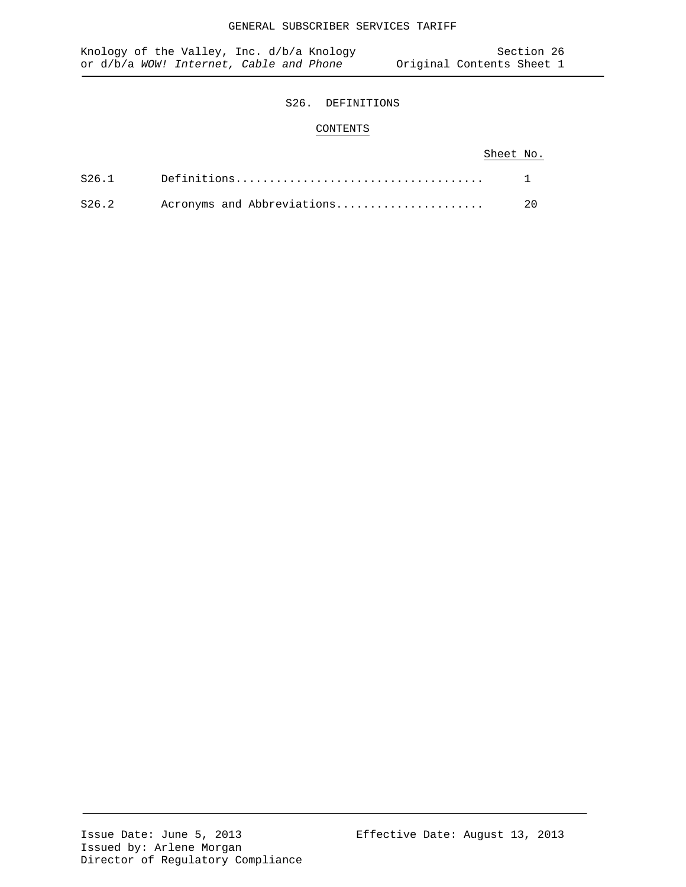# S26. DEFINITIONS

# CONTENTS

# Sheet No.

| S26.2 Acronyms and Abbreviations | 20 |
|----------------------------------|----|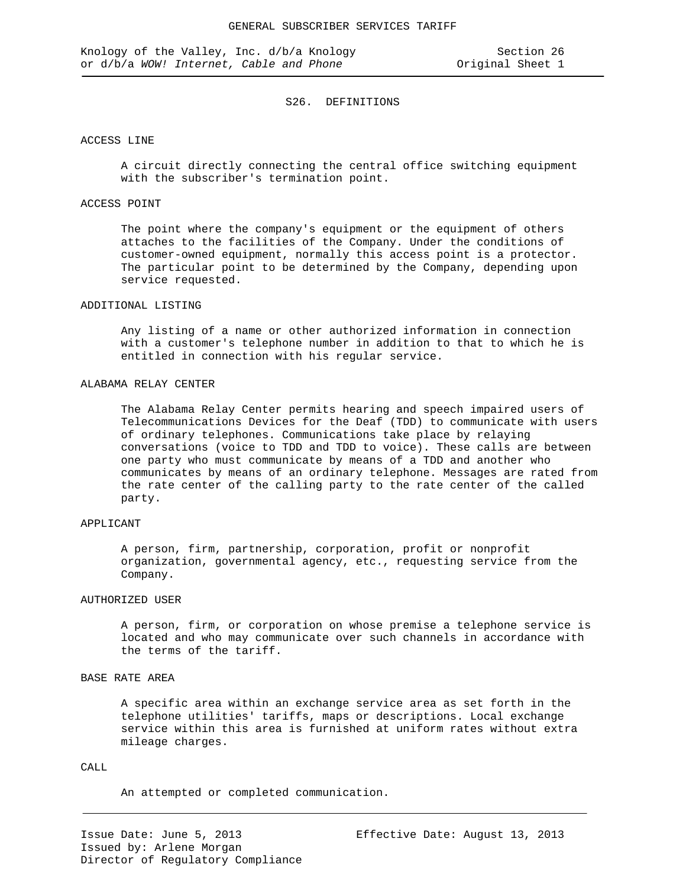## ACCESS LINE

A circuit directly connecting the central office switching equipment with the subscriber's termination point.

## ACCESS POINT

The point where the company's equipment or the equipment of others attaches to the facilities of the Company. Under the conditions of customer-owned equipment, normally this access point is a protector. The particular point to be determined by the Company, depending upon service requested.

## ADDITIONAL LISTING

Any listing of a name or other authorized information in connection with a customer's telephone number in addition to that to which he is entitled in connection with his regular service.

## ALABAMA RELAY CENTER

The Alabama Relay Center permits hearing and speech impaired users of Telecommunications Devices for the Deaf (TDD) to communicate with users of ordinary telephones. Communications take place by relaying conversations (voice to TDD and TDD to voice). These calls are between one party who must communicate by means of a TDD and another who communicates by means of an ordinary telephone. Messages are rated from the rate center of the calling party to the rate center of the called party.

## APPLICANT

A person, firm, partnership, corporation, profit or nonprofit organization, governmental agency, etc., requesting service from the Company.

#### AUTHORIZED USER

A person, firm, or corporation on whose premise a telephone service is located and who may communicate over such channels in accordance with the terms of the tariff.

# BASE RATE AREA

A specific area within an exchange service area as set forth in the telephone utilities' tariffs, maps or descriptions. Local exchange service within this area is furnished at uniform rates without extra mileage charges.

## $CAT.T.$

An attempted or completed communication.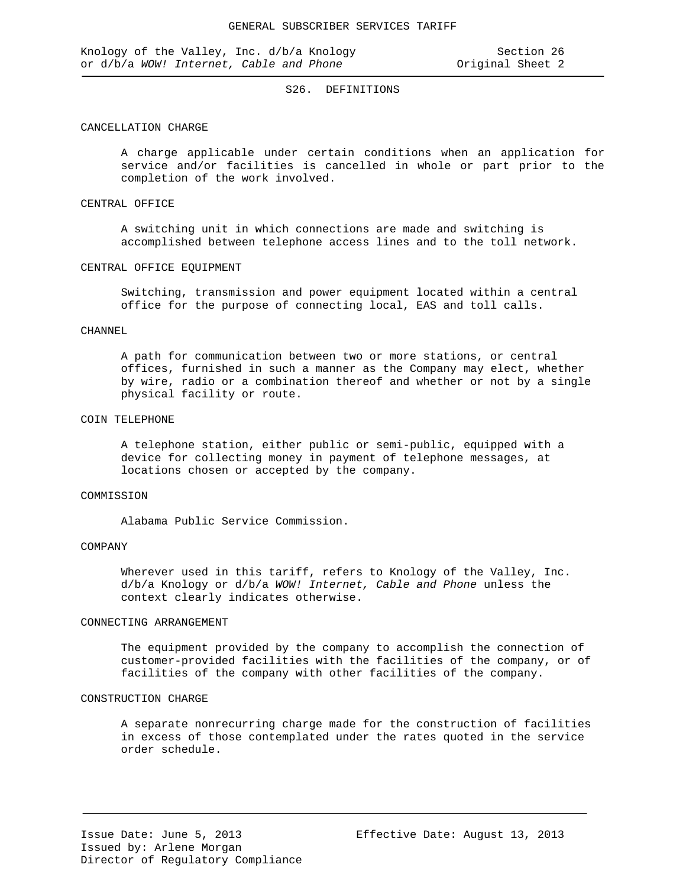## CANCELLATION CHARGE

A charge applicable under certain conditions when an application for service and/or facilities is cancelled in whole or part prior to the completion of the work involved.

### CENTRAL OFFICE

A switching unit in which connections are made and switching is accomplished between telephone access lines and to the toll network.

#### CENTRAL OFFICE EQUIPMENT

Switching, transmission and power equipment located within a central office for the purpose of connecting local, EAS and toll calls.

### CHANNEL

A path for communication between two or more stations, or central offices, furnished in such a manner as the Company may elect, whether by wire, radio or a combination thereof and whether or not by a single physical facility or route.

#### COIN TELEPHONE

A telephone station, either public or semi-public, equipped with a device for collecting money in payment of telephone messages, at locations chosen or accepted by the company.

#### COMMISSION

Alabama Public Service Commission.

## COMPANY

Wherever used in this tariff, refers to Knology of the Valley, Inc. d/b/a Knology or d/b/a *WOW! Internet, Cable and Phone* unless the context clearly indicates otherwise.

### CONNECTING ARRANGEMENT

The equipment provided by the company to accomplish the connection of customer-provided facilities with the facilities of the company, or of facilities of the company with other facilities of the company.

## CONSTRUCTION CHARGE

A separate nonrecurring charge made for the construction of facilities in excess of those contemplated under the rates quoted in the service order schedule.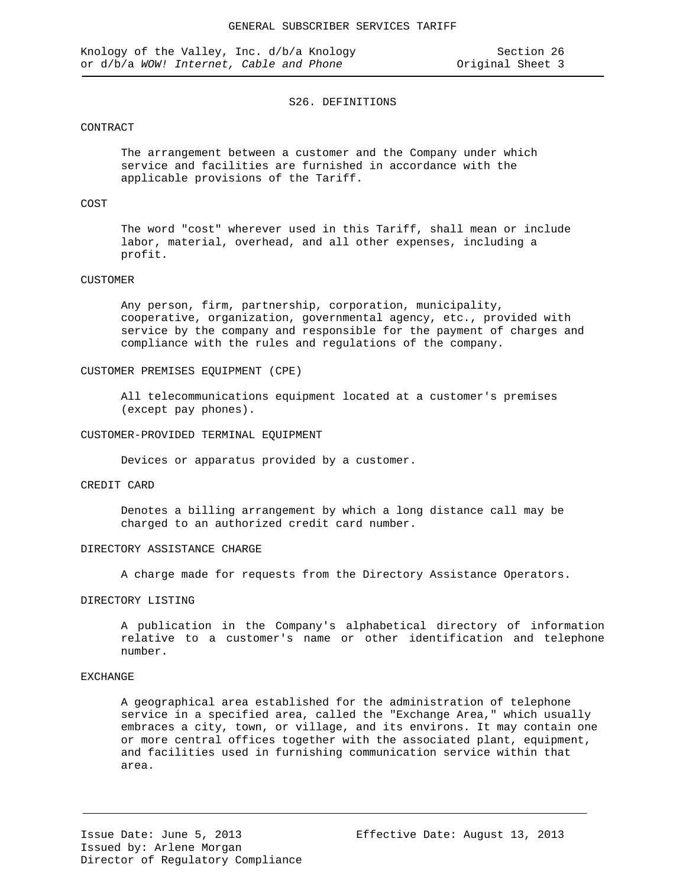## CONTRACT

The arrangement between a customer and the Company under which service and facilities are furnished in accordance with the applicable provisions of the Tariff.

## COST

The word "cost" wherever used in this Tariff, shall mean or include labor, material, overhead, and all other expenses, including a profit.

#### CUSTOMER

Any person, firm, partnership, corporation, municipality, cooperative, organization, governmental agency, etc., provided with service by the company and responsible for the payment of charges and compliance with the rules and regulations of the company.

### CUSTOMER PREMISES EQUIPMENT (CPE)

All telecommunications equipment located at a customer's premises (except pay phones).

### CUSTOMER-PROVIDED TERMINAL EQUIPMENT

Devices or apparatus provided by a customer.

## CREDIT CARD

Denotes a billing arrangement by which a long distance call may be charged to an authorized credit card number.

### DIRECTORY ASSISTANCE CHARGE

A charge made for requests from the Directory Assistance Operators.

## DIRECTORY LISTING

A publication in the Company's alphabetical directory of information relative to a customer's name or other identification and telephone number.

### EXCHANGE

A geographical area established for the administration of telephone service in a specified area, called the "Exchange Area," which usually embraces a city, town, or village, and its environs. It may contain one or more central offices together with the associated plant, equipment, and facilities used in furnishing communication service within that area.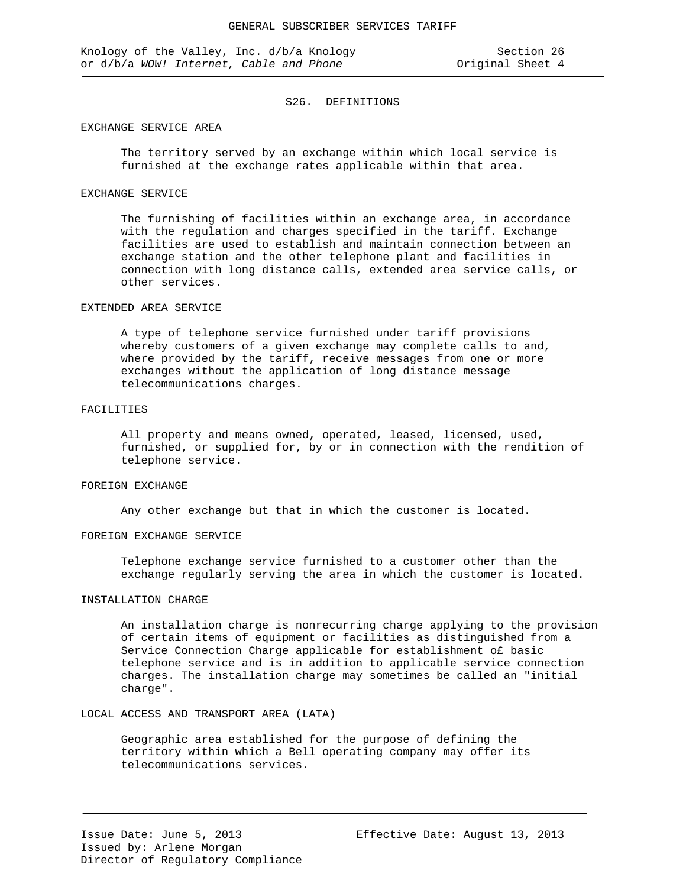## EXCHANGE SERVICE AREA

The territory served by an exchange within which local service is furnished at the exchange rates applicable within that area.

## EXCHANGE SERVICE

The furnishing of facilities within an exchange area, in accordance with the regulation and charges specified in the tariff. Exchange facilities are used to establish and maintain connection between an exchange station and the other telephone plant and facilities in connection with long distance calls, extended area service calls, or other services.

## EXTENDED AREA SERVICE

A type of telephone service furnished under tariff provisions whereby customers of a given exchange may complete calls to and, where provided by the tariff, receive messages from one or more exchanges without the application of long distance message telecommunications charges.

## FACILITIES

All property and means owned, operated, leased, licensed, used, furnished, or supplied for, by or in connection with the rendition of telephone service.

## FOREIGN EXCHANGE

Any other exchange but that in which the customer is located.

## FOREIGN EXCHANGE SERVICE

Telephone exchange service furnished to a customer other than the exchange regularly serving the area in which the customer is located.

#### INSTALLATION CHARGE

An installation charge is nonrecurring charge applying to the provision of certain items of equipment or facilities as distinguished from a Service Connection Charge applicable for establishment o£ basic telephone service and is in addition to applicable service connection charges. The installation charge may sometimes be called an "initial charge".

## LOCAL ACCESS AND TRANSPORT AREA (LATA)

Geographic area established for the purpose of defining the territory within which a Bell operating company may offer its telecommunications services.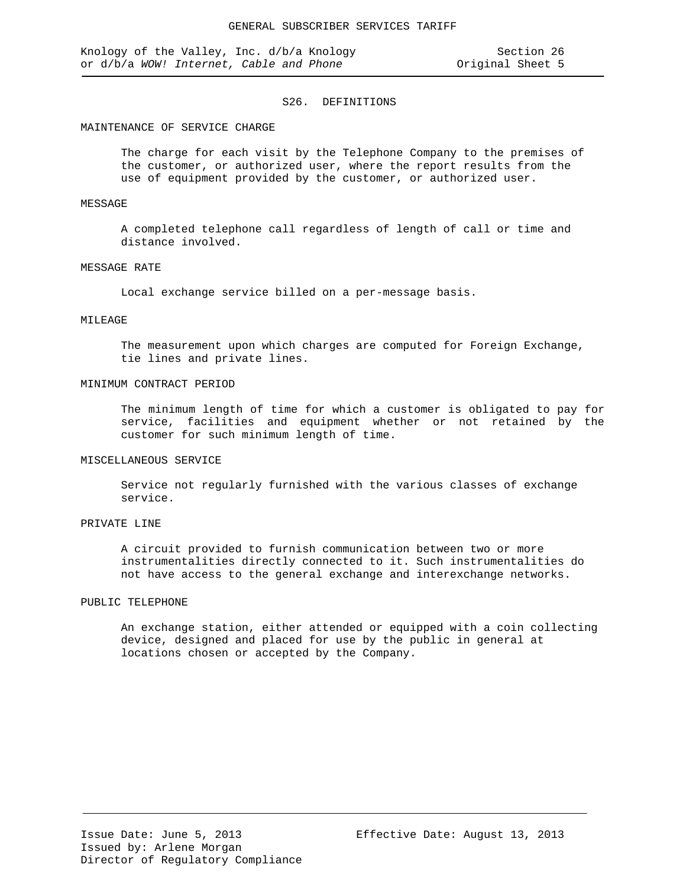Knology of the Valley, Inc. d/b/a Knology Section 26<br>
or d/b/a WOW! Internet, Cable and Phone Society Original Sheet 5 or d/b/a WOW! Internet, Cable and Phone

### S26. DEFINITIONS

### MAINTENANCE OF SERVICE CHARGE

The charge for each visit by the Telephone Company to the premises of the customer, or authorized user, where the report results from the use of equipment provided by the customer, or authorized user.

## MESSAGE

A completed telephone call regardless of length of call or time and distance involved.

#### MESSAGE RATE

Local exchange service billed on a per-message basis.

# MILEAGE

The measurement upon which charges are computed for Foreign Exchange, tie lines and private lines.

#### MINIMUM CONTRACT PERIOD

The minimum length of time for which a customer is obligated to pay for service, facilities and equipment whether or not retained by the customer for such minimum length of time.

#### MISCELLANEOUS SERVICE

Service not regularly furnished with the various classes of exchange service.

# PRIVATE LINE

A circuit provided to furnish communication between two or more instrumentalities directly connected to it. Such instrumentalities do not have access to the general exchange and interexchange networks.

#### PUBLIC TELEPHONE

An exchange station, either attended or equipped with a coin collecting device, designed and placed for use by the public in general at locations chosen or accepted by the Company.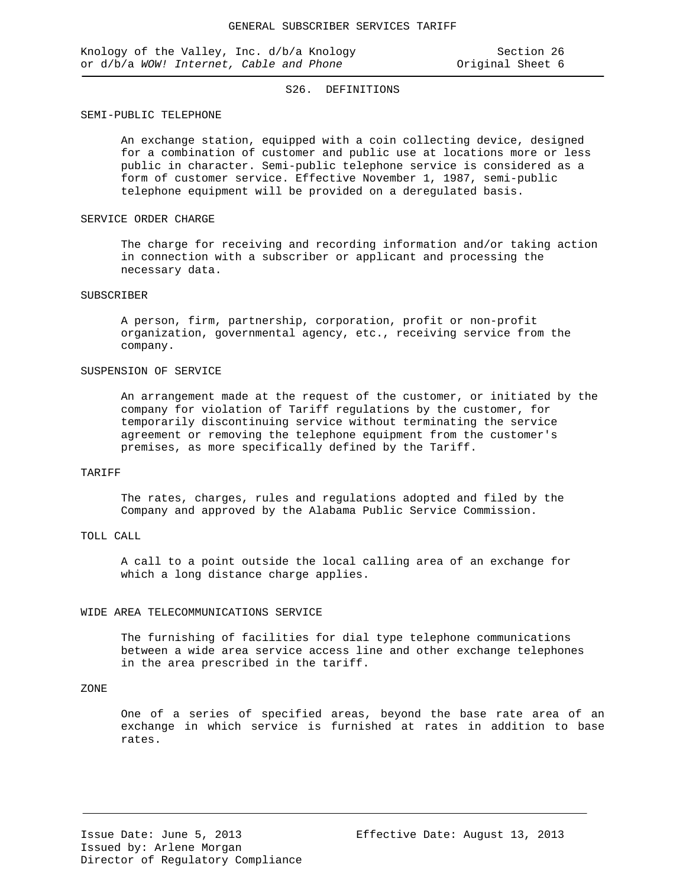#### SEMI-PUBLIC TELEPHONE

An exchange station, equipped with a coin collecting device, designed for a combination of customer and public use at locations more or less public in character. Semi-public telephone service is considered as a form of customer service. Effective November 1, 1987, semi-public telephone equipment will be provided on a deregulated basis.

## SERVICE ORDER CHARGE

The charge for receiving and recording information and/or taking action in connection with a subscriber or applicant and processing the necessary data.

## SUBSCRIBER

A person, firm, partnership, corporation, profit or non-profit organization, governmental agency, etc., receiving service from the company.

## SUSPENSION OF SERVICE

An arrangement made at the request of the customer, or initiated by the company for violation of Tariff regulations by the customer, for temporarily discontinuing service without terminating the service agreement or removing the telephone equipment from the customer's premises, as more specifically defined by the Tariff.

## TARIFF

The rates, charges, rules and regulations adopted and filed by the Company and approved by the Alabama Public Service Commission.

## TOLL CALL

A call to a point outside the local calling area of an exchange for which a long distance charge applies.

#### WIDE AREA TELECOMMUNICATIONS SERVICE

The furnishing of facilities for dial type telephone communications between a wide area service access line and other exchange telephones in the area prescribed in the tariff.

## ZONE

One of a series of specified areas, beyond the base rate area of an exchange in which service is furnished at rates in addition to base rates.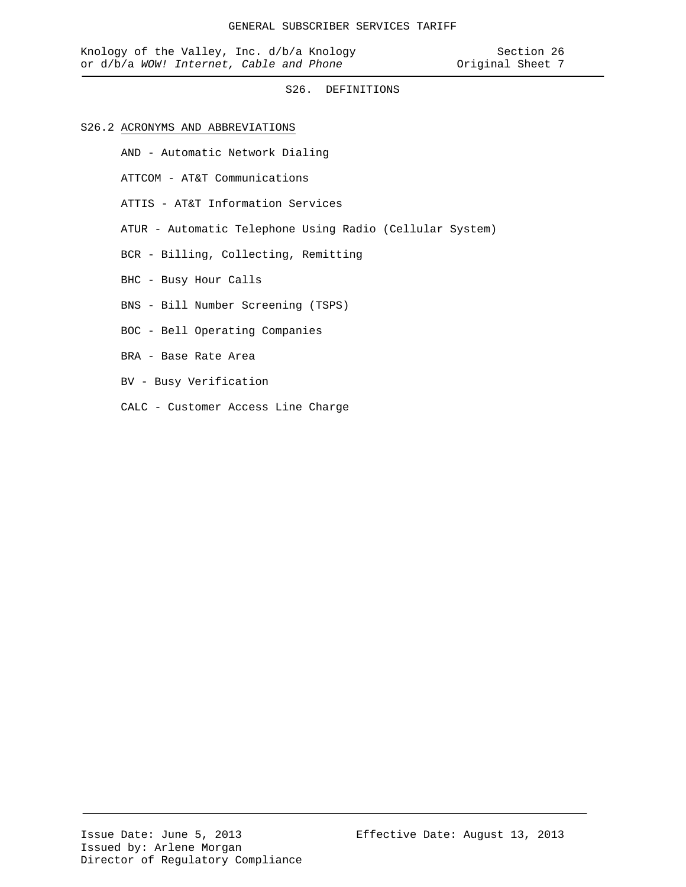## S26.2 ACRONYMS AND ABBREVIATIONS

- AND Automatic Network Dialing
- ATTCOM AT&T Communications
- ATTIS AT&T Information Services
- ATUR Automatic Telephone Using Radio (Cellular System)
- BCR Billing, Collecting, Remitting
- BHC Busy Hour Calls
- BNS Bill Number Screening (TSPS)
- BOC Bell Operating Companies
- BRA Base Rate Area
- BV Busy Verification
- CALC Customer Access Line Charge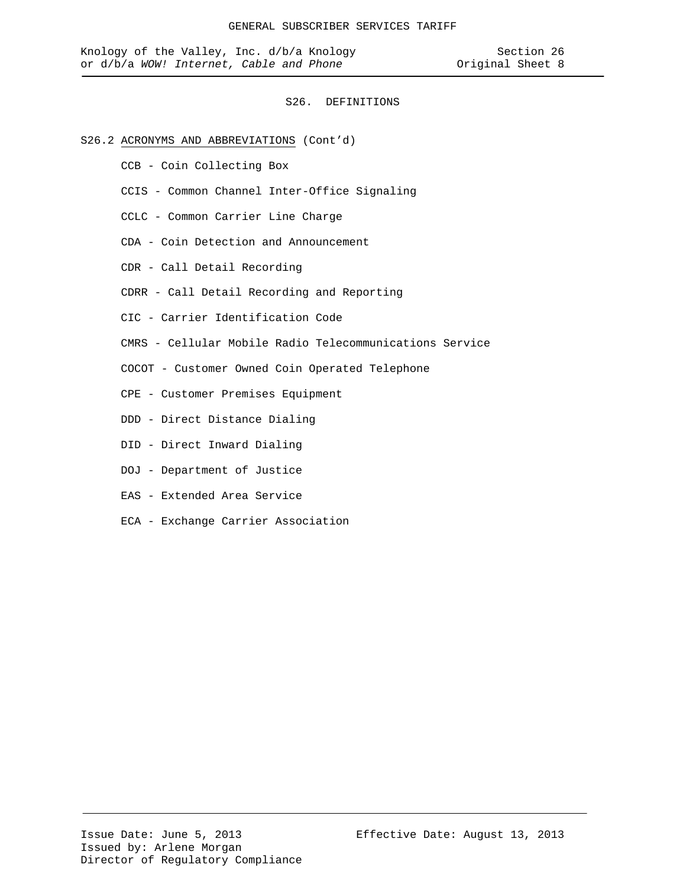- S26.2 ACRONYMS AND ABBREVIATIONS (Cont'd)
	- CCB Coin Collecting Box
	- CCIS Common Channel Inter-Office Signaling
	- CCLC Common Carrier Line Charge
	- CDA Coin Detection and Announcement
	- CDR Call Detail Recording
	- CDRR Call Detail Recording and Reporting
	- CIC Carrier Identification Code
	- CMRS Cellular Mobile Radio Telecommunications Service
	- COCOT Customer Owned Coin Operated Telephone
	- CPE Customer Premises Equipment
	- DDD Direct Distance Dialing
	- DID Direct Inward Dialing
	- DOJ Department of Justice
	- EAS Extended Area Service
	- ECA Exchange Carrier Association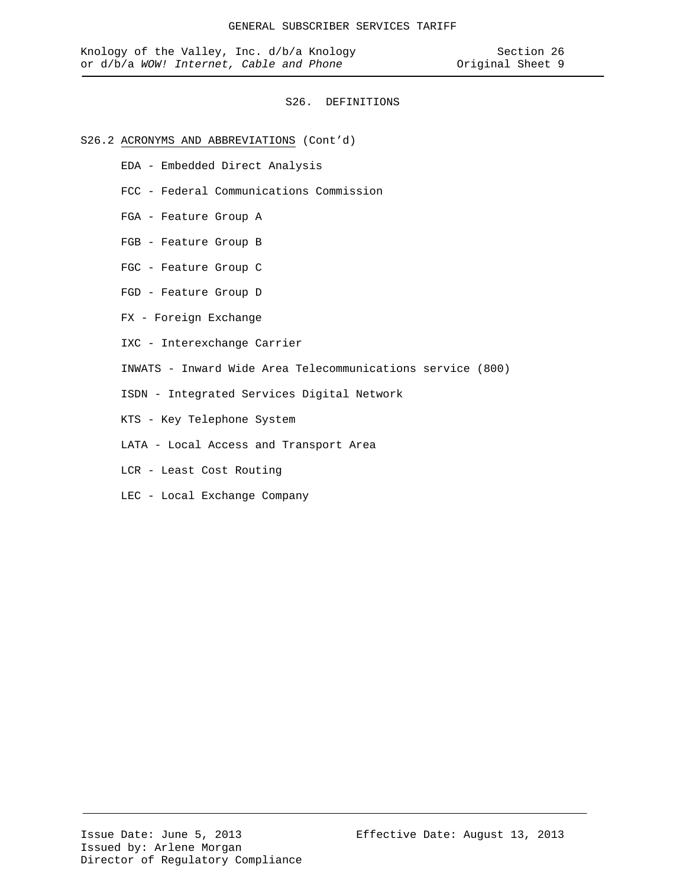## S26.2 ACRONYMS AND ABBREVIATIONS (Cont'd)

- EDA Embedded Direct Analysis
- FCC Federal Communications Commission
- FGA Feature Group A
- FGB Feature Group B
- FGC Feature Group C
- FGD Feature Group D
- FX Foreign Exchange
- IXC Interexchange Carrier
- INWATS Inward Wide Area Telecommunications service (800)
- ISDN Integrated Services Digital Network
- KTS Key Telephone System
- LATA Local Access and Transport Area
- LCR Least Cost Routing
- LEC Local Exchange Company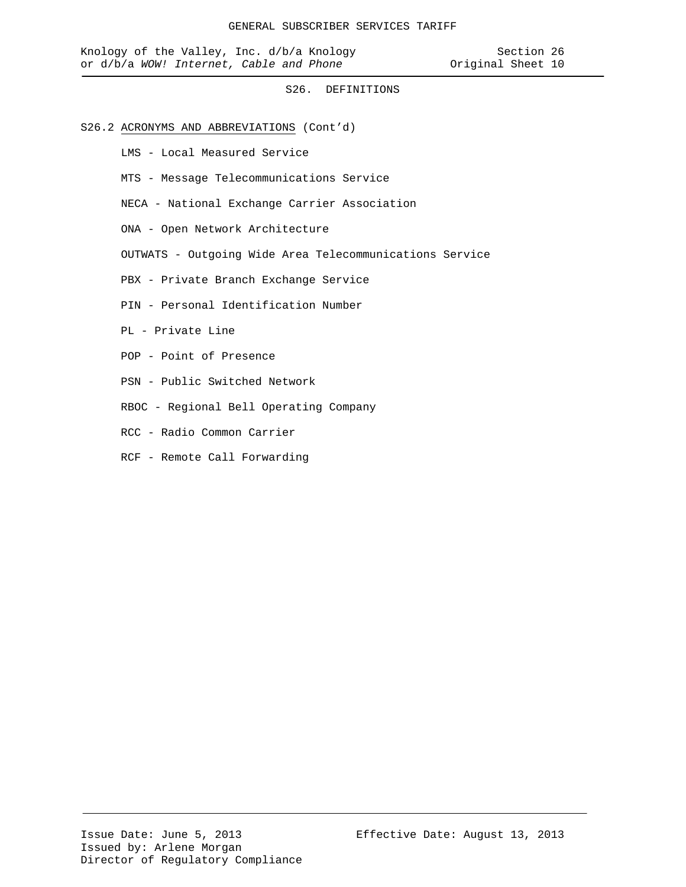## S26.2 ACRONYMS AND ABBREVIATIONS (Cont'd)

LMS - Local Measured Service

- MTS Message Telecommunications Service
- NECA National Exchange Carrier Association
- ONA Open Network Architecture
- OUTWATS Outgoing Wide Area Telecommunications Service
- PBX Private Branch Exchange Service
- PIN Personal Identification Number
- PL Private Line
- POP Point of Presence
- PSN Public Switched Network
- RBOC Regional Bell Operating Company
- RCC Radio Common Carrier
- RCF Remote Call Forwarding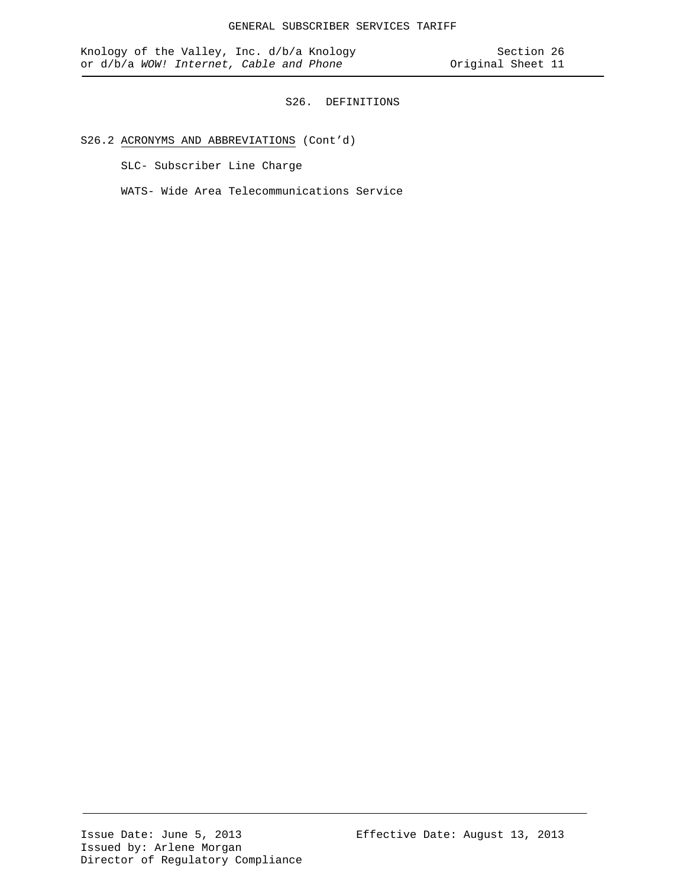# S26.2 ACRONYMS AND ABBREVIATIONS (Cont'd)

SLC- Subscriber Line Charge

WATS- Wide Area Telecommunications Service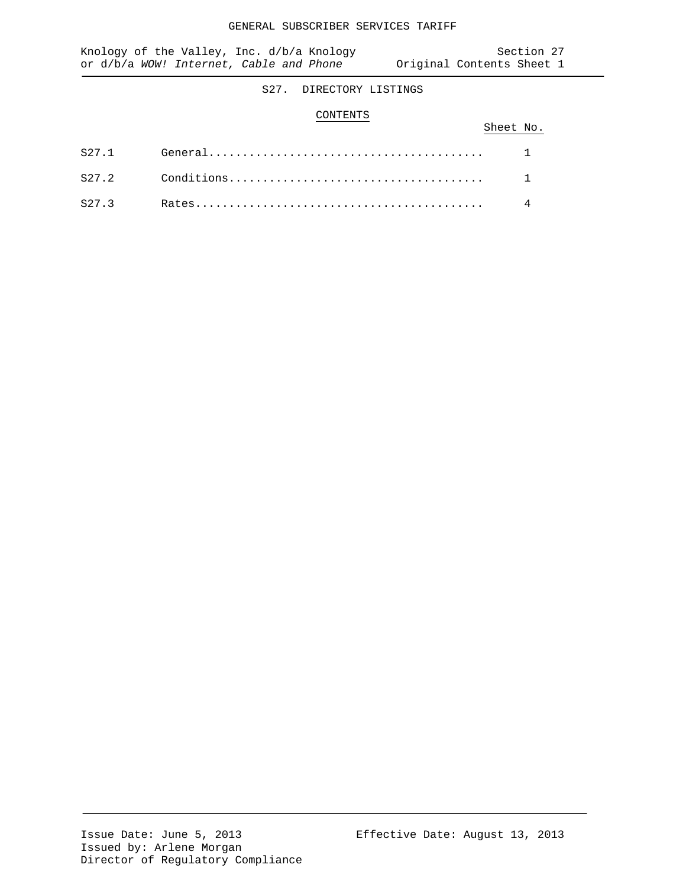# S27. DIRECTORY LISTINGS

## CONTENTS

|  | Sheet No. |  |
|--|-----------|--|
|  |           |  |
|  |           |  |
|  |           |  |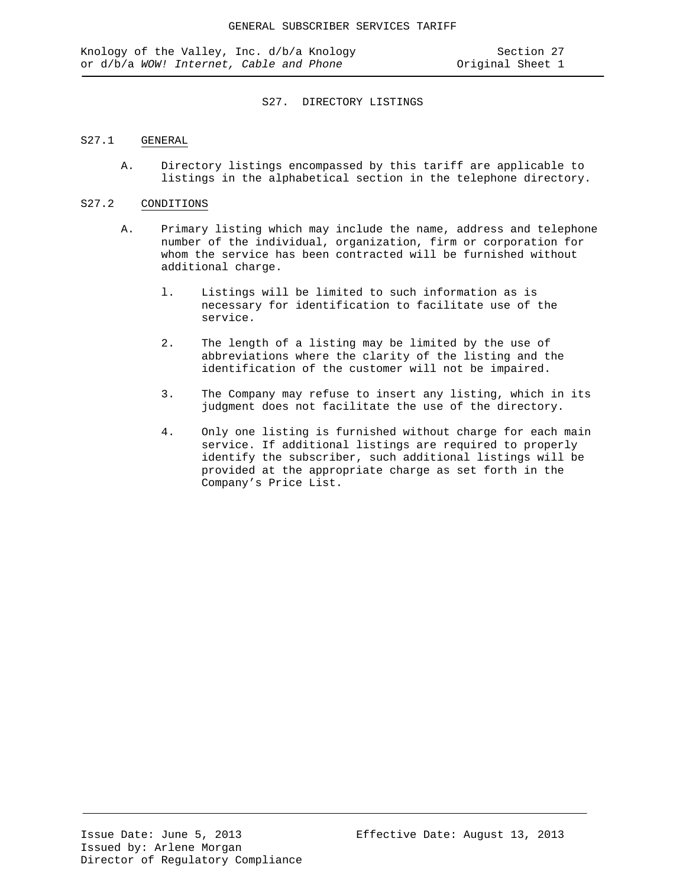### S27. DIRECTORY LISTINGS

## S27.1 GENERAL

A. Directory listings encompassed by this tariff are applicable to listings in the alphabetical section in the telephone directory.

## S27.2 CONDITIONS

- A. Primary listing which may include the name, address and telephone number of the individual, organization, firm or corporation for whom the service has been contracted will be furnished without additional charge.
	- l. Listings will be limited to such information as is necessary for identification to facilitate use of the service.
	- 2. The length of a listing may be limited by the use of abbreviations where the clarity of the listing and the identification of the customer will not be impaired.
	- 3. The Company may refuse to insert any listing, which in its judgment does not facilitate the use of the directory.
	- 4. Only one listing is furnished without charge for each main service. If additional listings are required to properly identify the subscriber, such additional listings will be provided at the appropriate charge as set forth in the Company's Price List.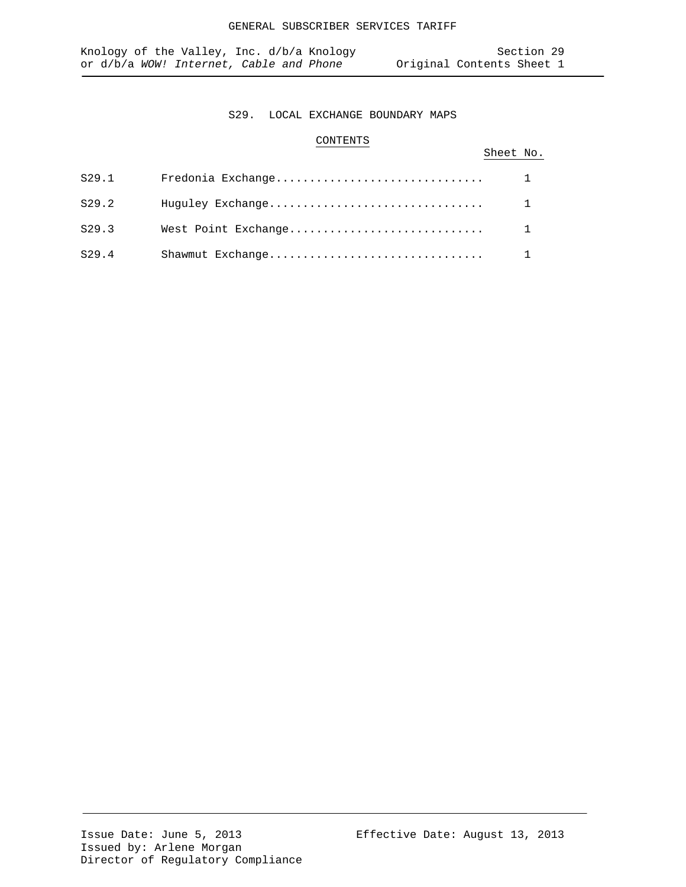## S29. LOCAL EXCHANGE BOUNDARY MAPS

## CONTENTS

# Sheet No.

| S29.1 | Fredonia Exchange |  |
|-------|-------------------|--|
| S29.2 | Huguley Exchange  |  |
| S29.3 |                   |  |
| S29.4 | Shawmut Exchange  |  |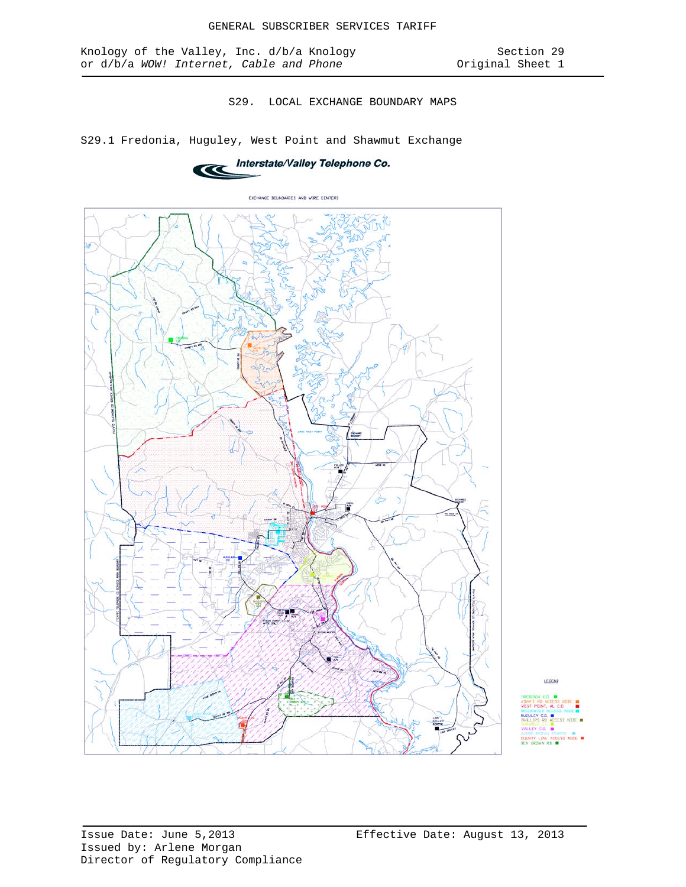S29. LOCAL EXCHANGE BOUNDARY MAPS

S29.1 Fredonia, Huguley, West Point and Shawmut Exchange





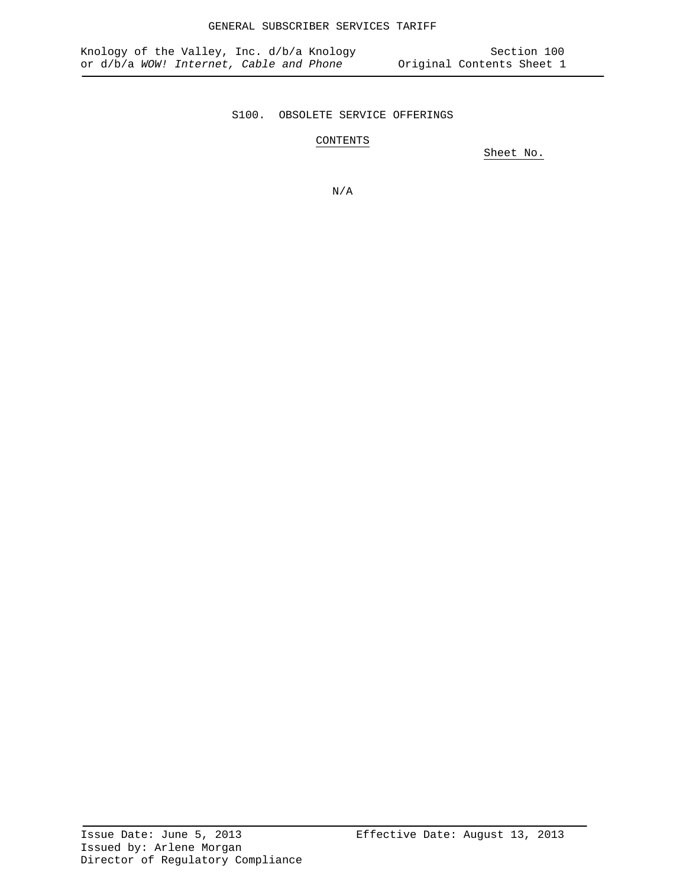# S100. OBSOLETE SERVICE OFFERINGS

CONTENTS

Sheet No.

N/A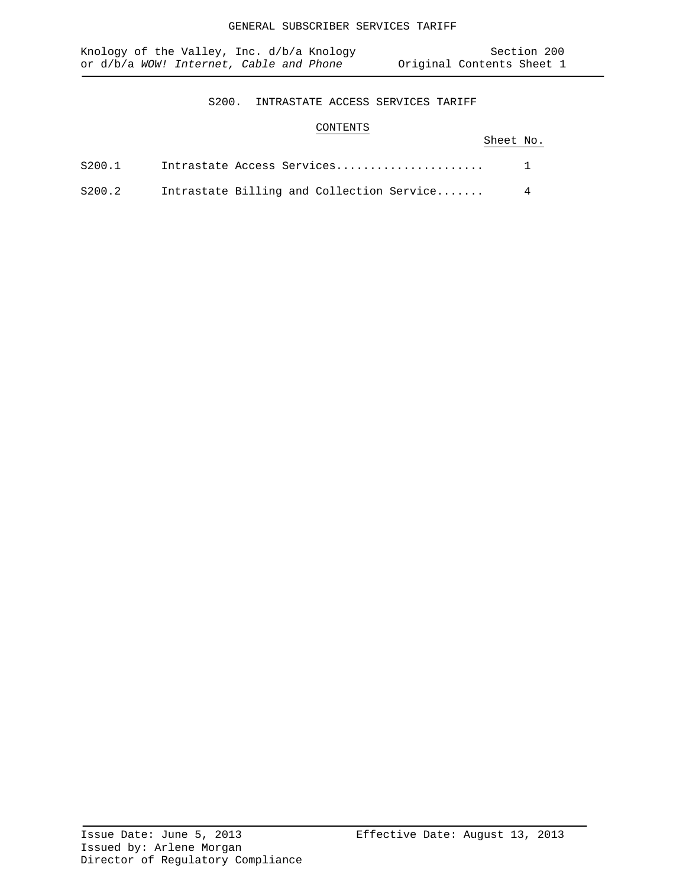# S200. INTRASTATE ACCESS SERVICES TARIFF

# CONTENTS

# Sheet No.

| S200.1 |  | Intrastate Access Services                |   |
|--------|--|-------------------------------------------|---|
| S200.2 |  | Intrastate Billing and Collection Service | 4 |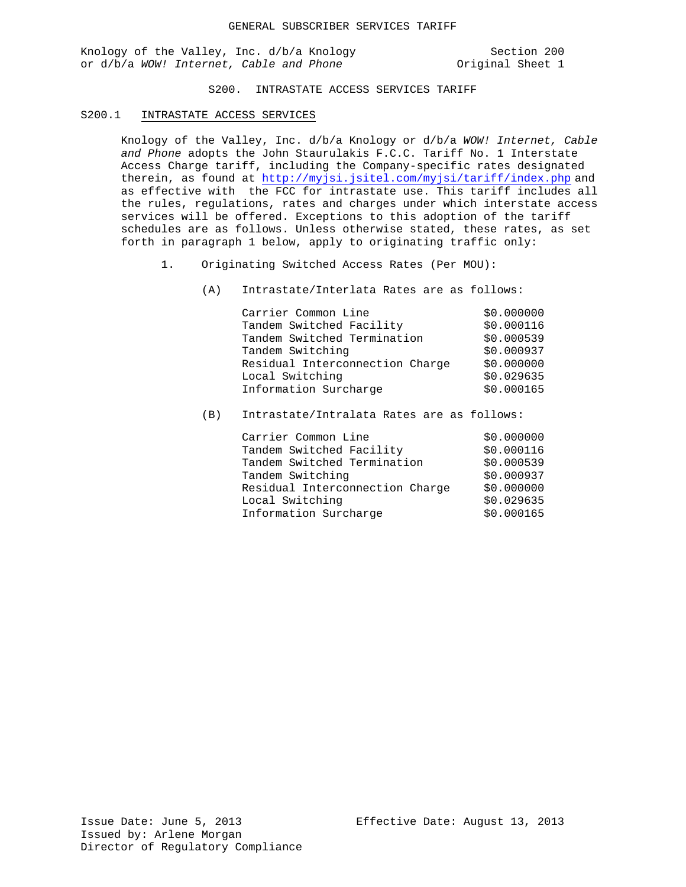Knology of the Valley, Inc. d/b/a Knology (Section 200<br>
or d/b/a WOW! Internet, Cable and Phone (Section 200 or d/b/a WOW! Internet, Cable and Phone

S200. INTRASTATE ACCESS SERVICES TARIFF

#### S200.1 INTRASTATE ACCESS SERVICES

Knology of the Valley, Inc. d/b/a Knology or d/b/a *WOW! Internet, Cable and Phone* adopts the John Staurulakis F.C.C. Tariff No. 1 Interstate Access Charge tariff, including the Company-specific rates designated therein, as found at<http://myjsi.jsitel.com/myjsi/tariff/index.php> and as effective with the FCC for intrastate use. This tariff includes all the rules, regulations, rates and charges under which interstate access services will be offered. Exceptions to this adoption of the tariff schedules are as follows. Unless otherwise stated, these rates, as set forth in paragraph 1 below, apply to originating traffic only:

- 1. Originating Switched Access Rates (Per MOU):
	- (A) Intrastate/Interlata Rates are as follows:

| Carrier Common Line             | \$0.000000 |
|---------------------------------|------------|
| Tandem Switched Facility        | \$0.000116 |
| Tandem Switched Termination     | \$0.000539 |
| Tandem Switching                | \$0.000937 |
| Residual Interconnection Charge | \$0.000000 |
| Local Switching                 | \$0.029635 |
| Information Surcharge           | \$0.000165 |

(B) Intrastate/Intralata Rates are as follows: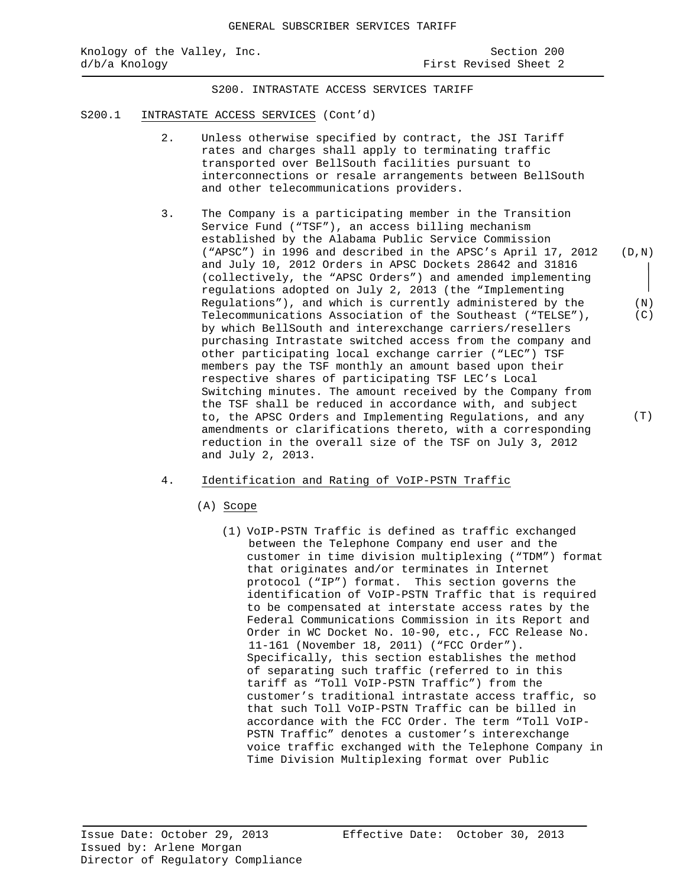S200. INTRASTATE ACCESS SERVICES TARIFF

- S200.1 INTRASTATE ACCESS SERVICES (Cont'd)
	- 2. Unless otherwise specified by contract, the JSI Tariff rates and charges shall apply to terminating traffic transported over BellSouth facilities pursuant to interconnections or resale arrangements between BellSouth and other telecommunications providers.
	- 3. The Company is a participating member in the Transition Service Fund ("TSF"), an access billing mechanism established by the Alabama Public Service Commission ("APSC") in 1996 and described in the APSC's April 17, 2012 and July 10, 2012 Orders in APSC Dockets 28642 and 31816 (collectively, the "APSC Orders") and amended implementing regulations adopted on July 2, 2013 (the "Implementing Regulations"), and which is currently administered by the Telecommunications Association of the Southeast ("TELSE"), by which BellSouth and interexchange carriers/resellers purchasing Intrastate switched access from the company and other participating local exchange carrier ("LEC") TSF members pay the TSF monthly an amount based upon their respective shares of participating TSF LEC's Local Switching minutes. The amount received by the Company from the TSF shall be reduced in accordance with, and subject to, the APSC Orders and Implementing Regulations, and any amendments or clarifications thereto, with a corresponding reduction in the overall size of the TSF on July 3, 2012 and July 2, 2013. (D,N)
	- 4. Identification and Rating of VoIP-PSTN Traffic
		- (A) Scope
			- (1) VoIP-PSTN Traffic is defined as traffic exchanged between the Telephone Company end user and the customer in time division multiplexing ("TDM") format that originates and/or terminates in Internet protocol ("IP") format. This section governs the identification of VoIP-PSTN Traffic that is required to be compensated at interstate access rates by the Federal Communications Commission in its Report and Order in WC Docket No. 10-90, etc., FCC Release No. 11-161 (November 18, 2011) ("FCC Order"). Specifically, this section establishes the method of separating such traffic (referred to in this tariff as "Toll VoIP-PSTN Traffic") from the customer's traditional intrastate access traffic, so that such Toll VoIP-PSTN Traffic can be billed in accordance with the FCC Order. The term "Toll VoIP-PSTN Traffic" denotes a customer's interexchange voice traffic exchanged with the Telephone Company in Time Division Multiplexing format over Public

(T)

 (N) (C)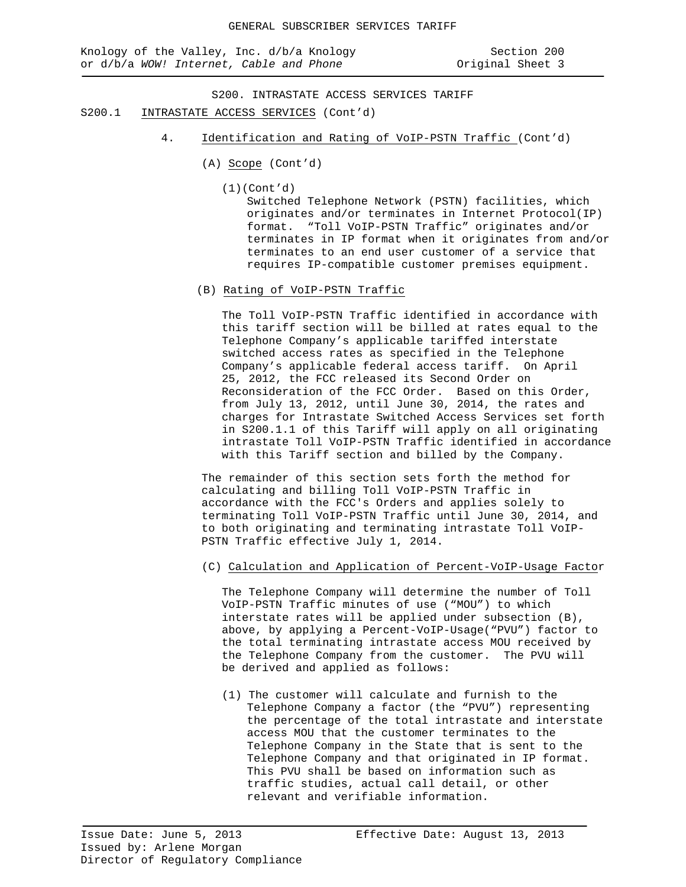S200. INTRASTATE ACCESS SERVICES TARIFF

- S200.1 INTRASTATE ACCESS SERVICES (Cont'd)
	- 4. Identification and Rating of VoIP-PSTN Traffic (Cont'd)
		- (A) Scope (Cont'd)
			- (1)(Cont'd)

Switched Telephone Network (PSTN) facilities, which originates and/or terminates in Internet Protocol(IP) format. "Toll VoIP-PSTN Traffic" originates and/or terminates in IP format when it originates from and/or terminates to an end user customer of a service that requires IP-compatible customer premises equipment.

(B) Rating of VoIP-PSTN Traffic

The Toll VoIP-PSTN Traffic identified in accordance with this tariff section will be billed at rates equal to the Telephone Company's applicable tariffed interstate switched access rates as specified in the Telephone Company's applicable federal access tariff. On April 25, 2012, the FCC released its Second Order on Reconsideration of the FCC Order. Based on this Order, from July 13, 2012, until June 30, 2014, the rates and charges for Intrastate Switched Access Services set forth in S200.1.1 of this Tariff will apply on all originating intrastate Toll VoIP-PSTN Traffic identified in accordance with this Tariff section and billed by the Company.

The remainder of this section sets forth the method for calculating and billing Toll VoIP-PSTN Traffic in accordance with the FCC's Orders and applies solely to terminating Toll VoIP-PSTN Traffic until June 30, 2014, and to both originating and terminating intrastate Toll VoIP-PSTN Traffic effective July 1, 2014.

# (C) Calculation and Application of Percent-VoIP-Usage Factor

The Telephone Company will determine the number of Toll VoIP-PSTN Traffic minutes of use ("MOU") to which interstate rates will be applied under subsection (B), above, by applying a Percent-VoIP-Usage("PVU") factor to the total terminating intrastate access MOU received by the Telephone Company from the customer. The PVU will be derived and applied as follows:

(1) The customer will calculate and furnish to the Telephone Company a factor (the "PVU") representing the percentage of the total intrastate and interstate access MOU that the customer terminates to the Telephone Company in the State that is sent to the Telephone Company and that originated in IP format. This PVU shall be based on information such as traffic studies, actual call detail, or other relevant and verifiable information.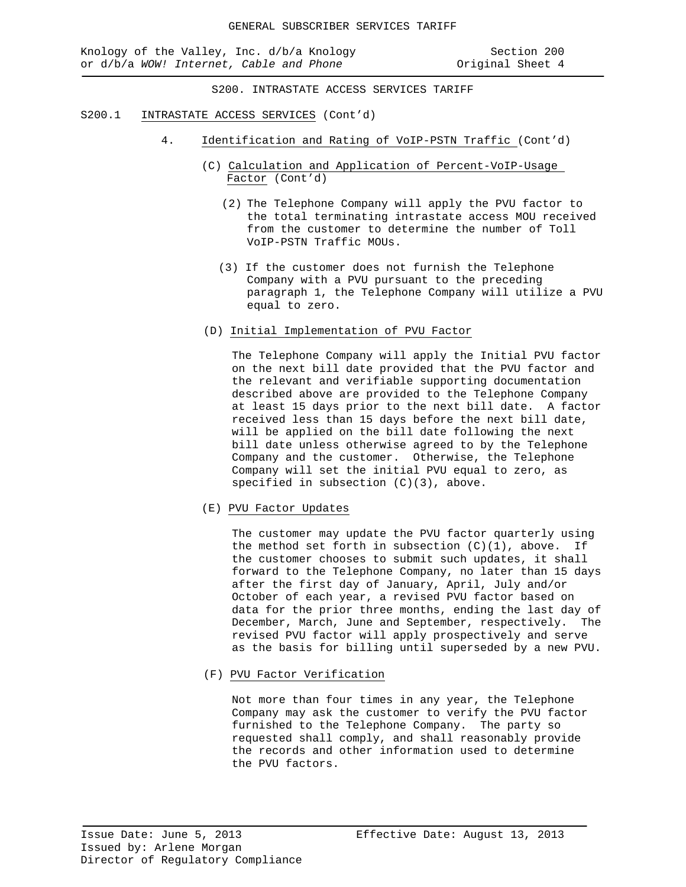Knology of the Valley, Inc. d/b/a Knology Section 200 or d/b/a *WOW!* Internet, Cable and Phone **business** Original Sheet 4

S200. INTRASTATE ACCESS SERVICES TARIFF

- S200.1 INTRASTATE ACCESS SERVICES (Cont'd)
	- 4. Identification and Rating of VoIP-PSTN Traffic (Cont'd)
		- (C) Calculation and Application of Percent-VoIP-Usage Factor (Cont'd)
			- (2) The Telephone Company will apply the PVU factor to the total terminating intrastate access MOU received from the customer to determine the number of Toll VoIP-PSTN Traffic MOUs.
			- (3) If the customer does not furnish the Telephone Company with a PVU pursuant to the preceding paragraph 1, the Telephone Company will utilize a PVU equal to zero.
		- (D) Initial Implementation of PVU Factor

 The Telephone Company will apply the Initial PVU factor on the next bill date provided that the PVU factor and the relevant and verifiable supporting documentation described above are provided to the Telephone Company at least 15 days prior to the next bill date. A factor received less than 15 days before the next bill date, will be applied on the bill date following the next bill date unless otherwise agreed to by the Telephone Company and the customer. Otherwise, the Telephone Company will set the initial PVU equal to zero, as specified in subsection (C)(3), above.

(E) PVU Factor Updates

The customer may update the PVU factor quarterly using the method set forth in subsection  $(C)(1)$ , above. If the customer chooses to submit such updates, it shall forward to the Telephone Company, no later than 15 days after the first day of January, April, July and/or October of each year, a revised PVU factor based on data for the prior three months, ending the last day of December, March, June and September, respectively. The revised PVU factor will apply prospectively and serve as the basis for billing until superseded by a new PVU.

(F) PVU Factor Verification

Not more than four times in any year, the Telephone Company may ask the customer to verify the PVU factor furnished to the Telephone Company. The party so requested shall comply, and shall reasonably provide the records and other information used to determine the PVU factors.